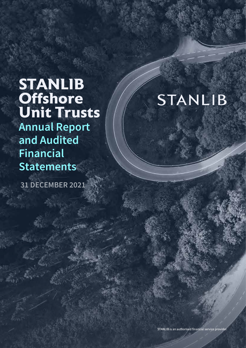## **STANLIB Offshore Unit Trusts Annual Report and Audited Financial Statements**

**31 DECEMBER 2021**

# **STANLIB**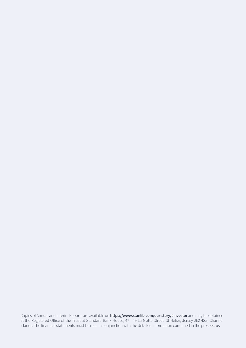Copies of Annual and Interim Reports are available on **https://www.stanlib.com/our-story/#investor** and may be obtained at the Registered Office of the Trust at Standard Bank House, 47 - 49 La Motte Street, St Helier, Jersey JE2 4SZ, Channel Islands. The financial statements must be read in conjunction with the detailed information contained in the prospectus.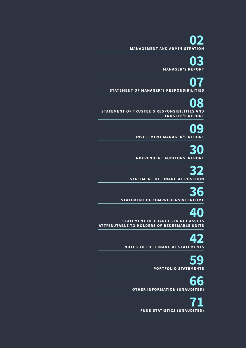**02 MANAGEMENT A ND ADMINISTRATION**

**03 MANAGER'S REPORT**

**07 STATEMENT O F MANAGER'S RESPONS IBILITIES**

**08 STATEMENT OF TRUSTEE'S RESPONSIBILITIES AND T RUSTEE'S REPORT**

> **09 INVESTMENT MANAGER'S REPORT**

**30 INDEPE NDENT AUDITORS' REPORT**

**32**<br> **STATEMENT OF FINANCIAL POSITION** 

**36 STATEMENT OF COMPREHENSIVE INCOME** 

**40**<br>
STATEMENT OF CHANGES IN NET ASSETS **ATTRIBUTABLE TO HOLDERS OF REDEEMABLE UNITS** 

**42 NOTES TO THE FINANCIAL STATEMENTS**

**59 PORTFOLIO STATEMENTS**

**66 OTHER INFORMATION (UNAUDITED)** 

**71 F UND STATISTICS (UNAU DITE D)**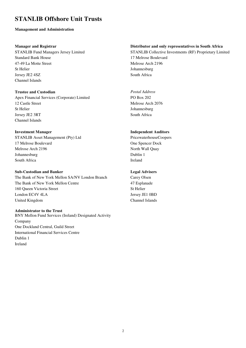#### **Management and Administration**

#### **Manager and Registrar**

STANLIB Fund Managers Jersey Limited Standard Bank House 47-49 La Motte Street St Helier Jersey JE2 4SZ Channel Islands

#### **Trustee and Custodian**

Apex Financial Services (Corporate) Limited 12 Castle Street St Helier Jersey JE2 3RT Channel Islands

#### **Investment Manager**

STANLIB Asset Management (Pty) Ltd 17 Melrose Boulevard Melrose Arch 2196 Johannesburg South Africa

#### **Sub-Custodian and Banker**

The Bank of New York Mellon SA/NV London Branch The Bank of New York Mellon Centre 160 Queen Victoria Street London EC4V 4LA United Kingdom

#### **Administrator to the Trust**

BNY Mellon Fund Services (Ireland) Designated Activity Company One Dockland Central, Guild Street International Financial Services Centre Dublin 1 Ireland

#### **Distributor and only representatives in South Africa**

STANLIB Collective Investments (RF) Proprietary Limited 17 Melrose Boulevard Melrose Arch 2196 Johannesburg South Africa

*Postal Address*  PO Box 202 Melrose Arch 2076 Johannesburg South Africa

#### **Independent Auditors**

PricewaterhouseCoopers One Spencer Dock North Wall Quay Dublin 1 Ireland

#### **Legal Advisers**

Carey Olsen 47 Esplanade St Helier Jersey JE1 0BD Channel Islands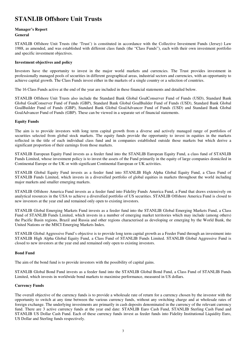#### **Manager's Report General**

STANLIB Offshore Unit Trusts (the 'Trust') is constituted in accordance with the Collective Investment Funds (Jersey) Law 1988, as amended, and was established with different class funds (the "Class Funds"), each with their own investment portfolio and specific investment objectives.

#### **Investment objectives and policy**

Investors have the opportunity to invest in the major world markets and currencies. The Trust provides investment in professionally managed pools of securities in different geographical areas, industrial sectors and currencies, with an opportunity to achieve capital growth. The Class Funds invest either in the markets of a single country or a selection of countries.

The 16 Class Funds active at the end of the year are included in these financial statements and detailed below.

STANLIB Offshore Unit Trusts also include the Standard Bank Global GoalConserver Fund of Funds (USD), Standard Bank Global GoalConserver Fund of Funds (GBP), Standard Bank Global GoalBuilder Fund of Funds (USD), Standard Bank Global GoalBuilder Fund of Funds (GBP), Standard Bank Global GoalAdvancer Fund of Funds (USD) and Standard Bank Global GoalAdvancer Fund of Funds (GBP). These can be viewed in a separate set of financial statements.

#### **Equity Funds**

The aim is to provide investors with long term capital growth from a diverse and actively managed range of portfolios of securities selected from global stock markets. The equity funds provide the opportunity to invest in equities in the markets reflected in the title of each individual class fund and in companies established outside those markets but which derive a significant proportion of their earnings from those markets.

STANLIB European Equity Fund invests as a feeder fund into the STANLIB European Equity Fund, a class fund of STANLIB Funds Limited, whose investment policy is to invest the assets of the Fund primarily in the equity of large companies domiciled in Continental Europe or the UK or with significant Continental European or UK activities.

STANLIB Global Equity Fund invests as a feeder fund into STANLIB High Alpha Global Equity Fund, a Class Fund of STANLIB Funds Limited, which invests in a diversified portfolio of global equities in markets throughout the world including major markets and smaller emerging markets.

STANLIB Offshore America Fund invests as a feeder fund into Fidelity Funds America Fund, a Fund that draws extensively on analytical resources in the USA to achieve a diversified portfolio of US securities. STANLIB Offshore America Fund is closed to new investors at the year end and remained only open to existing investors.

STANLIB Global Emerging Markets Fund invests as a feeder fund into the STANLIB Global Emerging Markets Fund, a Class Fund of STANLIB Funds Limited, which invests in a number of emerging market territories which may include (among others) the Pacific Basin regions, Brazil and Russia and other regions characterised as developing or emerging by the World Bank, the United Nations or the MSCI Emerging Markets Index.

STANLIB Global Aggressive Fund's objective is to provide long term capital growth as a Feeder Fund through an investment into STANLIB High Alpha Global Equity Fund, a Class Fund of STANLIB Funds Limited. STANLIB Global Aggressive Fund is closed to new investors at the year end and remained only open to existing investors.

#### **Bond Fund**

The aim of the bond fund is to provide investors with the possibility of capital gains.

STANLIB Global Bond Fund invests as a feeder fund into the STANLIB Global Bond Fund, a Class Fund of STANLIB Funds Limited, which invests in worldwide bond markets to maximise performance, measured in US dollars.

#### **Currency Funds**

The overall objective of the currency funds is to provide a wholesale rate of return for a currency chosen by the investor with the opportunity to switch at any time between the various currency funds, without any switching charge and at wholesale rates of foreign exchange. The underlying investments are primarily in cash deposits denominated in the currency of the relevant currency fund. There are 3 active currency funds at the year end date: STANLIB Euro Cash Fund, STANLIB Sterling Cash Fund and STANLIB US Dollar Cash Fund. Each of these currency funds invest as feeder funds into Fidelity Institutional Liquidity Euro, US Dollar and Sterling funds respectively.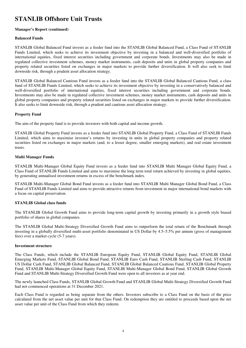#### **Manager's Report (continued)**

#### **Balanced Funds**

STANLIB Global Balanced Fund invests as a feeder fund into the STANLIB Global Balanced Fund, a Class Fund of STANLIB Funds Limited, which seeks to achieve its investment objective by investing in a balanced and well-diversified portfolio of international equities, fixed interest securities including government and corporate bonds. Investments may also be made in regulated collective investment schemes, money market instruments, cash deposits and units in global property companies and property related securities listed on exchanges in major markets to provide further diversification. It will also seek to limit downside risk, through a prudent asset allocation strategy.

STANLIB Global Balanced Cautious Fund invests as a feeder fund into the STANLIB Global Balanced Cautious Fund, a class fund of STANLIB Funds Limited, which seeks to achieve its investment objective by investing in a conservatively balanced and well-diversified portfolio of international equities, fixed interest securities including government and corporate bonds. Investments may also be made in regulated collective investment schemes, money market instruments, cash deposits and units in global property companies and property related securities listed on exchanges in major markets to provide further diversification. It also seeks to limit downside risk, through a prudent and cautious asset allocation strategy.

#### **Property Fund**

The aim of the property fund is to provide investors with both capital and income growth.

STANLIB Global Property Fund invests as a feeder fund into STANLIB Global Property Fund, a Class Fund of STANLIB Funds Limited, which aims to maximise investor's returns by investing in units in global property companies and property related securities listed on exchanges in major markets (and, to a lesser degree, smaller emerging markets), and real estate investment trusts.

#### **Multi Manager Funds**

STANLIB Multi-Manager Global Equity Fund invests as a feeder fund into STANLIB Multi Manager Global Equity Fund, a Class Fund of STANLIB Funds Limited and aims to maximise the long term total return achieved by investing in global equities, by generating annualised investment returns in excess of the benchmark index.

STANLIB Multi-Manager Global Bond Fund invests as a feeder fund into STANLIB Multi Manager Global Bond Fund, a Class Fund of STANLIB Funds Limited and aims to provide attractive returns from investment in major international bond markets with a focus on capital preservation.

#### **STANLIB Global class funds**

The STANLIB Global Growth Fund aims to provide long-term capital growth by investing primarily in a growth style biased portfolio of shares in global companies.

The STANLIB Global Multi-Strategy Diversified Growth Fund aims to outperform the total return of the Benchmark through investing in a globally diversified multi-asset portfolio denominated in US Dollar by 4.5–5.5% per annum (gross of management fees) over a market cycle (5-7 years).

#### **Investment structure**

The Class Funds, which include the STANLIB European Equity Fund, STANLIB Global Equity Fund, STANLIB Global Emerging Markets Fund, STANLIB Global Bond Fund, STANLIB Euro Cash Fund, STANLIB Sterling Cash Fund, STANLIB US Dollar Cash Fund, STANLIB Global Balanced Fund, STANLIB Global Balanced Cautious Fund, STANLIB Global Property Fund, STANLIB Multi-Manager Global Equity Fund, STANLIB Multi-Manager Global Bond Fund, STANLIB Global Growth Fund and STANLIB Multi-Strategy Diversified Growth Fund were open to all investors as at year end.

The newly launched Class Funds, STANLIB Global Growth Fund and STANLIB Global Multi-Strategy Diversified Growth Fund had not commenced operations at 31 December 2021.

Each Class Fund is regarded as being separate from the others. Investors subscribe to a Class Fund on the basis of the price calculated from the net asset value per unit for that Class Fund. On redemption they are entitled to proceeds based upon the net asset value per unit of the Class Fund from which they redeem.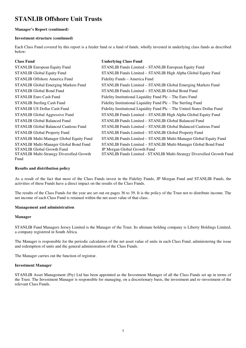#### **Manager's Report (continued)**

#### **Investment structure (continued)**

Each Class Fund covered by this report is a feeder fund or a fund of funds, wholly invested in underlying class funds as described below:

| <b>Class Fund</b>                                | <b>Underlying Class Fund</b>                                              |
|--------------------------------------------------|---------------------------------------------------------------------------|
| <b>STANLIB European Equity Fund</b>              | STANLIB Funds Limited – STANLIB European Equity Fund                      |
| <b>STANLIB Global Equity Fund</b>                | STANLIB Funds Limited – STANLIB High Alpha Global Equity Fund             |
| <b>STANLIB Offshore America Fund</b>             | Fidelity Funds - America Fund                                             |
| <b>STANLIB Global Emerging Markets Fund</b>      | STANLIB Funds Limited - STANLIB Global Emerging Markets Fund              |
| <b>STANLIB Global Bond Fund</b>                  | STANLIB Funds Limited - STANLIB Global Bond Fund                          |
| <b>STANLIB Euro Cash Fund</b>                    | Fidelity Institutional Liquidity Fund Plc – The Euro Fund                 |
| <b>STANLIB Sterling Cash Fund</b>                | Fidelity Institutional Liquidity Fund Plc – The Sterling Fund             |
| <b>STANLIB US Dollar Cash Fund</b>               | Fidelity Institutional Liquidity Fund Plc - The United States Dollar Fund |
| STANLIB Global Aggressive Fund                   | STANLIB Funds Limited – STANLIB High Alpha Global Equity Fund             |
| <b>STANLIB Global Balanced Fund</b>              | STANLIB Funds Limited – STANLIB Global Balanced Fund                      |
| <b>STANLIB Global Balanced Cautious Fund</b>     | STANLIB Funds Limited – STANLIB Global Balanced Cautious Fund             |
| <b>STANLIB Global Property Fund</b>              | STANLIB Funds Limited - STANLIB Global Property Fund                      |
| STANLIB Multi-Manager Global Equity Fund         | STANLIB Funds Limited - STANLIB Multi-Manager Global Equity Fund          |
| STANLIB Multi-Manager Global Bond Fund           | STANLIB Funds Limited - STANLIB Multi-Manager Global Bond Fund            |
| <b>STANLIB Global Growth Fund</b>                | JP Morgan Global Growth Fund                                              |
| <b>STANLIB Multi-Strategy Diversified Growth</b> | STANLIB Funds Limited - STANLIB Multi-Strategy Diversified Growth Fund    |
| Fund                                             |                                                                           |

#### **Results and distribution policy**

As a result of the fact that most of the Class Funds invest in the Fidelity Funds, JP Morgan Fund and STANLIB Funds, the activities of these Funds have a direct impact on the results of the Class Funds.

The results of the Class Funds for the year are set out on pages 36 to 39. It is the policy of the Trust not to distribute income. The net income of each Class Fund is retained within the net asset value of that class.

#### **Management and administration**

#### **Manager**

STANLIB Fund Managers Jersey Limited is the Manager of the Trust. Its ultimate holding company is Liberty Holdings Limited, a company registered in South Africa.

The Manager is responsible for the periodic calculation of the net asset value of units in each Class Fund, administering the issue and redemption of units and the general administration of the Class Funds.

The Manager carries out the function of registrar.

#### **Investment Manager**

STANLIB Asset Management (Pty) Ltd has been appointed as the Investment Manager of all the Class Funds set up in terms of the Trust. The Investment Manager is responsible for managing, on a discretionary basis, the investment and re–investment of the relevant Class Funds.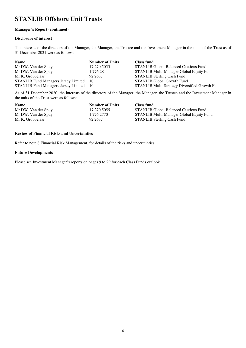#### **Manager's Report (continued)**

#### **Disclosure of interest**

The interests of the directors of the Manager, the Manager, the Trustee and the Investment Manager in the units of the Trust as of 31 December 2021 were as follows:

| <b>Name</b>                                 | <b>Number of Units</b> | <b>Class fund</b>                              |
|---------------------------------------------|------------------------|------------------------------------------------|
| Mr DW. Van der Spuy                         | 17,270.5055            | <b>STANLIB Global Balanced Cautious Fund</b>   |
| Mr DW. Van der Spuy                         | 1,776.28               | STANLIB Multi-Manager Global Equity Fund       |
| Mr K. Grobbelaar                            | 92.2637                | <b>STANLIB Sterling Cash Fund</b>              |
| <b>STANLIB Fund Managers Jersey Limited</b> | 10                     | <b>STANLIB Global Growth Fund</b>              |
| STANLIB Fund Managers Jersey Limited 10     |                        | STANLIB Multi-Strategy Diversified Growth Fund |

As of 31 December 2020, the interests of the directors of the Manager, the Manager, the Trustee and the Investment Manager in the units of the Trust were as follows:

| <b>Name</b>         | <b>Number of Units</b> | <b>Class fund</b>                            |
|---------------------|------------------------|----------------------------------------------|
| Mr DW. Van der Spuy | 17.270.5055            | <b>STANLIB Global Balanced Cautious Fund</b> |
| Mr DW. Van der Spuy | 1.776.2770             | STANLIB Multi-Manager Global Equity Fund     |
| Mr K. Grobbelaar    | 92.2637                | <b>STANLIB Sterling Cash Fund</b>            |

#### **Review of Financial Risks and Uncertainties**

Refer to note 8 Financial Risk Management, for details of the risks and uncertainties.

#### **Future Developments**

Please see Investment Manager's reports on pages 9 to 29 for each Class Funds outlook.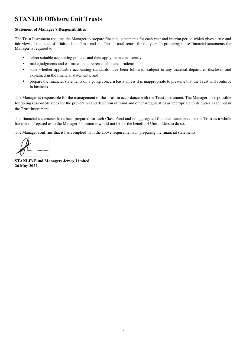#### **Statement of Manager's Responsibilities**

The Trust Instrument requires the Manager to prepare financial statements for each year and interim period which gives a true and fair view of the state of affairs of the Trust and the Trust's total return for the year. In preparing those financial statements the Manager is required to:

- select suitable accounting policies and then apply them consistently;
- make judgments and estimates that are reasonable and prudent;
- state whether applicable accounting standards have been followed, subject to any material departures disclosed and explained in the financial statements; and
- prepare the financial statements on a going concern basis unless it is inappropriate to presume that the Trust will continue in business.

The Manager is responsible for the management of the Trust in accordance with the Trust Instrument. The Manager is responsible for taking reasonable steps for the prevention and detection of fraud and other irregularities as appropriate to its duties as set out in the Trust Instrument.

The financial statements have been prepared for each Class Fund and no aggregated financial statements for the Trust as a whole have been prepared as in the Manager's opinion it would not be for the benefit of Unitholders to do so.

The Manager confirms that it has complied with the above requirements in preparing the financial statements.

**STANLIB Fund Managers Jersey Limited 26 May 2022**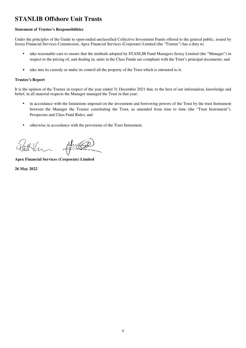#### **Statement of Trustee's Responsibilities**

Under the principles of the Guide to open-ended unclassified Collective Investment Funds offered to the general public, issued by Jersey Financial Services Commission, Apex Financial Services (Corporate) Limited (the "Trustee") has a duty to:

- take reasonable care to ensure that the methods adopted by STANLIB Fund Managers Jersey Limited (the "Manager") in  $\bullet$ respect to the pricing of, and dealing in, units in the Class Funds are compliant with the Trust's principal documents; and
- take into its custody or under its control all the property of the Trust which is entrusted to it.  $\bullet$

#### **Trustee's Report**

It is the opinion of the Trustee in respect of the year ended 31 December 2021 that, to the best of our information, knowledge and belief, in all material respects the Manager managed the Trust in that year:

- in accordance with the limitations imposed on the investment and borrowing powers of the Trust by the trust Instrument between the Manager the Trustee constituting the Trust, as amended from time to time (the "Trust Instrument"), Prospectus and Class Fund Rules; and
- otherwise in accordance with the provisions of the Trust Instrument.

**Apex Financial Services (Corporate) Limited** 

26 May 2022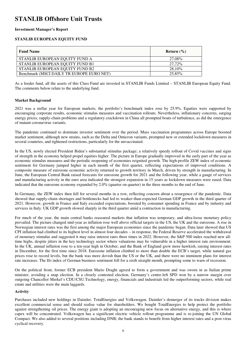#### **Investment Manager's Report**

#### **STANLIB EUROPEAN EQUITY FUND**

| <b>Fund Name</b>                          | Return $(\% )$ |
|-------------------------------------------|----------------|
| STANLIB EUROPEAN EOUITY FUND A            | 27.08%         |
| STANLIB EUROPEAN EQUITY FUND B1           | 27.72%         |
| STANLIB EUROPEAN EQUITY FUND B2           | 28,10%         |
| Benchmark (MSCI DAILY TR EUROPE EURO NET) | 25.85%         |

As a feeder fund, all the assets of this Class Fund are invested in STANLIB Funds Limited – STANLIB European Equity Fund. The comments below relate to the underlying fund.

#### **Market Background**

2021 was a stellar year for European markets; the portfolio's benchmark index rose by 25.9%. Equities were supported by encouraging corporate results, economic stimulus measures and vaccination rollouts. Nevertheless, inflationary concerns, surging energy prices, supply-chain problems and a regulatory crackdown in China all prompted bouts of turbulence, as did the emergence of mutant coronavirus variants.

The pandemic continued to dominate investor sentiment over the period. Mass vaccination programmes across Europe boosted market sentiment, although new strains, such as the Delta and Omicron variants, prompted new or extended lockdown measures in several countries, and tightened restrictions, particularly for the unvaccinated.

In the US, newly elected President Biden's substantial stimulus package; a relatively speedy rollout of Covid vaccines and signs of strength in the economy helped propel equities higher. The picture in Europe gradually improved in the early part of the year as economic stimulus measures and the periodic reopening of economies reignited growth. The high-profile ZEW index of economic sentiment for Germany jumped higher in each month of the first quarter, reflecting expectations of improved conditions. A composite measure of eurozone economic activity returned to growth territory in March, driven by strength in manufacturing. In June, the European Central Bank raised forecasts for eurozone growth for 2021 and the following year, while a gauge of services and manufacturing activity in the euro area indicated the strongest expansion in 15 years as lockdown measures were eased. Data indicated that the eurozone economy expanded by 2.0% (quarter on quarter) in the three months to the end of June.

In Germany, the ZEW index then fell for several months in a row, reflecting concern about a resurgence of the pandemic. Data showed that supply-chain shortages and bottlenecks had led to weaker-than-expected German GDP growth in the third quarter of 2021. However, growth in France and Italy exceeded expectations, boosted by consumer spending in France and by industry and services in Italy. UK GDP growth slowed sharply in the third quarter amid a contraction in manufacturing.

For much of the year, the main central banks reassured markets that inflation was temporary, and ultra-loose monetary policy prevailed. The picture changed mid-year as inflation rose well above official targets in the US, the UK and the eurozone. A rise in Norwegian interest rates was the first among the major European economies since the pandemic began. Data later showed that US CPI inflation had climbed to its highest level in almost four decades – in response, the Federal Reserve accelerated the withdrawal of monetary stimulus and suggested it may raise interest rates three times in 2022. However, the S&P 500 index reached new alltime highs, despite jitters in the key technology sector where valuations may be vulnerable in a higher interest rate environment. In the UK, annual inflation rose to a ten-year high in October, and the Bank of England grew more hawkish, raising interest rates in December, for the first time since 2018. Eurozone inflation climbed to more than double the ECB's target, while natural gas prices rose to record levels, but the bank was more dovish than the US or the UK, and there were no imminent plans for interest rate increases. The Ifo index of German business sentiment fell for a sixth straight month, prompting some to warn of recession.

On the political front, former ECB president Mario Draghi agreed to form a government and was sworn in as Italian prime minister, avoiding a snap election. In a closely contested election, Germany's centre-left SPD won by a narrow margin over outgoing Chancellor Merkel's CDU/CSU.Technology, energy, financials and industrials led the outperforming sectors, while real estate and utilities were the main laggards.

#### **Activity**

Purchases included new holdings in Daimler, TotalEnergies and Volkswagen. Daimler's demerger of its trucks division makes excellent commercial sense and should realise value for shareholders. We bought TotalEnergies to help protect the portfolio against strengthening oil prices. The energy giant is adopting an encouraging new focus on alternative energy, and this is where capex will be concentrated. Volkswagen has a significant electric vehicle rollout programme and is re-joining the UN Global Compact. We also added to several positions including DNB; the bank stands to benefit from higher interest rates and a post-virus cyclical recovery.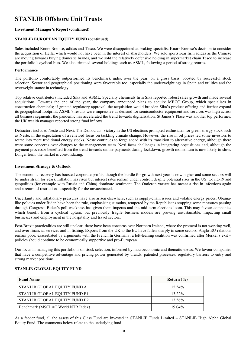#### **Investment Manager's Report (continued)**

#### **STANLIB EUROPEAN EQUITY FUND (continued)**

Sales included Knorr-Bremse, adidas and Tesco. We were disappointed at braking specialist Knorr-Bremse's decision to consider the acquisition of Hella, which would not have been in the interest of shareholders. We sold sportswear firm adidas as the Chinese are moving towards buying domestic brands, and we sold the relatively defensive holding in supermarket chain Tesco to increase the portfolio's cyclical bias. We also trimmed several holdings such as ASML, following a period of strong returns.

#### **Performance**

The portfolio comfortably outperformed its benchmark index over the year, on a gross basis, boosted by successful stock selection. Sector and geographical positioning were favourable too, especially the underweightings in Spain and utilities and the overweight stance in technology.

Top relative contributors included Sika and ASML. Specialty chemicals firm Sika reported robust sales growth and made several acquisitions. Towards the end of the year, the company announced plans to acquire MBCC Group, which specialises in construction chemicals; if granted regulatory approval, the acquisition would broaden Sika's product offering and further expand its geographical footprint. ASML's results were impressive as demand for semiconductor equipment and services was high across all business segments; the pandemic has accelerated the trend towards digitalisation. St James's Place was another top performer; the UK wealth manager reported strong fund inflows.

Detractors included Neste and Nexi. The Democrats' victory in the US elections prompted enthusiasm for green energy stock such as Neste, in the expectation of a renewed focus on tackling climate change. However, the rise in oil prices led some investors to rotate into more traditional energy stocks. Neste continues to forge ahead with its transition to alternative energy, although there were some concerns over changes to the management team. Nexi faces challenges in integrating acquisitions and, although the payment processor benefited from the trend towards online payments during lockdown, growth momentum is now likely to slow. Longer term, the market is consolidating.

#### **Investment Strategy & Outlook**

The economic recovery has boosted corporate profits, though the hurdle for growth next year is now higher and some sectors will be under strain for years. Inflation has risen but interest rates remain under control, despite potential rises in the US. Covid-19 and geopolitics (for example with Russia and China) dominate sentiment. The Omicron variant has meant a rise in infections again and a return of restrictions, especially for the unvaccinated.

Uncertainty and inflationary pressures have also arisen elsewhere, such as supply-chain issues and volatile energy prices. Obamalike policies under Biden have been the rule, emphasising stimulus, tempered by the Republicans stopping some measures passing through Congress; Biden's poll weakness has given them impetus and the mid-term elections loom. This may favour companies which benefit from a cyclical upturn, but previously fragile business models are proving unsustainable, impacting small businesses and employment in the hospitality and travel sectors.

Post-Brexit practicalities are still unclear; there have been concerns over Northern Ireland, where the protocol is not working well, and over financial services and in fishing. Exports from the UK to the EU have fallen sharply in some sectors. Anglo-EU relations remain poor, exacerbated by arguments with the French.In Germany, a left-leaning coalition was confirmed after Merkel's exit – policies should continue to be economically supportive and pro-European.

Our focus in managing this portfolio is on stock selection, informed by macroeconomic and thematic views. We favour companies that have a competitive advantage and pricing power generated by brands, patented processes, regulatory barriers to entry and strong market positions.

#### **STANLIB GLOBAL EQUITY FUND**

| <b>Fund Name</b>                    | Return $(\% )$ |
|-------------------------------------|----------------|
| STANLIB GLOBAL EQUITY FUND A        | 12.54%         |
| STANLIB GLOBAL EQUITY FUND B1       | 13.22%         |
| STANLIB GLOBAL EQUITY FUND B2       | 13.56%         |
| Benchmark (MSCI AC World NTR Index) | 19.04%         |

As a feeder fund, all the assets of this Class Fund are invested in STANLIB Funds Limited – STANLIB High Alpha Global Equity Fund. The comments below relate to the underlying fund.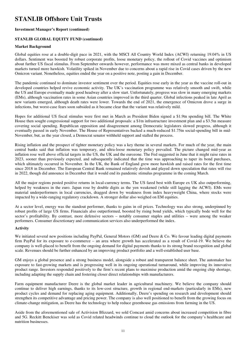#### **Investment Manager's Report (continued)**

#### **STANLIB GLOBAL EQUITY FUND (continued)**

#### **Market Background**

Global equities rose at a double-digit pace in 2021, with the MSCI All Country World Index (ACWI) returning 19.04% in US dollars. Sentiment was boosted by robust corporate profits, loose monetary policy, the rollout of Covid vaccines and optimism about further US fiscal stimulus. From September onwards however, performance was more mixed as central banks in developed markets turned more hawkish. Volatility spiked in November due to concerns about a rapid rise in Covid cases driven by the new Omicron variant. Nonetheless, equities ended the year on a positive note, posting a gain in December.

The pandemic continued to dominate investor sentiment over the period. Equities rose early in the year as the vaccine roll-out in developed countries helped revive economic activity. The UK's vaccination programme was relatively smooth and swift, while the US and Europe eventually made good headway after a slow start. Unfortunately, progress was slow in many emerging markets (EMs), although vaccination rates in some Asian countries improved in the third quarter. Global infections peaked in late April as new variants emerged, although death rates were lower. Towards the end of 2021, the emergence of Omicron drove a surge in infections, but worst-case fears soon subsided as it became clear that the variant was relatively mild.

Hopes for additional US fiscal stimulus were first met in March as President Biden signed a \$1.9tn spending bill. The White House then sought congressional support for two additional proposals: a \$1tn infrastructure investment plan and a \$3.5tn measure covering social spending. Republican opposition and disagreement among Democratic legislators slowed progress, although it eventually passed in early November. The House of Representatives backed a much-reduced \$1.75tn social-spending bill in mid-November, but, as the year closed, a Democrat senator withheld support and stalled the process.

Rising inflation and the prospect of tighter monetary policy was a key theme in several markets. For much of the year, the main central banks said that inflation was temporary, and ultra-loose monetary policy prevailed. The picture changed mid-year as inflation rose well above official targets in the US, the UK and the eurozone. The Fed suggested in June that it might raise rates in 2023, sooner than previously expected, and subsequently indicated that the time was approaching to taper its bond purchases, which ultimately occurred in November. In the UK, the Bank of England grew more hawkish and raised rates for the first time since 2018 in December. The European Central Bank remained relatively dovish and played down speculation that rates will rise in 2022, though did announce in December that it would end its pandemic stimulus programme in the coming March.

All the major regions posted positive returns in local-currency terms. The US fared best with Europe ex UK also outperforming, helped by weakness in the euro. Japan rose by double digits as the yen weakened (while still lagging the ACWI). EMs were material underperformers in local currencies, dragged down by weakness from index heavyweight China, where stocks were impacted by a wide-ranging regulatory crackdown. A stronger dollar also weighed on EM equities.

At a sector level, energy was the standout performer, thanks to gains in oil prices. Technology was also strong, underpinned by robust profits of large US firms. Financials also outperformed, boosted by rising bond yields, which typically bode well for the sector's profitability. By contrast, more defensive sectors – notably consumer staples and utilities – were among the weaker performers. Consumer discretionary and communication services also underperformed the index.

#### **Activity**

We initiated several new positions including PayPal, General Motors (GM) and Deere & Co. We favour leading digital payments firm PayPal for its exposure to e-commerce – an area where growth has accelerated as a result of Covid-19. We believe the company is well-placed to benefit from the ongoing demand for digital payments thanks to its strong brand recognition and global scale. Revenues should be further enhanced by an improving product portfolio and a well-established user base.

GM enjoys a global presence and a strong business model, alongside a robust and transparent balance sheet. The automaker has exposure to fast-growing markets and is progressing well in its ongoing operational turnaround, while improving its innovative product range. Investors responded positively to the firm's recent plans to maximise production amid the ongoing chip shortage, including adapting the supply chain and fostering closer direct relationships with manufacturers.

Farm equipment manufacturer Deere is the global market leader in agricultural machinery. We believe the company should continue to deliver high earnings, thanks to its low-cost structure, growth in regional end-markets (particularly in EMs), new product cycles and demand for replacing aging equipment. Additionally, Deere's spending on research and development should strengthen its competitive advantage and pricing power. The company is also well positioned to benefit from the growing focus on climate-change mitigation, as Deere has the technology to help reduce greenhouse gas emissions from farming in the US.

Aside from the aforementioned sale of Activision Blizzard, we sold Comcast amid concerns about increased competition in fibre and 5G. Reckitt Benckiser was sold as Covid related headwinds continue to cloud the outlook for the company's healthcare and nutrition businesses.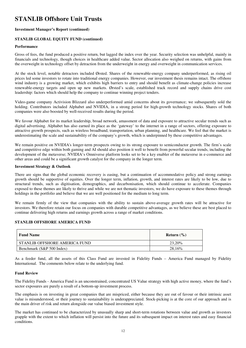#### **Investment Manager's Report (continued)**

#### **STANLIB GLOBAL EQUITY FUND (continued)**

#### **Performance**

Gross of fees, the fund produced a positive return, but lagged the index over the year. Security selection was unhelpful, mainly in financials and technology, though choices in healthcare added value. Sector allocation also weighed on returns, with gains from the overweight in technology offset by detraction from the underweight in energy and overweight in communication services.

At the stock level, notable detractors included Ørsted. Shares of the renewable-energy company underperformed, as rising oil prices led some investors to rotate into traditional energy companies. However, our investment thesis remains intact. The offshore wind industry is a growing market, which exhibits high barriers to entry and should benefit as climate-change policies increase renewable-energy targets and open up new markets. Ørsted's scale, established track record and supply chains drive cost leadership: factors which should help the company to continue winning project tenders.

Video-game company Activision Blizzard also underperformed amid concerns about its governance; we subsequently sold the holding. Contributors included Alphabet and NVIDIA, in a strong period for high-growth technology stocks. Shares of both companies were also boosted by well-received results during the period.

We favour Alphabet for its market leadership, broad network, amassment of data and exposure to attractive secular trends such as digital advertising. Alphabet has also earned its place as the 'gateway' to the internet in a range of sectors, offering exposure to attractive growth prospects, such as wireless broadband, transportation, urban planning, and healthcare. We feel that the market is underestimating the scale and sustainability of the company's growth, which is underpinned by these competitive advantages.

We remain positive on NVIDIA's longer-term prospects owing to its strong exposure to semiconductor growth. The firm's scale and competitive edge within both gaming and AI should also position it well to benefit from powerful secular trends, including the development of the metaverse; NVIDIA's Omniverse platform looks set to be a key enabler of the metaverse in e-commerce and other areas and could be a significant growth catalyst for the company in the longer term.

#### **Investment Strategy & Outlook**

There are signs that the global economic recovery is easing, but a continuation of accommodative policy and strong earnings growth should be supportive of equities. Over the longer term, inflation, growth, and interest rates are likely to be low, due to structural trends, such as digitisation, demographics, and decarbonisation, which should continue to accelerate. Companies exposed to these themes are likely to thrive and while we are not thematic investors, we do have exposure to these themes through holdings in the portfolio and believe that we are well positioned for the medium to long term.

We remain firmly of the view that companies with the ability to sustain above-average growth rates will be attractive for investors. We therefore retain our focus on companies with durable competitive advantages, as we believe these are best placed to continue delivering high returns and earnings growth across a range of market conditions.

#### **STANLIB OFFSHORE AMERICA FUND**

| <b>Fund Name</b>              | Return $(\% )$ |
|-------------------------------|----------------|
| STANLIB OFFSHORE AMERICA FUND | 23,20%         |
| Benchmark (S&P 500 Index)     | 28,16%         |

As a feeder fund, all the assets of this Class Fund are invested in Fidelity Funds – America Fund managed by Fidelity International. The comments below relate to the underlying fund.

#### **Fund Review**

The Fidelity Funds - America Fund is an unconstrained, concentrated US Value strategy with high active money, where the fund's sector exposures are purely a result of a bottom-up investment process.

The emphasis is on investing in great companies that are mispriced, either because they are out of favour or their intrinsic asset value is misunderstood, or their journey to sustainability is underappreciated. Stock-picking is at the core of our approach and is the main driver of risk and return alongside our value biased investment style.

The market has continued to be characterized by unusually sharp and short-term rotations between value and growth as investors grapple with the extent to which inflation will persist into the future and its subsequent impact on interest rates and easy financial conditions.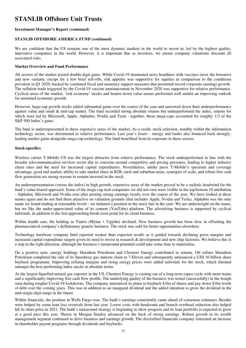#### **Investment Manager's Report (continued)**

#### **STANLIB OFFSHORE AMERICA FUND (continued)**

We are confident that the US remains one of the most dynamic markets in the world to invest in, led by the highest quality, innovative companies in the world. However, it is important that as investors, we ensure company valuations discount all associated risks.

#### **Market Overview and Fund Performance**

All sectors of the market posted double-digit gains. While Covid-19 dominated news headlines with vaccines (now the boosters) and new variants, except for a few brief sell-offs, risk appetite was supportive for equities in comparison to the conditions prevalent in Q1 2020, backed by continued fiscal and monetary support measures that permitted record corporate earnings growth. The reflation trade triggered by the Covid-19 vaccine announcement in November 2020 was supportive for relative performance. Cyclical areas of the market, 'real economy' stocks and beaten down value names performed well amidst an improving outlook for sustained economic growth.

However, large-cap growth stocks added substantial gains over the course of the year and narrowed down their underperformance against value and small & mid-cap names. The fund recorded strong absolute returns but underperformed the index, returns for which were led by Microsoft, Apple, Alphabet, Nvidia and Tesla - together, these mega-caps accounted for roughly 1/3 of the S&P 500 Index's gains.

The fund is underrepresented in these expensive areas of the market. As a result, stock selection, notably within the information technology sector, was detrimental to relative performance. Last year's losers - energy and banks also bounced back strongly, leading market gains alongside mega-cap technology. The fund benefitted from its exposure to these sectors.

#### **Stock-specifics**

Wireless carrier T-Mobile US was the largest detractor from relative performance. The stock underperformed in line with the broader telecommunication services sector due to concerns around competitive and pricing pressures, leading to higher industry churn rates and the need for increased capital expenditures. Nevertheless, unlike peers T-Mobile's spectrum and coverage advantage, good end market, ability to take market share in B2B, rural and suburban areas, synergies of scale, and robust free cash flow generation are strong reasons to remain invested in the stock.

An underrepresentation (versus the index) in high growth, expensive areas of the market proved to be a stylistic headwind for the fund's value-biased approach. Some of the mega-cap tech companies we did not own were visible in the top/bottom 10 attribution - Alphabet, Microsoft and Nvidia rose after posting strong earnings results over the course of the year. We have looked at these names again and do not find them attractive on valuation grounds (that includes Apple, Nvidia and Tesla). Alphabet was the only name we found trading at reasonable levels - we initiated a position in the stock late in the year. We are underweight on the name, but we like the under-appreciated value of its content (YouTube) platform. The advertising business is supported by cyclical tailwinds, in addition to the fast-approaching break-even point for its cloud business.

Within health care, the holding in Viatris (Mylan + Upjohn) declined. New business growth has been slow in offsetting the pharmaceutical company's deflationary generic business. The stock was sold for better opportunities elsewhere.

Technology hardware company Intel reported weaker than expected results as it guided towards declining gross margins and increased capital expenditure targets given its need to invest in research & development and new chip factories. We believe this is a step in the right direction, although the business's turnaround potential could take some time to materialise.

On a positive note, energy holdings Marathon Petroleum and Cheniere Energy contributed to returns. Oil refiner Marathon Petroleum completed the sale of its Speedway gas stations chain to 7-Eleven and subsequently announced a US\$ 10 billion share buyback programme. Improving refining margins and rising energy prices were added tailwinds for the stock, which finished amongst the best performing index stocks in absolute terms.

As the largest liquefied natural gas exporter in the US, Cheniere Energy is coming out of a long-term capex cycle with more trains and a significantly improving free cash flow profile. The underlying quality of the business was tested (successfully) in the trough seen during tougher Covid-19 lockdowns. The company announced its plans to buyback \$1bn of shares and pay down \$1bn worth of debt over the coming years. This was in addition to an inaugural dividend and the added intention to grow the dividend in the mid-single-digit range in the future.

Within financials, the position in Wells Fargo rose. The bank's earnings consistently came ahead of consensus estimates. Results were helped by some loan loss reversals from last year. Lower costs with headcount and branch overhead reduction also helped lift its share price in 2021. The bank's turnaround strategy is beginning to show progress and its loan portfolio is expected to grow at a good pace this year. Shares in Morgan Stanley advanced on the back of strong earnings. Robust growth in its wealth management segment continued to drive business and earnings growth. The diversified financials company reiterated an increase in shareholder payout programs through dividends and buybacks.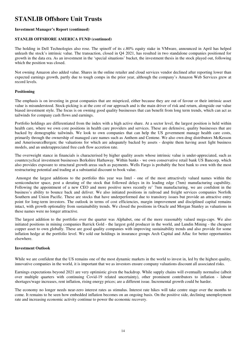#### **Investment Manager's Report (continued)**

#### **STANLIB OFFSHORE AMERICA FUND (continued)**

The holding in Dell Technologies also rose. The spinoff of its c.80% equity stake in VMware, announced in April has helped unleash the stock's intrinsic value. The transaction, closed in Q4 2021, has resulted in two standalone companies positioned for growth in the data era. As an investment in the 'special situations' bucket, the investment thesis in the stock played out, following which the position was closed.

Not owning Amazon also added value. Shares in the online retailer and cloud services vendor declined after reporting lower than expected earnings growth, partly due to tough comps in the prior year, although the company's Amazon Web Services grew at record levels.

#### **Positioning**

The emphasis is on investing in great companies that are mispriced, either because they are out of favour or their intrinsic asset value is misunderstood. Stock-picking is at the core of our approach and is the main driver of risk and return, alongside our value biased investment style. The focus is on owning good quality businesses that can benefit from long term trends, which can act as tailwinds for company cash flows and earnings.

Portfolio holdings are differentiated from the index with a high active share. At a sector level, the largest position is held within health care, where we own core positions in health care providers and services. These are defensive, quality businesses that are backed by demographic tailwinds. We look to own companies that can help the US government manage health care costs, primarily through the ownership of managed care names such as Anthem and Centene. We also own drug distributors McKesson and AmerisourceBergen; the valuations for which are adequately backed by assets - despite them having asset light business models, and an underappreciated free cash flow accretion rate.

The overweight stance in financials is characterised by higher quality assets whose intrinsic value is under-appreciated, such as countercyclical investment businesses Berkshire Hathaway. Within banks - we own conservative retail bank US Bancorp, which also provides exposure to structural growth areas such as payments. Wells Fargo is probably the best bank to own with the most restructuring potential and trading at a substantial discount to book value.

 Amongst the largest additions to the portfolio this year was Intel - one of the most attractively valued names within the semiconductor space, post a derating of the stock that followed delays in its leading edge (7nm) manufacturing capability. Following the appointment of a new CEO and more positive news recently re' 7nm manufacturing, we are confident in the business's ability to bounce back and deliver. We also initiated positions in railroad and freight services companies Norfolk Southern and Union Pacific. These are stocks that have underperformed due to transitory issues but provide an attractive entry point for long-term investors. The outlook in terms of cost efficiencies, margin improvement and disciplined capital remains intact, with growth optionality from sustainability trends. We closed the positions in Oracle and Morgan Stanley as valuations in these names were no longer attractive.

The largest addition to the portfolio over the quarter was Alphabet, one of the more reasonably valued mega-caps. We also initiated positions in mining companies Barrick Gold - the largest gold producer in the world, and Lundin Mining - the cheapest copper asset to own globally. These are good quality companies with improving sustainability trends and also provide for some inflation hedge at the portfolio level. We sold our holdings in insurance groups Arch Capital and Aflac for better opportunities elsewhere.

#### **Investment Outlook**

While we are confident that the US remains one of the most dynamic markets in the world to invest in, led by the highest quality, innovative companies in the world, it is important that we as investors ensure company valuations discount all associated risks.

Earnings expectations beyond 2021 are very optimistic given the backdrop. While supply chains will eventually normalise (albeit over multiple quarters with continuing Covid-19 related uncertainty), other prominent contributors to inflation - labour shortages/wage increases, rent inflation, rising energy prices; are a different issue. Incremental growth could be harder.

The economy no longer needs near-zero interest rates as stimulus. Interest rate hikes will take centre stage over the months to come. It remains to be seen how embedded inflation becomes on an ongoing basis. On the positive side, declining unemployment rate and increasing economic activity continue to power the economic recovery.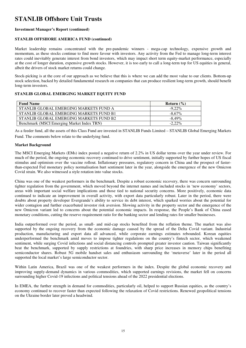#### **Investment Manager's Report (continued)**

#### **STANLIB OFFSHORE AMERICA FUND (continued)**

Market leadership remains concentrated with the pre-pandemic winners - mega-cap technology, expensive growth and momentum, as these stocks continue to find more favour with investors. Any activity from the Fed to manage long-term interest rates could inevitably generate interest from bond investors, which may impact short term equity-market performance, especially at the cost of longer duration, expensive growth stocks. However, it is too early to call a long-term top for US equities in general, albeit the drivers of stock market returns could change.

Stock-picking is at the core of our approach as we believe that this is where we can add the most value to our clients. Bottom-up stock selection, backed by detailed fundamental research on companies that can produce resilient long-term growth, should benefit long-term investors.

#### **STANLIB GLOBAL EMERGING MARKET EQUITY FUND**

| <b>Fund Name</b>                           | Return $(\% )$ |
|--------------------------------------------|----------------|
| STANLIB GLOBAL EMERGING MARKETS FUND A     | $-9.22\%$      |
| STANLIB GLOBAL EMERGING MARKETS FUND B1    | $-8.67\%$      |
| STANLIB GLOBAL EMERGING MARKETS FUND B2    | $-8.49\%$      |
| Benchmark (MSCI Emerging Market Index TRN) | $-2.22\%$      |

As a feeder fund, all the assets of this Class Fund are invested in STANLIB Funds Limited – STANLIB Global Emerging Markets Fund. The comments below relate to the underlying fund.

#### **Market Background**

The MSCI Emerging Markets (EMs) index posted a negative return of 2.2% in US dollar terms over the year under review. For much of the period, the ongoing economic recovery continued to drive sentiment, initially supported by further hopes of US fiscal stimulus and optimism over the vaccine rollout. Inflationary pressures, regulatory concern in China and the prospect of fasterthan-expected Fed monetary policy normalisation hurt sentiment later in the year, alongside the emergence of the new Omicron Covid strain. We also witnessed a style rotation into value stocks.

China was one of the weakest performers in the benchmark. Despite a robust economic recovery, there was concern surrounding tighter regulation from the government, which moved beyond the internet names and included stocks in 'new economy' sectors, areas with important social welfare implications and those tied to national security concerns. More positively, economic data continued to indicate an improvement in overall activity, with export data particularly robust. Later in the period, there were doubts about property developer Evergrande's ability to service its debt interest, which sparked worries about the potential for wider contagion and further exacerbated investor risk aversion. Slowing activity in the property sector and the emergence of the new Omicron variant led to concerns about the potential economic impacts. In response, the People's Bank of China eased monetary conditions, cutting the reserve requirement ratio for the banking sector and lending rates for smaller businesses.

India outperformed over the period, as small- and mid-cap stocks benefited from the reflation theme. The market was also supported by the ongoing recovery from the economic damage caused by the spread of the Delta Covid variant. Industrial production, manufacturing and export data all advanced, while corporate earnings estimates rebounded. Korean equities underperformed the benchmark amid moves to impose tighter regulations on the country's fintech sector, which weakened sentiment, while surging Covid infections and social distancing controls prompted greater investor caution. Taiwan significantly beat the benchmark, supported by supply restrictions at foundries, with sharp price increases in memory chips benefiting semiconductor shares. Robust 5G mobile handset sales and enthusiasm surrounding the 'metaverse' later in the period all supported the local market's large semiconductor sector.

Within Latin America, Brazil was one of the weakest performers in the index. Despite the global economic recovery and improving supply-demand dynamics in various commodities, which supported earnings revisions, the market fell on concerns surrounding higher Covid-19 infections and political tensions ahead of the 2022 presidential elections.

In EMEA, the further strength in demand for commodities, particularly oil, helped to support Russian equities, as the country's economy continued to recover faster than expected following the relaxation of Covid restrictions. Renewed geopolitical tensions on the Ukraine border later proved a headwind.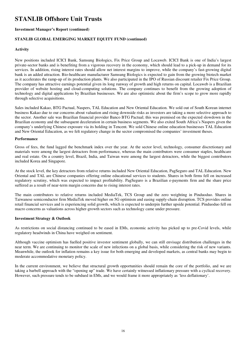#### **Investment Manager's Report (continued)**

#### **STANLIB GLOBAL EMERGING MARKET EQUITY FUND (continued)**

#### **Activity**

New positions included ICICI Bank, Samsung Biologics, Fix Price Group and Locaweb. ICICI Bank is one of India's largest private-sector banks and is benefiting from a vigorous recovery in the economy, which should lead to a pick-up in demand for its services. In addition, rising interest rates should allow net interest margins to improve, while the company's fast-growing digital bank is an added attraction. Bio-healthcare manufacturer Samsung Biologics is expected to gain from the growing biotech market as it accelerates the ramp-up of its production plants. We also participated in the IPO of Russian discount retailer Fix Price Group. The company has attractive earnings potential given its long runway of growth and high returns on capital. Locaweb is a Brazilian provider of website hosting and cloud-computing solutions. The company continues to benefit from the growing adoption of technology and digital applications by Brazilian businesses. We are also optimistic about the firm's scope to grow more rapidly through selective acquisitions.

Sales included Kakao, BTG Pactual, Naspers, TAL Education and New Oriental Education. We sold out of South Korean internet business Kakao due to our concerns about valuation and rising downside risks as investors are taking a more selective approach to the sector. Another sale was Brazilian financial provider Banco BTG Pactual; this was premised on the expected slowdown in the Brazilian economy and the subsequent deceleration in certain business segments. We also exited South Africa's Naspers given the company's underlying Chinese exposure via its holding in Tencent. We sold Chinese online education businesses TAL Education and New Oriental Education, as we felt regulatory change in the sector compromised the companies' investment theses.

#### **Performance**

Gross of fees, the fund lagged the benchmark index over the year. At the sector level, technology, consumer discretionary and materials were among the largest detractors from performance, whereas the main contributors were consumer staples, healthcare and real estate. On a country level, Brazil, India, and Taiwan were among the largest detractors, while the biggest contributors included Korea and Singapore.

At the stock level, the key detractors from relative returns included New Oriental Education, PagSeguro and TAL Education. New Oriental and TAL are Chinese companies offering online educational services to students. Shares in both firms fell on increased regulatory scrutiny, which was expected to impact profitability. PagSeguro is a Brazilian e-payments firm and the share price suffered as a result of near-term margin concerns due to rising interest rates.

The main contributors to relative returns included MediaTek, TCS Group and the zero weighting in Pinduoduo. Shares in Taiwanese semiconductor firm MediaTek moved higher on 5G optimism and easing supply-chain disruption. TCS provides online retail financial services and is experiencing solid growth, which is expected to underpin further upside potential. Pinduoduo fell on macro concerns as valuations across higher-growth sectors such as technology came under pressure.

#### **Investment Strategy & Outlook**

As restrictions on social distancing continued to be eased in EMs, economic activity has picked up to pre-Covid levels, while regulatory headwinds in China have weighed on sentiment.

Although vaccine optimism has fuelled positive investor sentiment globally, we can still envisage distribution challenges in the near term. We are continuing to monitor the scale of new infections on a global basis, while considering the risk of new variants. Meanwhile, the outlook for inflation remains a key issue for both emerging and developed markets, as central banks may begin to moderate accommodative monetary policy.

In the current environment, we believe that structural growth opportunities should remain the core of the portfolio, and we are taking a barbell approach with the "opening up" trade. We have certainly witnessed inflationary pressure with a cyclical recovery. However, such pressure tends to be subdued in EMs, and we would frame it more appropriately as 'less deflationary'.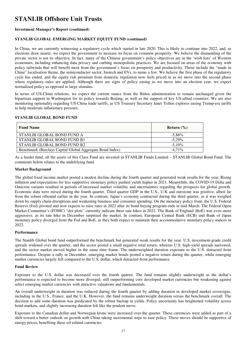#### **Investment Manager's Report (continued)**

#### **STANLIB GLOBAL EMERGING MARKET EQUITY FUND (continued)**

In China, we are currently witnessing a regulatory cycle which started in late 2020. This is likely to continue into 2022, and, as elections draw nearer, we expect the government to increase its focus on common prosperity. We believe the dismantling of the private sector is not its objective. In fact, many of the Chinese government's policy objectives are in the 'wish lists' of Western economies, including enhancing data privacy and curbing monopolistic practices. We are focused on areas of the economy with policy tailwinds that will benefit most from the government's focus on prosperity and productivity. These include the "made in China" localisation theme, the semiconductor sector, biotech and EVs, to name a few. We believe the first phase of the regulatory cycle has ended, and the equity risk premium from domestic regulation now feels priced in as we move into the second phase where regulatory rules are applied. Although there are signs of policy easing as we move into an election year, we expect normalised policy as opposed to large stimulus.

In terms of US-China relations, we expect the current stance from the Biden administration to remain unchanged given the bipartisan support in Washington for its policy towards Beijing, as well as the support of key US-allied countries. We are also monitoring optionality regarding US-China trade tariffs, as US Treasury Secretary Janet Yellen explores easing Trump-era tariffs to help moderate inflationary pressure.

#### **STANLIB GLOBAL BOND FUND**

| <b>Fund Name</b>                                         | Return $(\% )$ |
|----------------------------------------------------------|----------------|
| STANLIB GLOBAL BOND FUND A                               | $-5.86\%$      |
| STANLIB GLOBAL BOND FUND B1                              | $-5.29\%$      |
| STANLIB GLOBAL BOND FUND B2                              | $-5.10\%$      |
| Benchmark (Barclays Capital Global Aggregate Bond Index) | $-4.71\%$      |

As a feeder fund, all the assets of this Class Fund are invested in STANLIB Funds Limited – STANLIB Global Bond Fund. The comments below relates to the undelrlying fund.

#### **Market Background**

The global fixed income market posted a modest decline during the fourth quarter and generated weak results for the year. Rising inflation and expectations for less supportive monetary policy pushed yields higher in 2021. Meanwhile, the COVID-19 Delta and Omicron variants resulted in periods of increased market volatility and uncertainties regarding the prospects for global growth. Economic data were mixed during the fourth quarter. Third quarter GDP in the U.S., U.K and eurozone was positive, albeit far from the robust rebound earlier in the year. In contrast, Japan's economy contracted during the third quarter, as it was weighed down by supply chain disruptions and weakening business and consumer spending. On the monetary policy front, the U.S. Federal Reserve (Fed) pivoted and now expects to raise rates in 2022 after its bond buying program ends in mid-March. The Federal Open Market Committee's (FOMC) "dot plots" currently indicate three rate hikes in 2022. The Bank of England (BoE) was even more aggressive, as its rate hike in December surprised the market. In contrast, European Central Bank (ECB) and Bank of Japan monetary policy diverged from the Fed and BoE, as they both expect to maintain their accommodative monetary policy stances in 2022.

#### **Performance**

The Stanlib Global bond fund outperformed the benchmark but generated weak results for the year. U.S. investment-grade credit spreads widened over the quarter, and the sector posted a small negative total return, whereas U.S. high-yield spreads narrowed, and the sector market moved higher in the same time frame. The underweighted duration exposure to the U.S. detracted from performance. Despite a rally in December, emerging market bonds posted a negative return during the quarter, while emerging market currencies largely fell compared to the U.S. dollar, which detracted from performance.

#### **Fund Review**

Exposure to the U.S. dollar was decreased over the fourth quarter. The fund remains slightly underweight as the dollar's performance is expected to become more diverged, still outperforming core developed market currencies but weakening against select emerging market currencies with attractive valuations and fundamentals.

An overall underweight in duration was reduced during the fourth quarter by adding duration in developed market sovereigns, including in the U.S., France, and the U.K. However, the fund remains underweight duration versus the benchmark overall. The decision to add some duration was predicated by the robust backup in yields. Policy uncertainty has heightened volatility across bond markets, and slightly increasing duration felt like the prudent move.

Exposure to the Canadian dollar and Norwegian krone were increased over the quarter. These currencies were added as part of a shift toward a better outlook on growth with China taking incremental steps to ease policy. These moves should be supportive of energy prices, benefiting these oil-related currencies.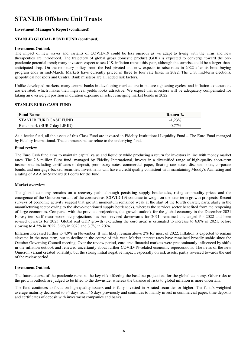#### **Investment Manager's Report (continued)**

#### **STANLIB GLOBAL BOND FUND (continued)**

#### **Investment Outlook**

The impact of new waves and variants of COVID-19 could be less onerous as we adapt to living with the virus and new therapeutics are introduced. The trajectory of global gross domestic product (GDP) is expected to converge toward the prepandemic potential trend; many investors expect to see U.S. inflation retreat this year, although the surprise could be a larger-thananticipated drop. On the monetary policy front, the Fed pivoted and now expects to raise rates in 2022 after its bond-buying program ends in mid-March. Markets have currently priced in three to four rate hikes in 2022. The U.S. mid-term elections, geopolitical hot spots and Central Bank missteps are all added risk factors.

Unlike developed markets, many central banks in developing markets are in mature tightening cycles, and inflation expectations are elevated, which makes their high real yields looks attractive. We expect that investors will be adequately compensated for taking an overweight position in duration exposure in select emerging market bonds in 2022.

#### **STANLIB EURO CASH FUND**

| <b>Fund Name</b>            | Return %  |
|-----------------------------|-----------|
| STANLIB EURO CASH FUND      | $-1.23\%$ |
| Benchmark (EUR 7-day LIBID) | $-0.77\%$ |

As a feeder fund, all the assets of this Class Fund are invested in Fidelity Institutional Liquidity Fund – The Euro Fund managed by Fidelity International. The comments below relate to the underlying fund.

#### **Fund review**

The Euro Cash fund aims to maintain capital value and liquidity while producing a return for investors in line with money market rates. The 2.8 million Euro fund, managed by Fidelity International, invests in a diversified range of high-quality short-term instruments including certificates of deposit, promissory notes, commercial paper, floating rate notes, discount notes, corporate bonds, and mortgage-backed securities. Investments will have a credit quality consistent with maintaining Moody's Aaa rating and a rating of AAA by Standard & Poor's for the fund.

#### **Market overview**

The global economy remains on a recovery path, although persisting supply bottlenecks, rising commodity prices and the emergence of the Omicron variant of the coronavirus (COVID-19) continue to weigh on the near-term growth prospects. Recent surveys of economic activity suggest that growth momentum remained weak at the start of the fourth quarter, particularly in the manufacturing sector owing to the above-mentioned supply bottlenecks, whereas the services sector benefited from the reopening of large economies. Compared with the previous projections, the growth outlook for the global economy in the December 2021 Eurosystem staff macroeconomic projections has been revised downwards for 2021, remained unchanged for 2022 and been revised upwards for 2023. Global real GDP growth (excluding the euro area) is estimated to increase to 6.0% in 2021, before slowing to 4.5% in 2022, 3.9% in 2023 and 3.7% in 2024.

Inflation increased further to 4.9% in November. It will likely remain above 2% for most of 2022. Inflation is expected to remain elevated in the near term, but to decline in the course of this year. Market interest rates have remained broadly stable since the October Governing Council meeting. Over the review period, euro area financial markets were predominantly influenced by shifts in the inflation outlook and renewed uncertainty about further COVID-19-related economic repercussions. The news of the new Omicron variant created volatility, but the strong initial negative impact, especially on risk assets, partly reversed towards the end of the review period.

#### **Investment Outlook**

The future course of the pandemic remains the key risk affecting the baseline projections for the global economy. Other risks to the growth outlook are judged to be tilted to the downside, whereas the balance of risks to global inflation is more uncertain.

The fund continues to focus on high quality issuers and is fully invested in A-rated securities or higher. The fund's weighted average maturity decreased to 34 days from 46 days previously and continues to mainly invest in commercial paper, time deposits and certificates of deposit with investment companies and banks.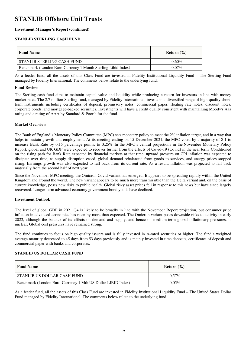#### **Investment Manager's Report (continued)**

#### **STANLIB STERLING CASH FUND**

| <b>Fund Name</b>                                              | Return $(\% )$ |
|---------------------------------------------------------------|----------------|
| STANLIB STERLING CASH FUND                                    | $-0.60\%$      |
| Benchmark (London Euro-Currency 1 Month Sterling Libid Index) | $-0.07\%$      |

As a feeder fund, all the assets of this Class Fund are invested in Fidelity Institutional Liquidity Fund – The Sterling Fund managed by Fidelity International. The comments below relate to the underlying fund.

#### **Fund Review**

The Sterling cash fund aims to maintain capital value and liquidity while producing a return for investors in line with money market rates. The 2.7 million Sterling fund, managed by Fidelity International, invests in a diversified range of high-quality shortterm instruments including certificates of deposit, promissory notes, commercial paper, floating rate notes, discount notes, corporate bonds, and mortgage-backed securities. Investments will have a credit quality consistent with maintaining Moody's Aaa rating and a rating of AAA by Standard & Poor's for the fund.

#### **Market Overview**

The Bank of England's Monetary Policy Committee (MPC) sets monetary policy to meet the 2% inflation target, and in a way that helps to sustain growth and employment. At its meeting ending on 15 December 2021, the MPC voted by a majority of 8-1 to increase Bank Rate by 0.15 percentage points, to 0.25%. In the MPC's central projections in the November Monetary Policy Report, global and UK GDP were expected to recover further from the effects of Covid-19 (Covid) in the near term. Conditioned on the rising path for Bank Rate expected by financial markets at that time, upward pressure on CPI inflation was expected to dissipate over time, as supply disruption eased, global demand rebalanced from goods to services, and energy prices stopped rising. Earnings growth was also expected to fall back from its current rate. As a result, inflation was projected to fall back materially from the second half of next year.

Since the November MPC meeting, the Omicron Covid variant has emerged. It appears to be spreading rapidly within the United Kingdom and around the world. The new variant appears to be much more transmissible than the Delta variant and, on the basis of current knowledge, poses new risks to public health. Global risky asset prices fell in response to this news but have since largely recovered. Longer-term advanced-economy government bond yields have declined.

#### **Investment Outlook**

The level of global GDP in 2021 Q4 is likely to be broadly in line with the November Report projection, but consumer price inflation in advanced economies has risen by more than expected. The Omicron variant poses downside risks to activity in early 2022, although the balance of its effects on demand and supply, and hence on medium-term global inflationary pressures, is unclear. Global cost pressures have remained strong.

The fund continues to focus on high quality issuers and is fully invested in A-rated securities or higher. The fund's weighted average maturity decreased to 45 days from 53 days previously and is mainly invested in time deposits, certificates of deposit and commercial paper with banks and corporates.

#### **STANLIB US DOLLAR CASH FUND**

| <b>Fund Name</b>                                             | Return $(\% )$ |
|--------------------------------------------------------------|----------------|
| STANLIB US DOLLAR CASH FUND                                  | $-0.57\%$      |
| Benchmark (London Euro-Currency 1 Mth US Dollar LIBID Index) | $-0.05\%$      |

As a feeder fund, all the assets of this Class Fund are invested in Fidelity Institutional Liquidity Fund – The United States Dollar Fund managed by Fidelity International. The comments below relate to the underlying fund.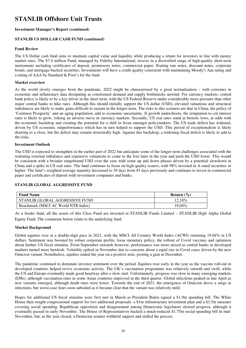#### **Investment Manager's Report (continued)**

#### **STANLIB US DOLLAR CASH FUND (continued)**

#### **Fund Review**

The US Dollar cash fund aims to maintain capital value and liquidity while producing a return for investors in line with money market rates. The \$7.4 million Fund, managed by Fidelity International, invests in a diversified range of high-quality short-term instruments including certificates of deposit, promissory notes, commercial paper, floating rate notes, discount notes, corporate bonds, and mortgage-backed securities. Investments will have a credit quality consistent with maintaining Moody's Aaa rating and a rating of AAA by Standard & Poor's for the fund.

#### **Market overview**

As the world slowly emerges from the pandemic, 2022 might be characterised by a great normalisation – with extremes in economic and inflationary data dissipating as constrained demand and supply bottlenecks unwind. For currency markets, central bank policy is likely to be a key driver in the short term, with the US Federal Reserve under considerably more pressure than other major central banks to hike rates. Although this should initially support the US dollar (USD), elevated valuations and structural imbalances are likely to make gains difficult to sustain in the longer-term. The risks to this scenario are that in China, the policy of 'Common Prosperity' and an aging population, add to economic uncertainty. If growth undershoots, the temptation to cut interest rates is likely to grow, risking an adverse move in currency markets. Secondly, US real rates stand at historic lows, at odds with the economic backdrop and creating the potential for a shift in focus amongst policymakers. The US trade deficit has widened, driven by US economic outperformance which has in turn helped to support the USD. This period of exceptionalism is likely drawing to a close, but the deficit may remain structurally high. Against this backdrop, a widening fiscal deficit is likely to add to the risks.

#### **Investment Outlook**

The USD is expected to strengthen in the earlier part of 2022 but anticipate some of the longer-term challenges associated with the widening external imbalance and expensive valuations to come to the fore later in the year and push the USD lower. This would be consistent with a broader rangebound USD over the year with some up and down phases driven by a potential slowdown in China and a spike in US real rates. The fund continues to focus on high quality issuers, with 98% invested in A-rated securities or higher. The fund's weighted average maturity decreased to 39 days from 45 days previously and continues to invest in commercial paper and certificates of deposit with investment companies and banks.

#### **STANLIB GLOBAL AGGRESSIVE FUND**

| <b>Fund Name</b>                    | Return $(\% )$ |
|-------------------------------------|----------------|
| STANLIB GLOBAL AGGRESSIVE FUND      | 12.18%         |
| Benchmark (MSCI AC World NTR Index) | 19.04%         |

As a feeder fund, all the assets of this Class Fund are invested in STANLIB Funds Limited – STANLIB High Alpha Global Equity Fund. The comments below relate to the underlying fund.

#### **Market Background**

Global equities rose at a double-digit pace in 2021, with the MSCI All Country World Index (ACWI) returning 19.04% in US dollars. Sentiment was boosted by robust corporate profits, loose monetary policy, the rollout of Covid vaccines and optimism about further US fiscal stimulus. From September onwards however, performance was more mixed as central banks in developed markets turned more hawkish. Volatility spiked in November due to concerns about a rapid rise in Covid cases driven by the new Omicron variant. Nonetheless, equities ended the year on a positive note, posting a gain in December.

The pandemic continued to dominate investor sentiment over the period. Equities rose early in the year as the vaccine roll-out in developed countries helped revive economic activity. The UK's vaccination programme was relatively smooth and swift, while the US and Europe eventually made good headway after a slow start. Unfortunately, progress was slow in many emerging markets (EMs), although vaccination rates in some Asian countries improved in the third quarter. Global infections peaked in late April as new variants emerged, although death rates were lower. Towards the end of 2021, the emergence of Omicron drove a surge in infections, but worst-case fears soon subsided as it became clear that the variant was relatively mild.

Hopes for additional US fiscal stimulus were first met in March as President Biden signed a \$1.9tn spending bill. The White House then sought congressional support for two additional proposals: a \$1tn infrastructure investment plan and a \$3.5tn measure covering social spending. Republican opposition and disagreement among Democratic legislators slowed progress, although it eventually passed in early November. The House of Representatives backed a much-reduced \$1.75tn social-spending bill in mid-November, but, as the year closed, a Democrat senator withheld support and stalled the process.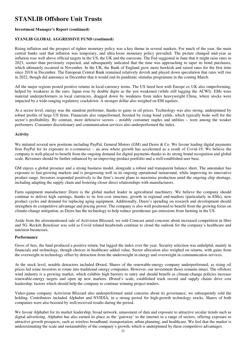#### **Investment Manager's Report (continued)**

#### **STANLIB GLOBAL AGGRESSIVE FUND (continued)**

Rising inflation and the prospect of tighter monetary policy was a key theme in several markets. For much of the year, the main central banks said that inflation was temporary, and ultra-loose monetary policy prevailed. The picture changed mid-year as inflation rose well above official targets in the US, the UK and the eurozone. The Fed suggested in June that it might raise rates in 2023, sooner than previously expected, and subsequently indicated that the time was approaching to taper its bond purchases, which ultimately occurred in November. In the UK, the Bank of England grew more hawkish and raised rates for the first time since 2018 in December. The European Central Bank remained relatively dovish and played down speculation that rates will rise in 2022, though did announce in December that it would end its pandemic stimulus programme in the coming March.

All the major regions posted positive returns in local-currency terms. The US fared best with Europe ex UK also outperforming, helped by weakness in the euro. Japan rose by double digits as the yen weakened (while still lagging the ACWI). EMs were material underperformers in local currencies, dragged down by weakness from index heavyweight China, where stocks were impacted by a wide-ranging regulatory crackdown. A stronger dollar also weighed on EM equities.

At a sector level, energy was the standout performer, thanks to gains in oil prices. Technology was also strong, underpinned by robust profits of large US firms. Financials also outperformed, boosted by rising bond yields, which typically bode well for the sector's profitability. By contrast, more defensive sectors – notably consumer staples and utilities – were among the weaker performers. Consumer discretionary and communication services also underperformed the index.

#### **Activity**

We initiated several new positions including PayPal, General Motors (GM) and Deere & Co. We favour leading digital payments firm PayPal for its exposure to e-commerce – an area where growth has accelerated as a result of Covid-19. We believe the company is well-placed to benefit from the ongoing demand for digital payments thanks to its strong brand recognition and global scale. Revenues should be further enhanced by an improving product portfolio and a well-established user base.

GM enjoys a global presence and a strong business model, alongside a robust and transparent balance sheet. The automaker has exposure to fast-growing markets and is progressing well in its ongoing operational turnaround, while improving its innovative product range. Investors responded positively to the firm's recent plans to maximise production amid the ongoing chip shortage, including adapting the supply chain and fostering closer direct relationships with manufacturers.

Farm equipment manufacturer Deere is the global market leader in agricultural machinery. We believe the company should continue to deliver high earnings, thanks to its low-cost structure, growth in regional end-markets (particularly in EMs), new product cycles and demand for replacing aging equipment. Additionally, Deere's spending on research and development should strengthen its competitive advantage and pricing power. The company is also well positioned to benefit from the growing focus on climate-change mitigation, as Deere has the technology to help reduce greenhouse gas emissions from farming in the US.

Aside from the aforementioned sale of Activision Blizzard, we sold Comcast amid concerns about increased competition in fibre and 5G. Reckitt Benckiser was sold as Covid related headwinds continue to cloud the outlook for the company's healthcare and nutrition businesses.

#### **Performance**

Gross of fees, the fund produced a positive return, but lagged the index over the year. Security selection was unhelpful, mainly in financials and technology, though choices in healthcare added value. Sector allocation also weighed on returns, with gains from the overweight in technology offset by detraction from the underweight in energy and overweight in communication services.

At the stock level, notable detractors included Ørsted. Shares of the renewable-energy company underperformed, as rising oil prices led some investors to rotate into traditional energy companies. However, our investment thesis remains intact. The offshore wind industry is a growing market, which exhibits high barriers to entry and should benefit as climate-change policies increase renewable-energy targets and open up new markets. Ørsted's scale, established track record and supply chains drive cost leadership: factors which should help the company to continue winning project tenders.

Video-game company Activision Blizzard also underperformed amid concerns about its governance; we subsequently sold the holding. Contributors included Alphabet and NVIDIA, in a strong period for high-growth technology stocks. Shares of both companies were also boosted by well-received results during the period.

We favour Alphabet for its market leadership, broad network, amassment of data and exposure to attractive secular trends such as digital advertising. Alphabet has also earned its place as the 'gateway' to the internet in a range of sectors, offering exposure to attractive growth prospects, such as wireless broadband, transportation, urban planning, and healthcare. We feel that the market is underestimating the scale and sustainability of the company's growth, which is underpinned by these competitive advantages.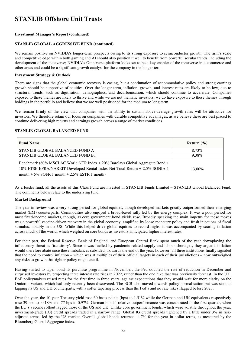#### **Investment Manager's Report (continued)**

#### **STANLIB GLOBAL AGGRESSIVE FUND (continued)**

We remain positive on NVIDIA's longer-term prospects owing to its strong exposure to semiconductor growth. The firm's scale and competitive edge within both gaming and AI should also position it well to benefit from powerful secular trends, including the development of the metaverse; NVIDIA's Omniverse platform looks set to be a key enabler of the metaverse in e-commerce and other areas and could be a significant growth catalyst for the company in the longer term.

#### **Investment Strategy & Outlook**

There are signs that the global economic recovery is easing, but a continuation of accommodative policy and strong earnings growth should be supportive of equities. Over the longer term, inflation, growth, and interest rates are likely to be low, due to structural trends, such as digitisation, demographics, and decarbonisation, which should continue to accelerate. Companies exposed to these themes are likely to thrive and while we are not thematic investors, we do have exposure to these themes through holdings in the portfolio and believe that we are well positioned for the medium to long term.

We remain firmly of the view that companies with the ability to sustain above-average growth rates will be attractive for investors. We therefore retain our focus on companies with durable competitive advantages, as we believe these are best placed to continue delivering high returns and earnings growth across a range of market conditions.

#### **STANLIB GLOBAL BALANCED FUND**

| <b>Fund Name</b>                                                                                                                                                                                                 | Return $(\% )$ |
|------------------------------------------------------------------------------------------------------------------------------------------------------------------------------------------------------------------|----------------|
| STANLIB GLOBAL BALANCED FUND A                                                                                                                                                                                   | 8,73%          |
| STANLIB GLOBAL BALANCED FUND B1                                                                                                                                                                                  | 9.38%          |
| Benchmark (60% MSCI AC World NTR Index + 20% Barclays Global Aggregate Bond +<br>10% FTSE EPRA/NAREIT Developed Rental Index Net Total Return + 2.5% SONIA 1<br>month $+5\%$ SOFR 1 month $+2.5\%$ ESTR 1 month) | 13.00%         |

As a feeder fund, all the assets of this Class Fund are invested in STANLIB Funds Limited – STANLIB Global Balanced Fund. The comments below relate to the underlying fund.

#### **Market Background**

The year in review was a very strong period for global equities, though developed markets greatly outperformed their emerging market (EM) counterparts. Commodities also enjoyed a broad-based rally led by the energy complex. It was a poor period for most fixed-income markets, though, as core government bond yields rose. Broadly speaking the main impetus for these moves was a powerful vaccine-driven recovery in the global economy, amplified by loose monetary policy and fresh injections of fiscal stimulus, notably in the US. While this helped drive global equities to record highs, it was accompanied by soaring inflation across much of the world, which weighed on core bonds as investors anticipated higher interest rates.

For their part, the Federal Reserve, Bank of England, and European Central Bank spent much of the year downplaying the inflationary threat as 'transitory'. Since it was fuelled by pandemic-related supply and labour shortages, they argued, inflation would therefore abate once these imbalances subsided. Towards the end of the year, however, all three institutions finally signaled that the need to control inflation – which was at multiples of their official targets in each of their jurisdictions – now outweighed any risks to growth that tighter policy might entail.

Having started to taper bond its purchase programme in November, the Fed doubled the rate of reduction in December and surprised investors by projecting three interest rate rises in 2022, rather than the one hike that was previously forecast. In the UK, BoE policymakers raised rates for the first time in three years, against expectations that they would wait for more clarity on the Omicron variant, which had only recently been discovered. The ECB also moved towards policy normalisation but was seen as lagging its US and UK counterparts, with a softer tapering process than the Fed's and no rate hikes flagged before 2023.

Over the year, the 10-year Treasury yield rose 60 basis points (bps) to 1.51% while the German and UK equivalents respectively rose 39 bps to -0.18% and 77 bps to 0.97%. German bunds' relative outperformance was concentrated in the first quarter, when the EU's vaccine rollout lagged those of the US and UK. Unlike core government bonds, which were volatile throughout the year, investment-grade (IG) credit spreads traded in a narrow range. Global IG credit spreads tightened by a little under 3% in riskadjusted terms, led by the US market. Overall, global bonds returned -4.7% for the year in dollar terms, as measured by the Bloomberg Global Aggregate index.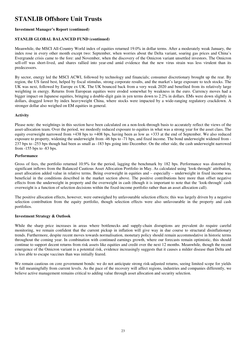#### **Investment Manager's Report (continued)**

#### **STANLIB GLOBAL BALANCED FUND (continued)**

Meanwhile, the MSCI All-Country World index of equities returned 19.0% in dollar terms. After a moderately weak January, the index rose in every other month except two: September, when worries about the Delta variant, soaring gas prices and China's Evergrande crisis came to the fore: and November, when the discovery of the Omicron variant unsettled investors. The Omicron sell-off was short-lived, and shares rallied into year-end amid evidence that the new virus strain was less virulent than its predecessors.

By sector, energy led the MSCI ACWI, followed by technology and financials; consumer discretionary brought up the rear. By region, the US fared best, helped by fiscal stimulus, strong corporate results, and the market's large exposure to tech stocks. The UK was next, followed by Europe ex UK. The UK bounced back from a very weak 2020 and benefited from its relatively large weighting in energy. Returns from European equities were eroded somewhat by weakness in the euro. Currency moves had a bigger impact on Japanese equities, bringing a double-digit gain in yen terms down to 2.2% in dollars. EMs were down slightly in dollars, dragged lower by index heavyweight China, where stocks were impacted by a wide-ranging regulatory crackdown. A stronger dollar also weighed on EM equities in general.

#### **Activity**

Please note: the weightings in this section have been calculated on a non-look-through basis to accurately reflect the views of the asset-allocation team. Over the period, we modestly reduced exposure to equities in what was a strong year for the asset class. The equity overweight narrowed from +438 bps to +408 bps, having been as low as +333 at the end of September. We also reduced exposure to property, widening the underweight from -46 bps to -71 bps, and fixed income. The bond underweight widened from - 237 bps to -253 bps though had been as small as -183 bps going into December. On the other side, the cash underweight narrowed from -155 bps to -83 bps.

#### **Performance**

Gross of fees, the portfolio returned 10.9% for the period, lagging the benchmark by 182 bps. Performance was distorted by significant inflows from the Balanced Cautious Asset Allocation Portfolio in May. As calculated using 'look-through' attribution, asset allocation added value in relative terms. Being overweight in equities and – especially – underweight in fixed income was beneficial in the conditions described in the market section above. The positive contributions here more than offset negative effects from the underweight in property and the overweight in cash (though it is important to note that the 'look-through' cash overweight is a function of selection decisions within the fixed-income portfolio rather than an asset allocation call).

The positive allocation effects, however, were outweighed by unfavourable selection effects; this was largely driven by a negative selection contribution from the equity portfolio, though selection effects were also unfavourable in the property and cash portfolios.

#### **Investment Strategy & Outlook**

While the sharp price increases in areas where bottlenecks and supply-chain disruptions are prevalent do require careful monitoring, we remain confident that the current pickup in inflation will give way in due course to structural disinflationary trends. Furthermore, despite recent moves towards normalisation, monetary policy should remain accommodative in historic terms throughout the coming year. In combination with continued earnings growth, where our forecasts remain optimistic, this should continue to support decent returns from risk assets like equities and credit over the next 12 months. Meanwhile, though the recent emergence of the Omicron variant is a potential risk, evidence increasingly suggests that it causes a milder disease than Delta and is less able to escape vaccines than was initially feared.

We remain cautious on core government bonds: we do not anticipate strong risk-adjusted returns, seeing limited scope for yields to fall meaningfully from current levels. As the pace of the recovery will affect regions, industries and companies differently, we believe active management remains critical to adding value through asset allocation and security selection.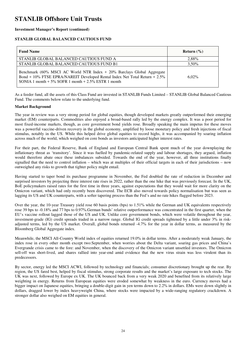#### **Investment Manager's Report (continued)**

#### **STANLIB GLOBAL BALANCED CAUTIOUS FUND**

| <b>Fund Name</b>                                                                                                                                                                                                | Return $(\% )$ |
|-----------------------------------------------------------------------------------------------------------------------------------------------------------------------------------------------------------------|----------------|
| STANLIB GLOBAL BALANCED CAUTIOUS FUND A                                                                                                                                                                         | 2.88%          |
| STANLIB GLOBAL BALANCED CAUTIOUS FUND B1                                                                                                                                                                        | $3.50\%$       |
| Benchmark (60% MSCI AC World NTR Index + 20% Barclays Global Aggregate<br>Bond + 10% FTSE EPRA/NAREIT Developed Rental Index Net Total Return + 2.5%<br>SONIA 1 month $+5\%$ SOFR 1 month $+2.5\%$ ESTR 1 month | $6.02\%$       |

As a feeder fund, all the assets of this Class Fund are invested in STANLIB Funds Limited – STANLIB Global Balanced Cautious Fund. The comments below relate to the underlying fund.

#### **Market Background**

The year in review was a very strong period for global equities, though developed markets greatly outperformed their emerging market (EM) counterparts. Commodities also enjoyed a broad-based rally led by the energy complex. It was a poor period for most fixed-income markets, though, as core government bond yields rose. Broadly speaking the main impetus for these moves was a powerful vaccine-driven recovery in the global economy, amplified by loose monetary policy and fresh injections of fiscal stimulus, notably in the US. While this helped drive global equities to record highs, it was accompanied by soaring inflation across much of the world, which weighed on core bonds as investors anticipated higher interest rates.

For their part, the Federal Reserve, Bank of England and European Central Bank spent much of the year downplaying the inflationary threat as 'transitory'. Since it was fuelled by pandemic-related supply and labour shortages, they argued, inflation would therefore abate once these imbalances subsided. Towards the end of the year, however, all three institutions finally signalled that the need to control inflation – which was at multiples of their official targets in each of their jurisdictions – now outweighed any risks to growth that tighter policy might entail.

Having started to taper bond its purchase programme in November, the Fed doubled the rate of reduction in December and surprised investors by projecting three interest rate rises in 2022, rather than the one hike that was previously forecast. In the UK, BoE policymakers raised rates for the first time in three years, against expectations that they would wait for more clarity on the Omicron variant, which had only recently been discovered. The ECB also moved towards policy normalisation but was seen as lagging its US and UK counterparts, with a softer tapering process than the Fed's and no rate hikes flagged before 2023.

Over the year, the 10-year Treasury yield rose 60 basis points (bps) to 1.51% while the German and UK equivalents respectively rose 39 bps to -0.18% and 77 bps to 0.97%.German bunds' relative outperformance was concentrated in the first quarter, when the EU's vaccine rollout lagged those of the US and UK. Unlike core government bonds, which were volatile throughout the year, investment-grade (IG) credit spreads traded in a narrow range. Global IG credit spreads tightened by a little under 3% in riskadjusted terms, led by the US market. Overall, global bonds returned -4.7% for the year in dollar terms, as measured by the Bloomberg Global Aggregate index.

Meanwhile, the MSCI All-Country World index of equities returned 19.0% in dollar terms. After a moderately weak January, the index rose in every other month except two:September, when worries about the Delta variant, soaring gas prices and China's Evergrande crisis came to the fore: and November, when the discovery of the Omicron variant unsettled investors. The Omicron sell-off was short-lived, and shares rallied into year-end amid evidence that the new virus strain was less virulent than its predecessors.

By sector, energy led the MSCI ACWI, followed by technology and financials; consumer discretionary brought up the rear. By region, the US fared best, helped by fiscal stimulus, strong corporate results and the market's large exposure to tech stocks. The UK was next, followed by Europe ex UK. The UK bounced back from a very weak 2020 and benefited from its relatively large weighting in energy. Returns from European equities were eroded somewhat by weakness in the euro. Currency moves had a bigger impact on Japanese equities, bringing a double-digit gain in yen terms down to 2.2% in dollars. EMs were down slightly in dollars, dragged lower by index heavyweight China, where stocks were impacted by a wide-ranging regulatory crackdown. A stronger dollar also weighed on EM equities in general.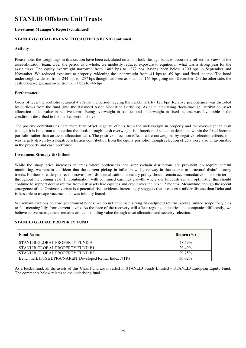#### **Investment Manager's Report (continued)**

#### **STANLIB GLOBAL BALANCED CAUTIOUS FUND (continued)**

#### **Activity**

Please note: the weightings in this section have been calculated on a non-look-through basis to accurately reflect the views of the asset-allocation team. Over the period as a whole, we modestly reduced exposure to equities in what was a strong year for the asset class. The equity overweight narrowed from +402 bps to +372 bps, having been below +300 bps in September and November. We reduced exposure to property, widening the underweight from -41 bps to -69 bps, and fixed income. The bond underweight widened from -244 bps to -257 bps though had been as small as -165 bps going into December. On the other side, the cash underweight narrowed from -117 bps to -46 bps.

#### **Performance**

Gross of fees, the portfolio returned 4.7% for the period, lagging the benchmark by 123 bps. Relative performance was distorted by outflows from the fund (into the Balanced Asset Allocation Portfolio). As calculated using 'look-through' attribution, asset allocation added value in relative terms. Being overweight in equities and underweight in fixed income was favourable in the conditions described in the market section above.

The positive contributions here more than offset negative effects from the underweight in property and the overweight in cash (though it is important to note that the 'look-through' cash overweight is a function of selection decisions within the fixed-income portfolio rather than an asset allocation call). The positive allocation effects were outweighed by negative selection effects; this was largely driven by a negative selection contribution from the equity portfolio, though selection effects were also unfavourable in the property and cash portfolios.

#### **Investment Strategy & Outlook**

While the sharp price increases in areas where bottlenecks and supply-chain disruptions are prevalent do require careful monitoring, we remain confident that the current pickup in inflation will give way in due course to structural disinflationary trends. Furthermore, despite recent moves towards normalisation, monetary policy should remain accommodative in historic terms throughout the coming year. In combination with continued earnings growth, where our forecasts remain optimistic, this should continue to support decent returns from risk assets like equities and credit over the next 12 months. Meanwhile, though the recent emergence of the Omicron variant is a potential risk, evidence increasingly suggests that it causes a milder disease than Delta and is less able to escape vaccines than was initially feared.

We remain cautious on core government bonds: we do not anticipate strong risk-adjusted returns, seeing limited scope for yields to fall meaningfully from current levels. As the pace of the recovery will affect regions, industries and companies differently, we believe active management remains critical to adding value through asset allocation and security selection.

#### **STANLIB GLOBAL PROPERTY FUND**

| <b>Fund Name</b>                                        | Return $(\% )$ |
|---------------------------------------------------------|----------------|
| STANLIB GLOBAL PROPERTY FUND A                          | 28.59%         |
| STANLIB GLOBAL PROPERTY FUND B1                         | 29.49%         |
| STANLIB GLOBAL PROPERTY FUND B2                         | 29.75%         |
| Benchmark (FTSE EPRA/NAREIT Developed Rental Index NTR) | 30.02%         |

As a feeder fund, all the assets of this Class Fund are invested in STANLIB Funds Limited – STANLIB European Equity Fund. The comments below relates to the underlying fund.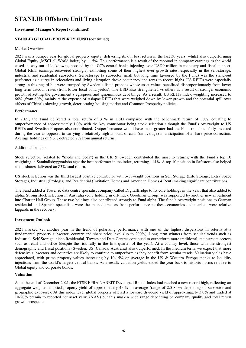#### **Investment Manager's Report (continued)**

#### **STANLIB GLOBAL PROPERTY FUND (continued)**

#### Market Overview

2021 was a bumper year for global property equity, delivering its 6th best return in the last 30 years, whilst also outperforming Global Equity (MSCI all World index) by 11.5%. This performance is a result of the rebound in company earnings as the world eased its way out of lockdowns, boosted by the G7's central banks injecting over USD9 trillion in monetary and fiscal support. Global REIT earnings recovered strongly, exhibiting some of their highest ever growth rates, especially in the self-storage, industrial and residential subsectors. Self-storage (a subsector small but long time favoured by the Fund) was the stand-out performer as a surge in relocations and living disruption drove occupancy and rents to record highs. US REITs were especially strong in this regard but were trumped by Sweden's listed propcos whose asset values benefitted disproportionately from lower long term discount rates (from lower local bond yields). The USD also strengthened vs others as a result of stronger economic growth offsetting the government's egregious and ignominious debt binge. As a result, US REITs index weighting increased to 66% (from 60%) mainly at the expense of Asiapac REITs that were weighed down by lower growth and the potential spill over effects of China's slowing growth, deteriorating housing market and Common Prosperity policies.

#### **Performance**

In 2021, the Fund delivered a total return of 31% in USD compared with the benchmark return of 30%, equating to outperformance of approximately 1.0% with the key contributor being stock selection although the Fund's overweight to US REITs and Swedish Propcos also contributed. Outperformance would have been greater had the Fund remained fully invested during the year as opposed to carrying a relatively high amount of cash (on average) in anticipation of a share price correction. Average holdings of 5.3% detracted 2% from annual returns.

#### Additional insights:

Stock selection (related to "sheds and beds") in the UK & Sweden contributed the most to returns, with the Fund's top 10 weighting in Samhallsbyggnadsbo aget the best performer in the index, returning 114%. A top 10 position in Safestore also helped as the shares delivered an 83% total return.

US stock selection was the third largest positive contributor with overweight positions in Self Storage (Life Storage, Extra Space Storage), Industrial (Prologis) and Residential (Invitation Homes and American Homes 4 Rent) making significant contributions.

The Fund added a Tower & data centre specialist company called DigitalBridge to its core holdings in the year, that also added to alpha. Strong stock selection in Australia (core holding in off-index Goodman Group) was supported by another new investment into Charter Hall Group. These two holdings also contributed strongly to Fund alpha. The fund's overweight positions to German residential and Spanish specialists were the main detractors from performance as these economies and markets were relative laggards in the recovery.

#### **Investment Outlook**

2021 marked yet another year in the trend of polarising performance with one of the highest dispersions in returns at a fundamental property subsector, country and share price level (up to 200%). Long term winners from secular trends such as Industrial, Self-Storage, niche Residential, Towers and Data Centres continued to outperform more traditional, mainstream sectors such as retail and office (despite the risk rally in the first quarter of the year). At a country level, those with the strongest demographic and fiscal positions (Sweden, US, Canada, Australia) also outperformed. In the medium term, we expect that more defensive subsectors and countries are likely to continue to outperform as they benefit from secular trends. Valuation yields have appreciated, with prime property values increasing by  $10-15\%$  on average in the US & Western Europe thanks to liquidity injections from the world's largest central banks. As a result, valuation yields ended the year back to historic norms relative to Global equity and corporate bonds.

#### **Valuation**

As at the end of December 2021, the FTSE EPRA NAREIT Developed Rental Index had reached a new record high, reflecting an aggregate weighted implied property yield of approximately 4.0% on average (range of 2.5-8.0% depending on subsector and geographic exposure). At this index level global property offered a forward dividend yield of approximately 3.0% and traded at 10-20% premia to reported net asset value (NAV) but this mask a wide range depending on company quality and total return growth prospects.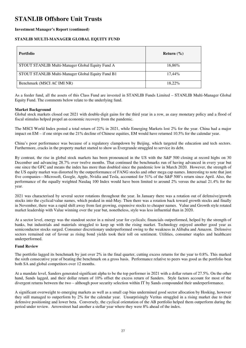#### **Investment Manager's Report (continued)**

#### **STANLIB MULTI-MANAGER GLOBAL EQUITY FUND**

| <b>Portfolio</b>                                  | Return $(\% )$ |
|---------------------------------------------------|----------------|
| STOUT STANLIB Multi-Manager Global Equity Fund A  | 16,86%         |
| STOUT STANLIB Multi-Manager Global Equity Fund B1 | 17.44%         |
| Benchmark (MSCI AC IMI NR)                        | 18.22%         |

As a feeder fund, all the assets of this Class Fund are invested in STANLIB Funds Limited – STANLIB Multi-Manager Global Equity Fund. The comments below relate to the underlying fund.

#### **Market Background**

Global stock markets closed out 2021 with double-digit gains for the third year in a row, as easy monetary policy and a flood of fiscal stimulus helped propel an economic recovery from the pandemic.

The MSCI World Index posted a total return of 22% in 2021, while Emerging Markets lost 2% for the year. China had a major impact on EM – if one strips out the 21% decline of Chinese equities, EM would have returned 10.5% for the calendar year.

China's poor performance was because of a regulatory clampdown by Beijing, which targeted the education and tech sectors. Furthermore, cracks in the property market started to show as Evergrande struggled to service its debt.

By contrast, the rise in global stock markets has been pronounced in the US with the S&P 500 closing at record highs on 30 December and advancing 28.7% over twelve months. That continued the benchmarks run of having advanced in every year but one since the GFC and means the index has more than doubled since the pandemic low in March 2020. However, the strength of the US equity market was distorted by the outperformance of FANG stocks and other mega cap names. Interesting to note that just five companies—Microsoft, Google, Apple, Nvidia and Tesla, accounted for 51% of the S&P 500's return since April. Also, the performance of the equally weighted Nasdaq 100 Index would have been limited to around 2% versus the actual 21.4% for the year.

2021 was characterised by several sector rotations throughout the year. In January there was a rotation out of defensive/growth stocks into the cyclical/value names, which peaked in mid-May. Then there was a rotation back toward growth stocks and finally in November, there was a rapid shift away from fast growing, expensive stocks to cheaper names. Value and Growth style rotated market leadership with Value winning over the year but, nonetheless, style was less influential than in 2020.

At a sector level, energy was the standout sector in a mixed year for cyclicals; financials outperformed, helped by the strength of banks, but industrials and materials struggled to keep up with the rising market. Technology enjoyed another good year as semiconductor stocks surged. Consumer discretionary underperformed owing to the weakness in Alibaba and Amazon. Defensive sectors remained out of favour as rising bond yields took their toll on sentiment. Utilities, consumer staples and healthcare underperformed.

#### **Fund Review**

The portfolio lagged its benchmark by just over 2% in the final quarter, cutting excess returns for the year to 0.8%. This marked the sixth consecutive year of beating the benchmark on a gross basis. Performance relative to peers was good as the portfolio beat both SA and global competitors over 12 months.

At a mandate level, Sanders generated significant alpha to be the top performer in 2021 with a dollar return of 27.5%. On the other hand, Sands lagged, and their dollar return of 10% offset the excess return of Sanders. Style factors account for most of the divergent returns between the two – although poor security selection within IT by Sands compounded their underperformance.

A significant overweight to emerging markets as well as a small cap bias undermined good sector allocation by Hosking, however they still managed to outperform by 2% for the calendar year. Unsurprisingly Veritas struggled in a rising market due to their defensive positioning and lower beta. Conversely, the cyclical orientation of the AB portfolio helped them outperform during the period under review. Arrowstreet had another a stellar year where they were 8% ahead of the index.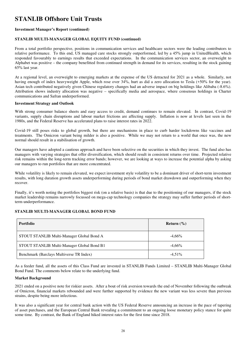#### **Investment Manager's Report (continued)**

#### **STANLIB MULTI-MANAGER GLOBAL EQUITY FUND (continued)**

From a total portfolio perspective, positions in communication services and healthcare sectors were the leading contributors to relative performance. To this end, US managed care stocks strongly outperformed, led by a 45% jump in UnitedHealth, which responded favourably to earnings results that exceeded expectations. In the communication services sector, an overweight to Alphabet was positive – the company benefitted from continued strength in demand for its services, resulting in the stock gaining 65% last year.

At a regional level, an overweight to emerging markets at the expense of the US detracted for 2021 as a whole. Similarly, not having enough of index heavyweight Apple, which rose over 34%, hurt as did a zero allocation to Tesla (+50% for the year). Asian tech contributed negatively given Chinese regulatory changes had an adverse impact on big holdings like Alibaba (-8.6%). Attribution shows industry allocation was negative – specifically media and aerospace, where consensus holdings in Charter communications and Safran underperformed.

#### **Investment Strategy and Outlook**

With strong consumer balance sheets and easy access to credit, demand continues to remain elevated. In contrast, Covid-19 variants, supply chain disruptions and labour market frictions are affecting supply. Inflation is now at levels last seen in the 1980s, and the Federal Reserve has accelerated plans to raise interest rates in 2022.

Covid-19 still poses risks to global growth, but there are mechanisms in place to curb harder lockdowns like vaccines and treatments. The Omicron variant being milder is also a positive. While we may not return to a world that once was, the new normal should result in a stabilisation of growth.

Our managers have adopted a cautious approach and have been selective on the securities in which they invest. The fund also has managers with varying strategies that offer diversification, which should result in consistent returns over time. Projected relative risk remains within the long-term tracking error bands; however, we are looking at ways to increase the potential alpha by asking our managers to run portfolios that are more concentrated.

While volatility is likely to remain elevated, we expect investment style volatility to be a dominant driver of short-term investment results, with long duration growth assets underperforming during periods of bond market drawdown and outperforming when they recover.

Finally, it's worth noting the portfolios biggest risk (on a relative basis) is that due to the positioning of our managers, if the stock market leadership remains narrowly focussed on mega-cap technology companies the strategy may suffer further periods of shortterm underperformance.

#### **STANLIB MULTI-MANAGER GLOBAL BOND FUND**

| <b>Portfolio</b>                           | Return $(\% )$ |
|--------------------------------------------|----------------|
| STOUT STANLIB Multi-Manager Global Bond A  | $-4,66%$       |
| STOUT STANLIB Multi-Manager Global Bond B1 | $-4,66%$       |
| Benchmark (Barclays Multiverse TR Index)   | $-4.51\%$      |

As a feeder fund, all the assets of this Class Fund are invested in STANLIB Funds Limited – STANLIB Multi-Manager Global Bond Fund. The comments below relate to the underlying fund.

#### **Market Background**

2021 ended on a positive note for riskier assets. After a bout of risk aversion towards the end of November following the outbreak of Omicron, financial markets rebounded and were further supported by evidence the new variant was less severe than previous strains, despite being more infectious.

It was also a significant year for central bank action with the US Federal Reserve announcing an increase in the pace of tapering of asset purchases, and the European Central Bank revealing a commitment to an ongoing loose monetary policy stance for quite some time. By contrast, the Bank of England hiked interest rates for the first time since 2018.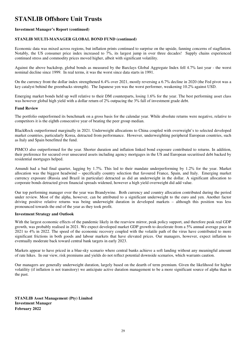#### **Investment Manager's Report (continued)**

#### **STANLIB MULTI-MANAGER GLOBAL BOND FUND (continued)**

Economic data was mixed across regions, but inflation prints continued to surprise on the upside, fanning concerns of stagflation. Notably, the US consumer price index increased to 7%, its largest jump in over three decades! Supply chains experienced continued stress and commodity prices moved higher, albeit with significant volatility.

Against the above backdrop, global bonds as measured by the Barclays Global Aggregate Index fell 4.7% last year - the worst nominal decline since 1999. In real terms, it was the worst since data starts in 1991.

On the currency front the dollar index strengthened 6.4% over 2021, mostly reversing a 6.7% decline in 2020 (the Fed pivot was a key catalyst behind the greenbacks strength). The Japanese yen was the worst performer, weakening 10.2% against USD.

Emerging market bonds held up well relative to their DM counterparts, losing 1.6% for the year. The best performing asset class was however global high yield with a dollar return of 2% outpacing the 3% fall of investment grade debt.

#### **Fund Review**

The portfolio outperformed its benchmark on a gross basis for the calendar year. While absolute returns were negative, relative to competitors it is the eighth consecutive year of beating the peer group median.

BlackRock outperformed marginally in 2021. Underweight allocations to China coupled with overweight's to selected developed market countries, particularly Korea, detracted from performance. However, underweighting peripheral European countries, such as Italy and Spain benefitted the fund.

PIMCO also outperformed for the year. Shorter duration and inflation linked bond exposure contributed to returns. In addition, their preference for secured over unsecured assets including agency mortgages in the US and European securitised debt backed by residential mortgages helped.

Amundi had a bad final quarter, lagging by 1.7%. This led to their mandate underperforming by 1.2% for the year. Market allocation was the biggest headwind – specifically country selection that favoured France, Spain, and Italy. Emerging market currency exposure (Russia and Brazil in particular) detracted as did an underweight in the dollar. A significant allocation to corporate bonds detracted given financial spreads widened, however a high yield overweight did add value.

Our top performing manager over the year was Brandywine. Both currency and country allocation contributed during the period under review. Most of the alpha, however, can be attributed to a significant underweight to the euro and yen. Another factor driving positive relative returns was being underweight duration in developed markets – although this position was less pronounced towards the end of the year as they took profit.

#### **Investment Strategy and Outlook**

With the largest economic effects of the pandemic likely in the rearview mirror, peak policy support, and therefore peak real GDP growth, was probably realised in 2021. We expect developed market GDP growth to decelerate from a 5% annual average pace in 2021 to 4% in 2022. The speed of the economic recovery coupled with the volatile path of the virus have contributed to more significant frictions in both goods and labour markets that have elevated prices. Our managers, however, expect inflation to eventually moderate back toward central bank targets in early 2023.

Markets appear to have priced in a blue-sky scenario where central banks achieve a soft landing without any meaningful amount of rate hikes. In our view, risk premiums and yields do not reflect potential downside scenarios, which warrants caution.

Our managers are generally underweight duration, largely based on the dearth of term premium. Given the likelihood for higher volatility (if inflation is not transitory) we anticipate active duration management to be a more significant source of alpha than in the past.

**STANLIB Asset Management (Pty) Limited Investment Manager February 2022**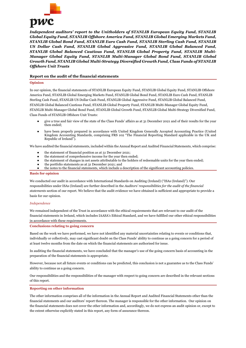

*Independent auditors' report to the Unitholders of STANLIB European Equity Fund, STANLIB Global Equity Fund, STANLIB Offshore America Fund, STANLIB Global Emerging Markets Fund, STANLIB Global Bond Fund, STANLIB Euro Cash Fund, STANLIB Sterling Cash Fund, STANLIB US Dollar Cash Fund, STANLIB Global Aggressive Fund, STANLIB Global Balanced Fund, STANLIB Global Balanced Cautious Fund, STANLIB Global Property Fund, STANLIB Multi-Manager Global Equity Fund, STANLIB Multi-Manager Global Bond Fund, STANLIB Global Growth Fund, STANLIB Global Multi-Strategy Diversified Growth Fund, Class Funds of STANLIB Offshore Unit Trusts*

#### **Report on the audit of the financial statements**

#### **Opinion**

In our opinion, the financial statements of STANLIB European Equity Fund, STANLIB Global Equity Fund, STANLIB Offshore America Fund, STANLIB Global Emerging Markets Fund, STANLIB Global Bond Fund, STANLIB Euro Cash Fund, STANLIB Sterling Cash Fund, STANLIB US Dollar Cash Fund, STANLIB Global Aggressive Fund, STANLIB Global Balanced Fund, STANLIB Global Balanced Cautious Fund, STANLIB Global Property Fund, STANLIB Multi-Manager Global Equity Fund, STANLIB Multi-Manager Global Bond Fund, STANLIB Global Growth Fund, STANLIB Global Multi-Strategy Diversified Fund, Class Funds of STANLIB Offshore Unit Trusts:

- give a true and fair view of the state of the Class Funds' affairs as at 31 December 2021 and of their results for the year then ended;
- have been properly prepared in accordance with United Kingdom Generally Accepted Accounting Practice (United Kingdom Accounting Standards, comprising FRS 102 "The Financial Reporting Standard applicable in the UK and Republic of Ireland").

We have audited the financial statements, included within the Annual Report and Audited Financial Statements, which comprise:

- the statement of financial position as at 31 December 2021;
- the statement of comprehensive income for the year then ended;
- the statement of changes in net assets attributable to the holders of redeemable units for the year then ended;
- the portfolio statements as at 31 December 2021; and
- the notes to the financial statements, which include a description of the significant accounting policies.

#### **Basis for opinion**

We conducted our audit in accordance with International Standards on Auditing (Ireland) ("ISAs (Ireland)"). Our responsibilities under ISAs (Ireland) are further described in the *Auditors' responsibilities for the audit of the financial statements* section of our report. We believe that the audit evidence we have obtained is sufficient and appropriate to provide a basis for our opinion.

#### *Independence*

We remained independent of the Trust in accordance with the ethical requirements that are relevant to our audit of the financial statements in Ireland, which includes IAASA's Ethical Standard, and we have fulfilled our other ethical responsibilities in accordance with these requirements.

#### **Conclusions relating to going concern**

Based on the work we have performed, we have not identified any material uncertainties relating to events or conditions that, individually or collectively, may cast significant doubt on the Class Funds' ability to continue as a going concern for a period of at least twelve months from the date on which the financial statements are authorised for issue.

In auditing the financial statements, we have concluded that the manager's use of the going concern basis of accounting in the preparation of the financial statements is appropriate.

However, because not all future events or conditions can be predicted, this conclusion is not a guarantee as to the Class Funds' ability to continue as a going concern.

Our responsibilities and the responsibilities of the manager with respect to going concern are described in the relevant sections of this report.

#### **Reporting on other information**

The other information comprises all of the information in the Annual Report and Audited Financial Statements other than the financial statements and our auditors' report thereon. The manager is responsible for the other information. Our opinion on the financial statements does not cover the other information and, accordingly, we do not express an audit opinion or, except to the extent otherwise explicitly stated in this report, any form of assurance thereon.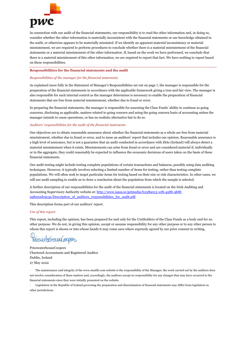

In connection with our audit of the financial statements, our responsibility is to read the other information and, in doing so, consider whether the other information is materially inconsistent with the financial statements or our knowledge obtained in the audit, or otherwise appears to be materially misstated. If we identify an apparent material inconsistency or material misstatement, we are required to perform procedures to conclude whether there is a material misstatement of the financial statements or a material misstatement of the other information. If, based on the work we have performed, we conclude that there is a material misstatement of this other information, we are required to report that fact. We have nothing to report based on these responsibilities.

#### **Responsibilities for the financial statements and the audit**

#### *Responsibilities of the manager for the financial statements*

As explained more fully in the Statement of Manager's Responsibilities set out on page 7, the manager is responsible for the preparation of the financial statements in accordance with the applicable framework giving a true and fair view. The manager is also responsible for such internal control as the manager determines is necessary to enable the preparation of financial statements that are free from material misstatement, whether due to fraud or error.

In preparing the financial statements, the manager is responsible for assessing the Class Funds' ability to continue as going concerns, disclosing as applicable, matters related to going concern and using the going concern basis of accounting unless the manager intends to cease operations, or has no realistic alternative but to do so.

#### *Auditors' responsibilities for the audit of the financial statements*

Our objectives are to obtain reasonable assurance about whether the financial statements as a whole are free from material misstatement, whether due to fraud or error, and to issue an auditors' report that includes our opinion. Reasonable assurance is a high level of assurance, but is not a guarantee that an audit conducted in accordance with ISAs (Ireland) will always detect a material misstatement when it exists. Misstatements can arise from fraud or error and are considered material if, individually or in the aggregate, they could reasonably be expected to influence the economic decisions of users taken on the basis of these financial statements.

Our audit testing might include testing complete populations of certain transactions and balances, possibly using data auditing techniques. However, it typically involves selecting a limited number of items for testing, rather than testing complete populations. We will often seek to target particular items for testing based on their size or risk characteristics. In other cases, we will use audit sampling to enable us to draw a conclusion about the population from which the sample is selected.

A further description of our responsibilities for the audit of the financial statements is located on the Irish Auditing and Accounting Supervisory Authority website at: http://www.iaasa.ie/getmedia/b2389013-1cf6-458b-9b8fa98202dc9c3a/Description of auditors responsibilities for audit.pdf.

This description forms part of our auditors' report.

#### *Use of this report*

This report, including the opinion, has been prepared for and only for the Unitholders of the Class Funds as a body and for no other purpose. We do not, in giving this opinion, accept or assume responsibility for any other purpose or to any other person to whom this report is shown or into whose hands it may come save where expressly agreed by our prior consent in writing.

Pricewatchewateppees

Chartered Accountants and Registered Auditor Dublin, Ireland 27 May 2022

· The maintenance and integrity of the www.stanlib.com website is the responsibility of the Manager; the work carried out by the auditors does not involve consideration of these matters and, accordingly, the auditors accept no responsibility for any changes that may have occurred to the financial statements since they were initially presented on the website.

· Legislation in the Republic of Ireland governing the preparation and dissemination of financial statements may differ from legislation in other jurisdictions.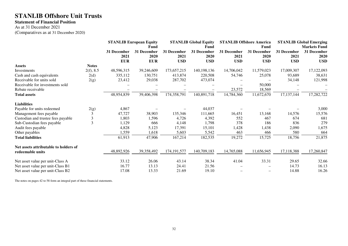#### **Statement of Financial Position**

As at 31 December 2021 (Comparatives as at 31 December 2020)

|                                                           |                | <b>STANLIB European Equity</b>    |                                   |                                   | <b>STANLIB Global Equity</b>      |                                   | <b>STANLIB Offshore America</b>   | <b>STANLIB Global Emerging</b>    |                                   |  |
|-----------------------------------------------------------|----------------|-----------------------------------|-----------------------------------|-----------------------------------|-----------------------------------|-----------------------------------|-----------------------------------|-----------------------------------|-----------------------------------|--|
|                                                           |                |                                   | Fund                              |                                   | Fund                              |                                   |                                   |                                   | <b>Markets Fund</b>               |  |
|                                                           |                | 31 December<br>2021<br><b>EUR</b> | 31 December<br>2020<br><b>EUR</b> | 31 December<br>2021<br><b>USD</b> | 31 December<br>2020<br><b>USD</b> | 31 December<br>2021<br><b>USD</b> | 31 December<br>2020<br><b>USD</b> | 31 December<br>2021<br><b>USD</b> | 31 December<br>2020<br><b>USD</b> |  |
| <b>Assets</b>                                             | <b>Notes</b>   |                                   |                                   |                                   |                                   |                                   |                                   |                                   |                                   |  |
| Investments                                               | 2(f), 8.5      | 48,596,315                        | 39,246,609                        | 173,657,215                       | 140, 198, 136                     | 14,706,042                        | 11,579,023                        | 17,009,307                        | 17,122,093                        |  |
| Cash and cash equivalents                                 | 2(d)           | 335,112                           | 130,751                           | 413,874                           | 220,508                           | 54,746                            | 25,078                            | 93,689                            | 38,631                            |  |
| Receivable for units sold                                 | 2(g)           | 23,412                            | 29,038                            | 287,702                           | 473,074                           |                                   |                                   | 34,148                            | 121,998                           |  |
| Receivable for investments sold                           |                |                                   |                                   |                                   |                                   |                                   | 50,000                            |                                   |                                   |  |
| Rebate receivable                                         |                |                                   |                                   |                                   |                                   | 23,572                            | 18,569                            |                                   |                                   |  |
| <b>Total assets</b>                                       |                | 48,954,839                        | 39,406,398                        | 174,358,791                       | 140,891,718                       | 14,784,360                        | 11,672,670                        | 17, 137, 144                      | 17,282,722                        |  |
| <b>Liabilities</b>                                        |                |                                   |                                   |                                   |                                   |                                   |                                   |                                   |                                   |  |
| Payable for units redeemed                                | 2(g)           | 4,867                             |                                   |                                   | 44,037                            |                                   |                                   |                                   | 3,000                             |  |
| Management fees payable                                   | 3              | 47,727                            | 38,903                            | 135,346                           | 111,665                           | 16,451                            | 13,168                            | 14,576                            | 15,576                            |  |
| Custodian and trustee fees payable                        | 3              | 1,803                             | 1,596                             | 4,726                             | 4,392                             | 552                               | 467                               | 674                               | 681                               |  |
| Sub-Custodian fees payable                                | $\overline{3}$ | 1,129                             | 666                               | 4,148                             | 1,798                             | 378                               | 186                               | 836                               | 279                               |  |
| Audit fees payable                                        |                | 4,828                             | 5,123                             | 17,391                            | 15,101                            | 1,428                             | 1,438                             | 2,090                             | 1,675                             |  |
| Other payables                                            |                | 1,559                             | 1,618                             | 5,603                             | 5,542                             | 463                               | 466                               | 580                               | 664                               |  |
| <b>Total liabilities</b>                                  |                | 61,913                            | 47,906                            | 167,214                           | 182,535                           | 19,272                            | 15,725                            | 18,756                            | 21,875                            |  |
| Net assets attributable to holders of<br>redeemable units |                | 48,892,926                        | 39,358,492                        | 174, 191, 577                     | 140,709,183                       | 14,765,088                        | 11,656,945                        | 17,118,388                        | 17,260,847                        |  |
|                                                           |                |                                   |                                   |                                   |                                   |                                   |                                   |                                   |                                   |  |
| Net asset value per unit-Class A                          |                | 33.12                             | 26.06                             | 43.14                             | 38.34                             | 41.04                             | 33.31                             | 29.65                             | 32.66                             |  |
| Net asset value per unit-Class B1                         |                | 16.77                             | 13.13                             | 24.41                             | 21.56                             |                                   |                                   | 14.73                             | 16.13                             |  |
| Net asset value per unit-Class B2                         |                | 17.08                             | 13.33                             | 21.69                             | 19.10                             |                                   |                                   | 14.88                             | 16.26                             |  |

The notes on pages 42 to 58 form an integral part of these financial statements.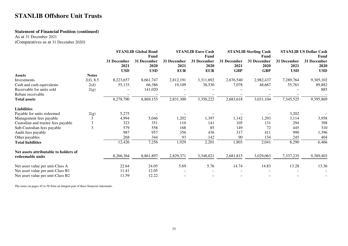#### **Statement of Financial Position (continued)**

As at 31 December 2021

(Comparatives as at 31 December 2020)

|                                                                        |                | <b>STANLIB Global Bond</b><br>Fund |                                   | <b>STANLIB Euro Cash</b><br><b>Fund</b> |                                   |                                   | <b>STANLIB Sterling Cash</b><br><b>Fund</b> | <b>STANLIB US Dollar Cash</b><br><b>Fund</b> |                                   |  |
|------------------------------------------------------------------------|----------------|------------------------------------|-----------------------------------|-----------------------------------------|-----------------------------------|-----------------------------------|---------------------------------------------|----------------------------------------------|-----------------------------------|--|
|                                                                        |                | 31 December<br>2021<br><b>USD</b>  | 31 December<br>2020<br><b>USD</b> | 31 December<br>2021<br><b>EUR</b>       | 31 December<br>2020<br><b>EUR</b> | 31 December<br>2021<br><b>GBP</b> | 31 December<br>2020<br><b>GBP</b>           | 31 December<br>2021<br><b>USD</b>            | 31 December<br>2020<br><b>USD</b> |  |
| <b>Assets</b>                                                          | <b>Notes</b>   |                                    |                                   |                                         |                                   |                                   |                                             |                                              |                                   |  |
| Investments                                                            | 2(f), 8.5      | 8,223,657                          | 8,661,747                         | 2,812,191                               | 3,311,692                         | 2,676,540                         | 2,982,437                                   | 7,289,764                                    | 9,305,102                         |  |
| Cash and cash equivalents                                              | 2(d)           | 55,133                             | 66,386                            | 19,109                                  | 38,530                            | 7,078                             | 48,667                                      | 55,761                                       | 89,882                            |  |
| Receivable for units sold                                              | 2(g)           |                                    | 141,020                           |                                         |                                   |                                   |                                             |                                              | 885                               |  |
| Rebate receivable                                                      |                |                                    |                                   |                                         |                                   |                                   |                                             |                                              |                                   |  |
| <b>Total assets</b>                                                    |                | 8,278,790                          | 8,869,153                         | 2,831,300                               | 3,350,222                         | 2,683,618                         | 3,031,104                                   | 7,345,525                                    | 9,395,869                         |  |
| <b>Liabilities</b>                                                     |                |                                    |                                   |                                         |                                   |                                   |                                             |                                              |                                   |  |
| Payable for units redeemed                                             | 2(g)           | 5,275                              |                                   |                                         |                                   |                                   |                                             | 3,202                                        |                                   |  |
| Management fees payable                                                | 3              | 4,994                              | 5,046                             | 1,202                                   | 1,397                             | 1,142                             | 1,293                                       | 3,114                                        | 3,958                             |  |
| Custodian and trustee fees payable                                     | 3              | 323                                | 351                               | 110                                     | 141                               | 105                               | 131                                         | 294                                          | 398                               |  |
| Sub-Custodian fees payable                                             | $\overline{3}$ | 579                                | 558                               | 168                                     | 85                                | 149                               | 72                                          | 445                                          | 310                               |  |
| Audit fees payable                                                     |                | 987                                | 957                               | 356                                     | 436                               | 317                               | 411                                         | 990                                          | 1,396                             |  |
| Other payables                                                         |                | 268                                | 344                               | 93                                      | 142                               | 90                                | 134                                         | 245                                          | 404                               |  |
| <b>Total liabilities</b>                                               |                | 12,426                             | 7,256                             | 1,929                                   | 2,201                             | 1,803                             | 2,041                                       | 8,290                                        | 6,466                             |  |
| Net assets attributable to holders of                                  |                |                                    |                                   |                                         |                                   |                                   |                                             |                                              |                                   |  |
| redeemable units                                                       |                | 8,266,364                          | 8,861,897                         | 2,829,371                               | 3,348,021                         | 2,681,815                         | 3,029,063                                   | 7,337,235                                    | 9,389,403                         |  |
| Net asset value per unit-Class A                                       |                | 22.64                              | 24.05                             | 5.69                                    | 5.76                              | 14.74                             | 14.83                                       | 13.28                                        | 13.36                             |  |
| Net asset value per unit-Class B1<br>Net asset value per unit-Class B2 |                | 11.41<br>11.59                     | 12.05<br>12.22                    |                                         |                                   |                                   |                                             |                                              |                                   |  |

The notes on pages 42 to 58 form an integral part of these financial statements.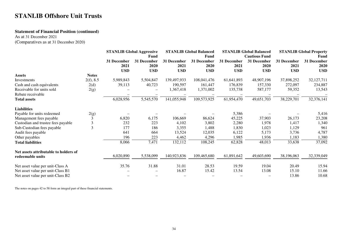#### **Statement of Financial Position (continued)**

As at 31 December 2021

| (Comparatives as at 31 December 2020) |  |
|---------------------------------------|--|
|---------------------------------------|--|

|                                                                        | <b>STANLIB Global Aggressive</b> |                                   | Fund                              |                                   | <b>STANLIB Global Balanced</b><br>Fund |                                   | <b>STANLIB Global Balanced</b><br><b>Cautious Fund</b> | <b>STANLIB Global Property</b><br>Fund |                                   |  |
|------------------------------------------------------------------------|----------------------------------|-----------------------------------|-----------------------------------|-----------------------------------|----------------------------------------|-----------------------------------|--------------------------------------------------------|----------------------------------------|-----------------------------------|--|
|                                                                        |                                  | 31 December<br>2021<br><b>USD</b> | 31 December<br>2020<br><b>USD</b> | 31 December<br>2021<br><b>USD</b> | 31 December<br>2020<br><b>USD</b>      | 31 December<br>2021<br><b>USD</b> | 31 December<br>2020<br><b>USD</b>                      | 31 December<br>2021<br><b>USD</b>      | 31 December<br>2020<br><b>USD</b> |  |
| <b>Assets</b>                                                          | <b>Notes</b>                     |                                   |                                   |                                   |                                        |                                   |                                                        |                                        |                                   |  |
| Investments                                                            | 2(f), 8.5                        | 5,989,843                         | 5,504,847                         | 139,497,933                       | 108,041,476                            | 61,641,893                        | 48,907,196                                             | 37,898,252                             | 32,127,711                        |  |
| Cash and cash equivalents                                              | 2(d)                             | 39,113                            | 40,723                            | 190,597                           | 161,447                                | 176,839                           | 157,330                                                | 272,097                                | 234,887                           |  |
| Receivable for units sold                                              | 2(g)                             |                                   |                                   | 1,367,418                         | 1,371,002                              | 135,738                           | 587,177                                                | 59,352                                 | 13,543                            |  |
| Rebate receivable                                                      |                                  |                                   |                                   |                                   |                                        |                                   |                                                        |                                        |                                   |  |
| <b>Total assets</b>                                                    |                                  | 6,028,956                         | 5,545,570                         | 141,055,948                       | 109,573,925                            | 61,954,470                        | 49,651,703                                             | 38,229,701                             | 32,376,141                        |  |
| <b>Liabilities</b>                                                     |                                  |                                   |                                   |                                   |                                        |                                   |                                                        |                                        |                                   |  |
| Payable for units redeemed                                             | 2(g)                             |                                   |                                   |                                   |                                        | 5,386                             |                                                        |                                        | 5,416                             |  |
| Management fees payable                                                | 3                                | 6,820                             | 6,175                             | 106,669                           | 86,624                                 | 45,225                            | 37,903                                                 | 26,173                                 | 23,208                            |  |
| Custodian and trustee fees payable                                     | 3                                | 232                               | 223                               | 4,102                             | 3,802                                  | 2,280                             | 1,978                                                  | 1,417                                  | 1,340                             |  |
| Sub-Custodian fees payable                                             | $\overline{3}$                   | 177                               | 186                               | 3,355                             | 1,488                                  | 1,830                             | 1,023                                                  | 1,129                                  | 961                               |  |
| Audit fees payable                                                     |                                  | 641                               | 664                               | 13,524                            | 12,035                                 | 6,122                             | 5,173                                                  | 3,736                                  | 4,787                             |  |
| Other payables                                                         |                                  | 196                               | 223                               | 4,462                             | 4,296                                  | 1,985                             | 1,936                                                  | 1,183                                  | 1,380                             |  |
| <b>Total liabilities</b>                                               |                                  | 8,066                             | 7,471                             | 132,112                           | 108,245                                | 62,828                            | 48,013                                                 | 33,638                                 | 37,092                            |  |
| Net assets attributable to holders of                                  |                                  |                                   |                                   |                                   |                                        |                                   |                                                        |                                        |                                   |  |
| redeemable units                                                       |                                  | 6,020,890                         | 5,538,099                         | 140,923,836                       | 109,465,680                            | 61,891,642                        | 49,603,690                                             | 38,196,063                             | 32,339,049                        |  |
| Net asset value per unit-Class A                                       |                                  | 35.76                             | 31.88                             | 31.01                             | 28.53                                  | 19.59                             | 19.04                                                  | 20.49                                  | 15.94                             |  |
| Net asset value per unit-Class B1<br>Net asset value per unit-Class B2 |                                  |                                   |                                   | 16.87                             | 15.42                                  | 13.54                             | 13.08                                                  | 15.10<br>13.86                         | 11.66<br>10.68                    |  |

The notes on pages 42 to 58 form an integral part of these financial statements.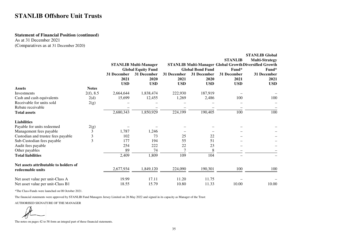### **Statement of Financial Position (continued)**

As at 31 December 2021 (Comparatives as at 31 December 2020)

|                                       |                         |             |                              |             |                         |                | <b>STANLIB Global</b>                                  |
|---------------------------------------|-------------------------|-------------|------------------------------|-------------|-------------------------|----------------|--------------------------------------------------------|
|                                       |                         |             |                              |             |                         | <b>STANLIB</b> | <b>Multi-Strategy</b>                                  |
|                                       |                         |             | <b>STANLIB Multi-Manager</b> |             |                         |                | STANLIB Multi-Manager Global Growth Diversified Growth |
|                                       |                         |             | <b>Global Equity Fund</b>    |             | <b>Global Bond Fund</b> | Fund*          | Fund*                                                  |
|                                       |                         | 31 December | 31 December                  | 31 December | 31 December             | 31 December    | 31 December                                            |
|                                       |                         | 2021        | 2020                         | 2021        | 2020                    | 2021           | 2021                                                   |
|                                       |                         | <b>USD</b>  | <b>USD</b>                   | <b>USD</b>  | <b>USD</b>              | <b>USD</b>     | <b>USD</b>                                             |
| <b>Assets</b>                         | <b>Notes</b>            |             |                              |             |                         |                |                                                        |
| <b>Investments</b>                    | 2(f), 8.5               | 2,664,644   | 1,838,474                    | 222,930     | 187,919                 |                |                                                        |
| Cash and cash equivalents             | 2(d)                    | 15,699      | 12,455                       | 1,269       | 2,486                   | 100            | 100                                                    |
| Receivable for units sold             | 2(g)                    |             |                              |             |                         |                |                                                        |
| Rebate receivable                     |                         |             |                              |             |                         |                |                                                        |
| <b>Total assets</b>                   |                         | 2,680,343   | 1,850,929                    | 224,199     | 190,405                 | 100            | 100                                                    |
| <b>Liabilities</b>                    |                         |             |                              |             |                         |                |                                                        |
| Payable for units redeemed            | 2(g)                    |             |                              |             |                         |                |                                                        |
| Management fees payable               | 3                       | 1,787       | 1,246                        |             |                         |                |                                                        |
| Custodian and trustee fees payable    | 3                       | 102         | 73                           | 25          | 22                      |                |                                                        |
| Sub-Custodian fees payable            | $\overline{\mathbf{3}}$ | 177         | 194                          | 55          | 51                      |                |                                                        |
| Audit fees payable                    |                         | 254         | 222                          | 22          | 23                      |                |                                                        |
| Other payables                        |                         | 89          | 74                           | $\tau$      | 8                       |                |                                                        |
| <b>Total liabilities</b>              |                         | 2,409       | 1,809                        | 109         | 104                     |                |                                                        |
| Net assets attributable to holders of |                         |             |                              |             |                         |                |                                                        |
| redeemable units                      |                         | 2,677,934   | 1,849,120                    | 224,090     | 190,301                 | 100            | 100                                                    |
| Net asset value per unit-Class A      |                         | 19.99       | 17.11                        | 11.20       | 11.75                   |                |                                                        |
| Net asset value per unit-Class B1     |                         | 18.55       | 15.79                        | 10.80       | 11.33                   | 10.00          | 10.00                                                  |

\*The Class-Funds were launched on 08 October 2021.

The financial statements were approved by STANLIB Fund Managers Jersey Limited on 26 May 2022 and signed in its capacity as Manager of the Trust:

AUTHORISED SIGNATURE OF THE MANAGER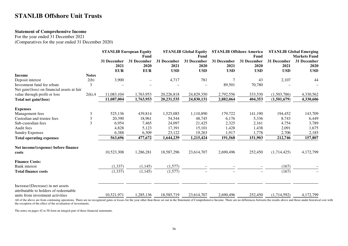## **Statement of Comprehensive Income**

For the year ended 31 December 2021 (Comparatives for the year ended 31 December 2020)

|                                             |              |             | <b>STANLIB European Equity</b> |             | <b>STANLIB Global Equity</b> |             | <b>STANLIB Offshore America</b> |             | <b>STANLIB Global Emerging</b> |  |
|---------------------------------------------|--------------|-------------|--------------------------------|-------------|------------------------------|-------------|---------------------------------|-------------|--------------------------------|--|
|                                             |              |             | Fund                           |             | <b>Fund</b>                  |             | Fund                            |             | <b>Markets Fund</b>            |  |
|                                             |              | 31 December | 31 December                    | 31 December | 31 December                  | 31 December | 31 December                     | 31 December | 31 December                    |  |
|                                             |              | 2021        | 2020                           | 2021        | 2020                         | 2021        | 2020                            | 2021        | 2020                           |  |
|                                             |              | <b>EUR</b>  | <b>EUR</b>                     | <b>USD</b>  | <b>USD</b>                   | <b>USD</b>  | <b>USD</b>                      | <b>USD</b>  | <b>USD</b>                     |  |
| <b>Income</b>                               | <b>Notes</b> |             |                                |             |                              |             |                                 |             |                                |  |
| Deposit interest                            | 2(b)         | 3,900       |                                | 4,717       | 781                          |             | 43                              | 2,107       | 44                             |  |
| Investment fund fee rebate                  | 3            |             |                                |             |                              | 89,501      | 70,780                          |             |                                |  |
| Net gain/(loss) on financial assets at fair |              |             |                                |             |                              |             |                                 |             |                                |  |
| value through profit or loss                | $2(h)$ ,4    | 11,083,104  | 1,763,953                      | 20,226,818  | 24,829,350                   | 2,792,556   | 333,530                         | (1,503,786) | 4,330,562                      |  |
| Total net gain/(loss)                       |              | 11,087,004  | 1,763,953                      | 20,231,535  | 24,830,131                   | 2,882,064   | 404,353                         | (1,501,679) | 4,330,606                      |  |
| <b>Expenses</b>                             |              |             |                                |             |                              |             |                                 |             |                                |  |
| Management fees                             | 3            | 525,136     | 439,814                        | 1,525,085   | 1,110,890                    | 179,722     | 141,190                         | 194,452     | 143,709                        |  |
| Custodian and trustee fees                  | 3            | 20,390      | 18,961                         | 54,544      | 48,745                       | 6,176       | 5,336                           | 8,743       | 6,449                          |  |
| Sub-custodian fees                          | 3            | 6,954       | 7,465                          | 24,097      | 21,425                       | 2,325       | 2,161                           | 4,754       | 3,789                          |  |
| Audit fees                                  |              | 4,828       | 5,123                          | 17,391      | 15,101                       | 1,428       | 1,438                           | 2,091       | 1,675                          |  |
| <b>Sundry Expenses</b>                      |              | 6,388       | 6,309                          | 23,122      | 19,263                       | 1,917       | 1,778                           | 2,706       | 2,185                          |  |
| <b>Total operating expenses</b>             |              | 563,696     | 477,672                        | 1,644,239   | 1,215,424                    | 191,568     | 151,903                         | 212,746     | 157,807                        |  |
| Net income/(expense) before finance         |              |             |                                |             |                              |             |                                 |             |                                |  |
| costs                                       |              | 10,523,308  | 1,286,281                      | 18,587,296  | 23,614,707                   | 2,690,496   | 252,450                         | (1,714,425) | 4,172,799                      |  |
| <b>Finance Costs:</b>                       |              |             |                                |             |                              |             |                                 |             |                                |  |
| <b>Bank</b> interest                        |              | (1, 337)    | (1, 145)                       | (1,577)     |                              |             |                                 | (167)       |                                |  |
| <b>Total finance costs</b>                  |              | (1, 337)    | (1, 145)                       | (1,577)     |                              |             | $\overline{\phantom{a}}$        | (167)       |                                |  |
| Increase/(Decrease) in net assets           |              |             |                                |             |                              |             |                                 |             |                                |  |
| attributable to holders of redeemable       |              |             |                                |             |                              |             |                                 |             |                                |  |
| units from investment activities            |              | 10,521,971  | 1,285,136                      | 18,585,719  | 23,614,707                   | 2,690,496   | 252,450                         | (1,714,592) | 4,172,799                      |  |

All of the above are from continuing operations. There are no recognized gains or losses for the year other than those set out in the Statement of Comprehensive Income. There are no differences between the results above an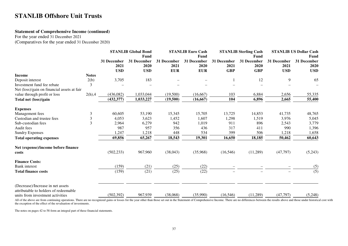## **Statement of Comprehensive Income (continued)**

For the year ended 31 December 2021

(Comparatives for the year ended 31 December 2020)

|                | <b>STANLIB Global Bond</b><br>Fund |                                   | <b>STANLIB Euro Cash</b><br>Fund  |                                   | <b>STANLIB Sterling Cash</b><br>Fund |                                   | <b>STANLIB US Dollar Cash</b><br>Fund |                                   |
|----------------|------------------------------------|-----------------------------------|-----------------------------------|-----------------------------------|--------------------------------------|-----------------------------------|---------------------------------------|-----------------------------------|
|                | 31 December<br>2021<br><b>USD</b>  | 31 December<br>2020<br><b>USD</b> | 31 December<br>2021<br><b>EUR</b> | 31 December<br>2020<br><b>EUR</b> | 31 December<br>2021<br><b>GBP</b>    | 31 December<br>2020<br><b>GBP</b> | 31 December<br>2021<br><b>USD</b>     | 31 December<br>2020<br><b>USD</b> |
| <b>Notes</b>   |                                    |                                   |                                   |                                   |                                      |                                   |                                       |                                   |
| 2(b)           | 3,705                              | 183                               |                                   |                                   |                                      | 12                                | 9                                     | 65                                |
| 3              |                                    |                                   |                                   |                                   |                                      |                                   |                                       |                                   |
|                |                                    |                                   |                                   |                                   |                                      |                                   |                                       |                                   |
| $2(h)$ ,4      | (436,082)                          | 1,033,044                         | (19,500)                          | (16, 667)                         | 103                                  | 6,884                             | 2,656                                 | 55,335                            |
|                | (432, 377)                         | 1,033,227                         | (19,500)                          | (16, 667)                         | 104                                  | 6,896                             | 2,665                                 | 55,400                            |
|                |                                    |                                   |                                   |                                   |                                      |                                   |                                       |                                   |
| 3              | 60,605                             |                                   | 15,345                            | 15,705                            | 13,725                               | 14,853                            | 41,735                                | 48,765                            |
| $\mathfrak{Z}$ | 4,053                              | 3,623                             | 1,452                             | 1,607                             | 1,298                                | 1,519                             | 3,976                                 | 5,045                             |
| $\overline{3}$ | 2,964                              | 6,279                             | 942                               | 1,019                             | 911                                  | 896                               | 2,543                                 | 3,779                             |
|                | 987                                | 957                               | 356                               | 436                               | 317                                  | 411                               | 990                                   | 1,396                             |
|                | 1,247                              | 1,218                             | 448                               | 534                               | 399                                  | 506                               | 1,218                                 | 1,658                             |
|                | 69,856                             | 65,267                            | 18,543                            | 19,301                            | 16,650                               | 18,185                            | 50,462                                | 60,643                            |
|                |                                    |                                   |                                   |                                   |                                      |                                   |                                       |                                   |
|                | (502, 233)                         | 967,960                           | (38,043)                          | (35,968)                          | (16, 546)                            | (11,289)                          | (47, 797)                             | (5,243)                           |
|                |                                    |                                   |                                   |                                   |                                      |                                   |                                       |                                   |
|                | (159)                              | (21)                              |                                   |                                   |                                      |                                   |                                       | (5)                               |
|                | (159)                              | (21)                              | (25)                              | (22)                              |                                      |                                   |                                       | $\overline{(5)}$                  |
|                |                                    |                                   |                                   |                                   |                                      |                                   |                                       | (5,248)                           |
|                |                                    | (502, 392)                        | 53,190<br>967,939                 | (25)<br>(38,068)                  | (22)<br>(35,990)                     | (16, 546)                         | (11,289)                              | (47,797)                          |

All of the above are from continuing operations. There are no recognized gains or losses for the year other than those set out in the Statement of Comprehensive Income. There are no differences between the results above an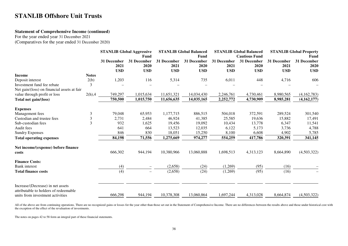## **Statement of Comprehensive Income (continued)**

For the year ended year 31 December 2021

(Comparatives for the year ended 31 December 2020)

|                                                                                                                |                |                                   | <b>STANLIB Global Aggressive</b><br>Fund |                                   | <b>STANLIB Global Balanced</b><br>Fund |                                   | <b>STANLIB Global Balanced</b><br><b>Cautious Fund</b> |                                   | <b>STANLIB Global Property</b><br>Fund |  |
|----------------------------------------------------------------------------------------------------------------|----------------|-----------------------------------|------------------------------------------|-----------------------------------|----------------------------------------|-----------------------------------|--------------------------------------------------------|-----------------------------------|----------------------------------------|--|
|                                                                                                                |                | 31 December<br>2021<br><b>USD</b> | 31 December<br>2020<br><b>USD</b>        | 31 December<br>2021<br><b>USD</b> | 31 December<br>2020<br><b>USD</b>      | 31 December<br>2021<br><b>USD</b> | 31 December<br>2020<br><b>USD</b>                      | 31 December<br>2021<br><b>USD</b> | 31 December<br>2020<br><b>USD</b>      |  |
| <b>Income</b>                                                                                                  | <b>Notes</b>   |                                   |                                          |                                   |                                        |                                   |                                                        |                                   |                                        |  |
| Deposit interest                                                                                               | 2(b)           | 1,203                             | 116                                      | 5,314                             | 735                                    | 6,011                             | 448                                                    | 4,716                             | 606                                    |  |
| Investment fund fee rebate                                                                                     | 3              |                                   |                                          |                                   |                                        |                                   |                                                        |                                   |                                        |  |
| Net gain/(loss) on financial assets at fair                                                                    |                |                                   |                                          |                                   |                                        |                                   |                                                        |                                   |                                        |  |
| value through profit or loss                                                                                   | $2(h)$ ,4      | 749,297                           | 1,015,634                                | 11,651,321                        | 14,034,430                             | 2,246,761                         | 4,730,461                                              | 8,980,565                         | (4,162,783)                            |  |
| Total net gain/(loss)                                                                                          |                | 750,500                           | 1,015,750                                | 11,656,635                        | 14,035,165                             | 2,252,772                         | 4,730,909                                              | 8,985,281                         | (4,162,177)                            |  |
| <b>Expenses</b>                                                                                                |                |                                   |                                          |                                   |                                        |                                   |                                                        |                                   |                                        |  |
| Management fees                                                                                                | 3              | 79,048                            | 65,953                                   | 1,177,715                         | 886,515                                | 504,018                           | 372,591                                                | 289,524                           | 301,540                                |  |
| Custodian and trustee fees                                                                                     | $\mathfrak{Z}$ | 2,731                             | 2,484                                    | 46,924                            | 41,385                                 | 25,585                            | 19,636                                                 | 15,882                            | 17,491                                 |  |
| Sub-custodian fees                                                                                             | 3              | 932                               | 1,625                                    | 19,456                            | 19,092                                 | 10,434                            | 13,778                                                 | 6,347                             | 11,541                                 |  |
| Audit fees                                                                                                     |                | 641                               | 664                                      | 13,523                            | 12,035                                 | 6,122                             | 5,173                                                  | 3,736                             | 4,788                                  |  |
| <b>Sundry Expenses</b>                                                                                         |                | 846                               | 830                                      | 18,051                            | 15,250                                 | 8,100                             | 6,608                                                  | 4,902                             | 5,785                                  |  |
| <b>Total operating expenses</b>                                                                                |                | 84,198                            | 71,556                                   | 1,275,669                         | 974,277                                | 554,259                           | 417,786                                                | 320,391                           | 341,145                                |  |
| Net income/(expense) before finance<br>costs                                                                   |                | 666,302                           | 944,194                                  | 10,380,966                        | 13,060,888                             | 1,698,513                         | 4,313,123                                              | 8,664,890                         | (4,503,322)                            |  |
| <b>Finance Costs:</b>                                                                                          |                |                                   |                                          |                                   |                                        |                                   |                                                        |                                   |                                        |  |
| <b>Bank</b> interest                                                                                           |                | (4)                               |                                          | (2,658)                           | (24)                                   | (1,269)                           | (95)                                                   | (16)                              |                                        |  |
| <b>Total finance costs</b>                                                                                     |                | (4)                               | $\overline{\phantom{0}}$                 | (2,658)                           | (24)                                   | (1,269)                           | (95)                                                   | (16)                              |                                        |  |
| Increase/(Decrease) in net assets<br>attributable to holders of redeemable<br>units from investment activities |                | 666,298                           | 944,194                                  | 10,378,308                        | 13,060,864                             | 1,697,244                         | 4,313,028                                              | 8,664,874                         | (4,503,322)                            |  |

All of the above are from continuing operations. There are no recognized gains or losses for the year other than those set out in the Statement of Comprehensive Income. There are no differences between the results above an the exception of the effect of the revaluation of investments.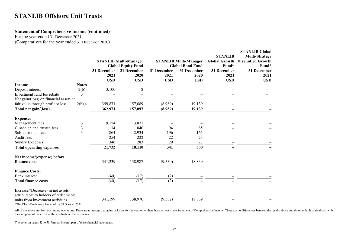## **Statement of Comprehensive Income (continued)**

For the year ended 31 December 2021(Comparatives for the year ended 31 December 2020)

|                                                                            |              |                                   | <b>STANLIB Multi-Manager</b><br><b>Global Equity Fund</b> |                                   | <b>STANLIB Multi-Manager</b><br><b>Global Bond Fund</b> | <b>STANLIB</b><br><b>Global Growth</b><br>Fund* | <b>STANLIB Global</b><br><b>Multi-Strategy</b><br><b>Diversified Growth</b><br>Fund* |
|----------------------------------------------------------------------------|--------------|-----------------------------------|-----------------------------------------------------------|-----------------------------------|---------------------------------------------------------|-------------------------------------------------|--------------------------------------------------------------------------------------|
|                                                                            |              | 31 December<br>2021<br><b>USD</b> | 31 December<br>2020<br><b>USD</b>                         | 31 December<br>2021<br><b>USD</b> | 31 December<br>2020<br><b>USD</b>                       | 31 December<br>2021<br><b>USD</b>               | 31 December<br>2021<br><b>USD</b>                                                    |
| Income                                                                     | <b>Notes</b> |                                   |                                                           |                                   |                                                         |                                                 |                                                                                      |
| Deposit interest                                                           | 2(b)         | 3,100                             | 8                                                         |                                   |                                                         |                                                 |                                                                                      |
| Investment fund fee rebate                                                 | 3            |                                   |                                                           |                                   |                                                         |                                                 |                                                                                      |
| Net gain/(loss) on financial assets at                                     |              |                                   |                                                           |                                   |                                                         |                                                 |                                                                                      |
| fair value through profit or loss                                          | $2(h)$ ,4    | 359,871                           | 157,089                                                   | (8,989)                           | 19,139                                                  |                                                 |                                                                                      |
| Total net gain/(loss)                                                      |              | 362,971                           | 157,097                                                   | (8,989)                           | 19,139                                                  |                                                 |                                                                                      |
| <b>Expenses</b>                                                            |              |                                   |                                                           |                                   |                                                         |                                                 |                                                                                      |
| Management fees                                                            | 3            | 19,154                            | 13,831                                                    |                                   |                                                         |                                                 |                                                                                      |
| Custodian and trustee fees                                                 | 3            | 1,114                             | 840                                                       | 94                                | 85                                                      |                                                 |                                                                                      |
| Sub-custodian fees                                                         | 3            | 864                               | 2,934                                                     | 196                               | 165                                                     |                                                 |                                                                                      |
| Audit fees                                                                 |              | 254                               | 222                                                       | 22                                | 23                                                      |                                                 |                                                                                      |
| <b>Sundry Expenses</b>                                                     |              | 346                               | 283                                                       | 29                                | 27                                                      |                                                 |                                                                                      |
| <b>Total operating expenses</b>                                            |              | 21,732                            | 18,110                                                    | 341                               | 300                                                     |                                                 |                                                                                      |
| Net income/(expense) before                                                |              |                                   |                                                           |                                   |                                                         |                                                 |                                                                                      |
| finance costs                                                              |              | 341,239                           | 138,987                                                   | (9,330)                           | 18,839                                                  |                                                 |                                                                                      |
| <b>Finance Costs:</b>                                                      |              |                                   |                                                           |                                   |                                                         |                                                 |                                                                                      |
| <b>Bank</b> interest                                                       |              | (40)                              | (17)                                                      | (2)                               |                                                         |                                                 |                                                                                      |
| <b>Total finance costs</b>                                                 |              | (40)                              | (17)                                                      | (2)                               |                                                         |                                                 |                                                                                      |
| Increase/(Decrease) in net assets<br>attributable to holders of redeemable |              |                                   |                                                           |                                   |                                                         |                                                 |                                                                                      |
| units from investment activities                                           |              | 341,199                           | 138,970                                                   | (9, 332)                          | 18,839                                                  |                                                 |                                                                                      |
|                                                                            |              |                                   |                                                           |                                   |                                                         |                                                 |                                                                                      |

\*The Class-Funds were launched on 08 October 2021.

All of the above are from continuing operations. There are no recognized gains or losses for the year other than those set out in the Statement of Comprehensive Income. There are no differences between the results above an the exception of the effect of the revaluation of investments.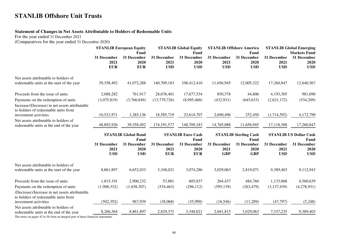## **Statement of Changes in Net Assets Attributable to Holders of Redeemable Units**

For the year ended 31 December 2021

(Comparatives for the year ended 31 December 2020)

|                                                                                                                              | <b>STANLIB European Equity</b><br>Fund |                                   | <b>STANLIB Global Equity</b><br>Fund |                                   | <b>STANLIB Offshore America</b><br>Fund  |                                      | <b>STANLIB Global Emerging</b><br><b>Markets Fund</b> |                                       |
|------------------------------------------------------------------------------------------------------------------------------|----------------------------------------|-----------------------------------|--------------------------------------|-----------------------------------|------------------------------------------|--------------------------------------|-------------------------------------------------------|---------------------------------------|
|                                                                                                                              | 31 December<br>2021<br><b>EUR</b>      | 31 December<br>2020<br><b>EUR</b> | 31 December<br>2021<br><b>USD</b>    | 31 December<br>2020<br><b>USD</b> | 31 December<br>2021<br><b>USD</b>        | 31 December<br>2020<br><b>USD</b>    | 31 December<br>2021<br><b>USD</b>                     | 31 December<br>2020<br><b>USD</b>     |
| Net assets attributable to holders of<br>redeemable units at the start of the year                                           | 39,358,492                             | 41,072,288                        | 140,709,183                          | 108,412,410                       | 11,656,945                               | 12,005,322                           | 17,260,847                                            | 12,640,567                            |
| Proceeds from the issue of units                                                                                             | 2,088,282                              | 761,917                           | 28,676,401                           | 17,677,534                        | 850,578                                  | 44,806                               | 4,193,305                                             | 981,690                               |
| Payments on the redemption of units<br>Increase/(Decrease) in net assets attributable<br>to holders of redeemable units from | (3,075,819)                            | (3,760,849)                       | (13,779,726)                         | (8,995,468)                       | (432, 931)                               | (645, 633)                           | (2,621,172)                                           | (534,209)                             |
| investment activities                                                                                                        | 10,521,971                             | 1,285,136                         | 18,585,719                           | 23,614,707                        | 2,690,496                                | 252,450                              | (1,714,592)                                           | 4,172,799                             |
| Net assets attributable to holders of<br>redeemable units at the end of the year                                             | 48,892,926                             | 39,358,492                        | 174, 191, 577                        | 140,709,183                       | 14,765,088                               | 11,656,945                           | 17,118,388                                            | 17,260,847                            |
|                                                                                                                              | <b>STANLIB Global Bond</b>             |                                   |                                      | <b>STANLIB Euro Cash</b><br>Fund  |                                          |                                      |                                                       |                                       |
|                                                                                                                              |                                        | Fund                              |                                      |                                   |                                          | <b>STANLIB Sterling Cash</b><br>Fund |                                                       | <b>STANLIB US Dollar Cash</b><br>Fund |
|                                                                                                                              | 31 December<br>2021<br><b>USD</b>      | 31 December<br>2020<br><b>USD</b> | 31 December<br>2021<br><b>EUR</b>    | 31 December<br>2020<br><b>EUR</b> | <b>31 December</b><br>2021<br><b>GBP</b> | 31 December<br>2020<br><b>GBP</b>    | <b>31 December</b><br>2021<br><b>USD</b>              | 31 December<br>2020<br><b>USD</b>     |
| Net assets attributable to holders of<br>redeemable units at the start of the year                                           | 8,861,897                              | 6,652,033                         | 3,348,021                            | 3,074,286                         | 3,029,063                                | 2,819,071                            | 9,389,403                                             | 9,112,943                             |
| Proceeds from the issue of units                                                                                             | 1,815,191                              | 2,900,232                         | 53,881                               | 605,837                           | 264,437                                  | 484,760                              | 1,133,068                                             | 4,560,639                             |
| Payments on the redemption of units                                                                                          | (1,908,332)                            | (1,658,307)                       | (534, 463)                           | (296, 112)                        | (595, 139)                               | (263, 479)                           | (3,137,439)                                           | (4,278,931)                           |
| (Decrease)/Increase in net assets attributable<br>to holders of redeemable units from                                        |                                        |                                   |                                      |                                   |                                          |                                      |                                                       |                                       |
| investment activities<br>Net assets attributable to holders of                                                               | (502, 392)                             | 967,939                           | (38,068)                             | (35,990)                          | (16, 546)                                | (11,289)                             | (47, 797)                                             | (5,248)                               |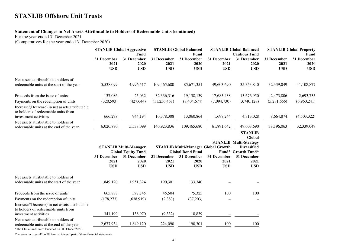## **Statement of Changes in Net Assets Attributable to Holders of Redeemable Units (continued)**

For the year ended 31 December 2021

(Comparatives for the year ended 31 December 2020)

|                                                                                                                                        | <b>STANLIB Global Aggressive</b><br>Fund |                                   | <b>STANLIB Global Balanced</b><br>Fund     |                                   | <b>STANLIB Global Balanced</b><br><b>Cautious Fund</b> |                                         | <b>STANLIB Global Property</b><br>Fund |                                   |
|----------------------------------------------------------------------------------------------------------------------------------------|------------------------------------------|-----------------------------------|--------------------------------------------|-----------------------------------|--------------------------------------------------------|-----------------------------------------|----------------------------------------|-----------------------------------|
|                                                                                                                                        | 31 December<br>2021<br><b>USD</b>        | 31 December<br>2020<br><b>USD</b> | 31 December<br>2021<br><b>USD</b>          | 31 December<br>2020<br><b>USD</b> | 31 December<br>2021<br><b>USD</b>                      | 31 December<br>2020<br><b>USD</b>       | 31 December<br>2021<br><b>USD</b>      | 31 December<br>2020<br><b>USD</b> |
| Net assets attributable to holders of<br>redeemable units at the start of the year                                                     | 5,538,099                                | 4,996,517                         | 109,465,680                                | 85,671,351                        | 49,603,690                                             | 35,353,840                              | 32,339,049                             | 41,108,877                        |
|                                                                                                                                        |                                          |                                   |                                            |                                   |                                                        |                                         |                                        |                                   |
| Proceeds from the issue of units                                                                                                       | 137,086                                  | 25,032                            | 32,336,316                                 | 19,138,139                        | 17,685,438                                             | 13,676,950                              | 2,473,806                              | 2,693,735                         |
| Payments on the redemption of units                                                                                                    | (320, 593)                               | (427, 644)                        | (11,256,468)                               | (8,404,674)                       | (7,094,730)                                            | (3,740,128)                             | (5,281,666)                            | (6,960,241)                       |
| Increase/(Decrease) in net assets attributable                                                                                         |                                          |                                   |                                            |                                   |                                                        |                                         |                                        |                                   |
| to holders of redeemable units from<br>investment activities                                                                           | 666,298                                  | 944,194                           | 10,378,308                                 | 13,060,864                        | 1,697,244                                              | 4,313,028                               | 8,664,874                              | (4,503,322)                       |
| Net assets attributable to holders of                                                                                                  |                                          |                                   |                                            |                                   |                                                        |                                         |                                        |                                   |
| redeemable units at the end of the year                                                                                                | 6,020,890                                | 5,538,099                         | 140,923,836                                | 109,465,680                       | 61,891,642                                             | 49,603,690                              | 38,196,063                             | 32,339,049                        |
|                                                                                                                                        |                                          |                                   |                                            |                                   |                                                        | <b>STANLIB</b>                          |                                        |                                   |
|                                                                                                                                        |                                          |                                   |                                            |                                   |                                                        | Global<br><b>STANLIB Multi-Strategy</b> |                                        |                                   |
|                                                                                                                                        | <b>STANLIB Multi-Manager</b>             |                                   | <b>STANLIB Multi-Manager Global Growth</b> |                                   |                                                        | <b>Diversified</b>                      |                                        |                                   |
|                                                                                                                                        |                                          | <b>Global Equity Fund</b>         |                                            | <b>Global Bond Fund</b>           |                                                        | Fund* Growth Fund*                      |                                        |                                   |
|                                                                                                                                        | 31 December<br>2021                      | 31 December<br>2020               | 31 December<br>2021                        | 31 December<br>2020               | 31 December<br>2021                                    | 31 December<br>2021                     |                                        |                                   |
|                                                                                                                                        | <b>USD</b>                               | <b>USD</b>                        | <b>USD</b>                                 | <b>USD</b>                        | <b>USD</b>                                             | <b>USD</b>                              |                                        |                                   |
| Net assets attributable to holders of                                                                                                  |                                          |                                   |                                            |                                   |                                                        |                                         |                                        |                                   |
| redeemable units at the start of the year                                                                                              | 1,849,120                                | 1,951,324                         | 190,301                                    | 133,340                           |                                                        |                                         |                                        |                                   |
| Proceeds from the issue of units                                                                                                       | 665,888                                  | 397,745                           | 45,504                                     | 75,325                            | 100                                                    | 100                                     |                                        |                                   |
| Payments on the redemption of units                                                                                                    | (178, 273)                               | (638,919)                         | (2,383)                                    | (37,203)                          |                                                        |                                         |                                        |                                   |
| Increase/(Decrease) in net assets attributable<br>to holders of redeemable units from                                                  |                                          |                                   |                                            |                                   |                                                        |                                         |                                        |                                   |
| investment activities                                                                                                                  | 341,199                                  | 138,970                           | (9, 332)                                   | 18,839                            |                                                        |                                         |                                        |                                   |
| Net assets attributable to holders of<br>redeemable units at the end of the year<br>*The Class-Funds were launched on 08 October 2021. | 2,677,934                                | 1,849,120                         | 224,090                                    | 190,301                           | 100                                                    | 100                                     |                                        |                                   |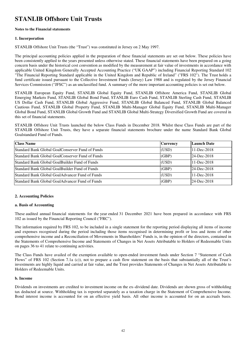#### **Notes to the Financial statements**

#### **1. Incorporation**

STANLIB Offshore Unit Trusts (the "Trust") was constituted in Jersey on 2 May 1997.

The principal accounting policies applied in the preparation of these financial statements are set out below. These policies have been consistently applied to the years presented unless otherwise stated. These financial statements have been prepared on a going concern basis under the historical cost convention as modified by the measurement at fair value of investments in accordance with applicable United Kingdom Generally Accepted Accounting Practice ("UK GAAP") including Financial Reporting Standard 102 "The Financial Reporting Standard applicable in the United Kingdom and Republic of Ireland" ("FRS 102"). The Trust holds a fund certificate issued pursuant to the Collective Investment Funds (Jersey) Law 1988 and is regulated by the Jersey Financial Services Commission ("JFSC") as an unclassified fund. A summary of the more important accounting policies is set out below.

STANLIB European Equity Fund, STANLIB Global Equity Fund, STANLIB Offshore America Fund, STANLIB Global Emerging Markets Fund, STANLIB Global Bond Fund, STANLIB Euro Cash Fund, STANLIB Sterling Cash Fund, STANLIB US Dollar Cash Fund, STANLIB Global Aggressive Fund, STANLIB Global Balanced Fund, STANLIB Global Balanced Cautious Fund, STANLIB Global Property Fund, STANLIB Multi-Manager Global Equity Fund, STANLIB Multi-Manager Global Bond Fund, STANLIB Global Growth Fund and STANLIB Global Multi-Strategy Diversified Growth Fund are covered in this set of financial statements.

STANLIB Offshore Unit Trusts launched the below Class Funds in December 2018. Whilst these Class Funds are part of the STANLIB Offshore Unit Trusts, they have a separate financial statements brochure under the name Standard Bank Global Goalstandard Fund of Funds.

| <b>Class Name</b>                                | <b>Currency</b> | Launch Date |
|--------------------------------------------------|-----------------|-------------|
| Standard Bank Global GoalConserver Fund of Funds | (USD)           | 11-Dec-2018 |
| Standard Bank Global GoalConserver Fund of Funds | (GBP)           | 24-Dec-2018 |
| Standard Bank Global GoalBuilder Fund of Funds   | (USD)           | 11-Dec-2018 |
| Standard Bank Global GoalBuilder Fund of Funds   | (GBP)           | 24-Dec-2018 |
| Standard Bank Global GoalAdvancer Fund of Funds  | (USD)           | 11-Dec-2018 |
| Standard Bank Global GoalAdvancer Fund of Funds  | (GBP)           | 24-Dec-2018 |

### **2. Accounting Policies**

#### **a. Basis of Accounting**

These audited annual financial statements for the year ended 31 December 2021 have been prepared in accordance with FRS 102 as issued by the Financial Reporting Council (''FRC").

The information required by FRS 102, to be included in a single statement for the reporting period displaying all items of income and expenses recognised during the period including those items recognised in determining profit or loss and items of other comprehensive income and a Reconciliation of Movements in Shareholders' Funds is, in the opinion of the directors, contained in the Statements of Comprehensive Income and Statements of Changes in Net Assets Attributable to Holders of Redeemable Units on pages 36 to 41 relate to continuing activities.

The Class Funds have availed of the exemption available to open-ended investment funds under Section 7 "Statement of Cash Flows" of FRS 102 (Section 7.1a (c)), not to prepare a cash flow statement on the basis that substantially all of the Trust's investments are highly liquid and carried at fair value, and the Trust provides Statements of Changes in Net Assets Attributable to Holders of Redeemable Units.

#### **b. Income**

Dividends on investments are credited to investment income on the ex–dividend date. Dividends are shown gross of withholding tax deducted at source. Withholding tax is reported separately as a taxation charge in the Statement of Comprehensive Income. Bond interest income is accounted for on an effective yield basis. All other income is accounted for on an accruals basis.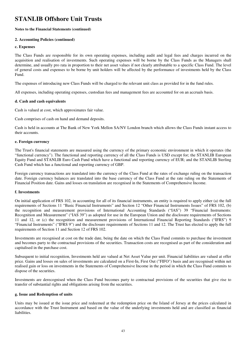#### **Notes to the Financial Statements (continued)**

#### **2. Accounting Policies (continued)**

#### **c. Expenses**

The Class Funds are responsible for its own operating expenses, including audit and legal fees and charges incurred on the acquisition and realisation of investments. Such operating expenses will be borne by the Class Funds as the Managers shall determine, and usually pro rata in proportion to their net asset values if not clearly attributable to a specific Class Fund. The level of general costs and expenses to be borne by unit holders will be affected by the performance of investments held by the Class Fund.

The expenses of introducing new Class Funds will be charged to the relevant unit class as provided for in the fund rules.

All expenses, including operating expenses, custodian fees and management fees are accounted for on an accruals basis.

#### **d. Cash and cash equivalents**

Cash is valued at cost, which approximates fair value.

Cash comprises of cash on hand and demand deposits.

Cash is held in accounts at The Bank of New York Mellon SA/NV London branch which allows the Class Funds instant access to their accounts.

#### **e. Foreign currency**

The Trust's financial statements are measured using the currency of the primary economic environment in which it operates (the "functional currency"). The functional and reporting currency of all the Class Funds is USD except for; the STANLIB European Equity Fund and STANLIB Euro Cash Fund which have a functional and reporting currency of EUR; and the STANLIB Sterling Cash Fund which has a functional and reporting currency of GBP.

Foreign currency transactions are translated into the currency of the Class Fund at the rates of exchange ruling on the transaction date. Foreign currency balances are translated into the base currency of the Class Fund at the rate ruling on the Statements of Financial Position date. Gains and losses on translation are recognised in the Statements of Comprehensive Income.

#### **f. Investments**

On initial application of FRS 102, in accounting for all of its financial instruments, an entity is required to apply either (a) the full requirements of Sections 11 "Basic Financial Instruments" and Section 12 "Other Financial Instruments Issues" of FRS 102, (b) the recognition and measurement provisions of International Accounting Standards ("IAS") 39 "Financial Instruments: Recognition and Measurement" ("IAS 39") as adopted for use in the European Union and the disclosure requirements of Sections 11 and 12, or (c) the recognition and measurement provisions of International Financial Reporting Standards ("IFRS") 9 "Financial Instruments" ("IFRS 9") and the disclosure requirements of Sections 11 and 12. The Trust has elected to apply the full requirements of Section 11 and Section 12 of FRS 102.

Investments are recognised at cost on the trade date, being the date on which the Class Fund commits to purchase the investment and becomes party to the contractual provisions of the securities. Transaction costs are recognised as part of the consideration and capitalised in the purchase cost.

Subsequent to initial recognition, Investments held are valued at Net Asset Value per unit. Financial liabilities are valued at offer price. Gains and losses on sales of investments are calculated on a First-In, First Out ("FIFO") basis and are recognised within net realised gain or loss on investments in the Statements of Comprehensive Income in the period in which the Class Fund commits to dispose of the securities.

Investments are derecognised when the Class Fund becomes party to contractual provisions of the securities that give rise to transfer of substantial rights and obligations arising from the securities.

#### **g. Issue and Redemption of units**

Units may be issued at the issue price and redeemed at the redemption price on the Island of Jersey at the prices calculated in accordance with the Trust Instrument and based on the value of the underlying investments held and are classified as financial **liabilities**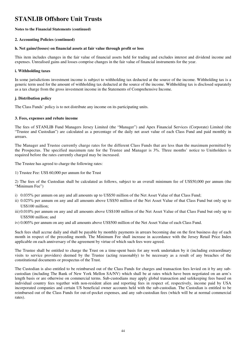#### **Notes to the Financial Statements (continued)**

#### **2. Accounting Policies (continued)**

#### **h. Net gains/(losses) on financial assets at fair value through profit or loss**

This item includes changes in the fair value of financial assets held for trading and excludes interest and dividend income and expenses. Unrealised gains and losses comprise changes in the fair value of financial instruments for the year.

#### **i. Withholding taxes**

In some jurisdictions investment income is subject to withholding tax deducted at the source of the income. Withholding tax is a generic term used for the amount of withholding tax deducted at the source of the income. Withholding tax is disclosed separately as a tax charge from the gross investment income in the Statements of Comprehensive Income.

#### **j. Distribution policy**

The Class Funds' policy is to not distribute any income on its participating units.

#### **3. Fees, expenses and rebate income**

The fees of STANLIB Fund Managers Jersey Limited (the "Manager") and Apex Financial Services (Corporate) Limited (the "Trustee and Custodian") are calculated as a percentage of the daily net asset value of each Class Fund and paid monthly in arrears.

The Manager and Trustee currently charge rates for the different Class Funds that are less than the maximum permitted by the Prospectus. The specified maximum rate for the Trustee and Manager is 3%. Three months' notice to Unitholders is required before the rates currently charged may be increased.

The Trustee has agreed to charge the following rates:

1) Trustee Fee: US\$ 60,000 per annum for the Trust

2) The fees of the Custodian shall be calculated as follows, subject to an overall minimum fee of US\$50,000 per annum (the "Minimum Fee")

- i) 0.035% per annum on any and all amounts up to US\$50 million of the Net Asset Value of that Class Fund;
- ii) 0.025% per annum on any and all amounts above US\$50 million of the Net Asset Value of that Class Fund but only up to US\$100 million;
- iii) 0.010% per annum on any and all amounts above US\$100 million of the Net Asset Value of that Class Fund but only up to US\$500 million; and
- iv) 0.005% per annum on any and all amounts above US\$500 million of the Net Asset Value of each Class Fund.

Such fees shall accrue daily and shall be payable by monthly payments in arrears becoming due on the first business day of each month in respect of the preceding month. The Minimum Fee shall increase in accordance with the Jersey Retail Price Index applicable on each anniversary of the agreement by virtue of which such fees were agreed.

The Trustee shall be entitled to charge the Trust on a time-spent basis for any work undertaken by it (including extraordinary visits to service providers) deemed by the Trustee (acting reasonably) to be necessary as a result of any breaches of the constitutional documents or prospectus of the Trust.

The Custodian is also entitled to be reimbursed out of the Class Funds for charges and transaction fees levied on it by any subcustodian (including The Bank of New York Mellon SA/NV) which shall be at rates which have been negotiated on an arm's length basis or are otherwise on commercial terms. Sub-custodians may apply global transaction and safekeeping fees based on individual country fees together with non-resident alien and reporting fees in respect of, respectively, income paid by USA incorporated companies and certain US beneficial owner accounts held with the sub-custodian. The Custodian is entitled to be reimbursed out of the Class Funds for out-of-pocket expenses, and any sub-custodian fees (which will be at normal commercial rates).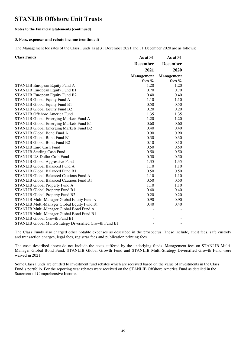#### **Notes to the Financial Statements (continued)**

#### **3. Fees, expenses and rebate income (continued)**

The Management fee rates of the Class Funds as at 31 December 2021 and 31 December 2020 are as follows:

| <b>Class Funds</b>                                       | As at 31          | As at $31$        |
|----------------------------------------------------------|-------------------|-------------------|
|                                                          | <b>December</b>   | <b>December</b>   |
|                                                          | 2021              | 2020              |
|                                                          | <b>Management</b> | <b>Management</b> |
|                                                          | fees $%$          | fees %            |
| STANLIB European Equity Fund A                           | 1.20              | 1.20              |
| <b>STANLIB European Equity Fund B1</b>                   | 0.70              | 0.70              |
| <b>STANLIB European Equity Fund B2</b>                   | 0.40              | 0.40              |
| <b>STANLIB Global Equity Fund A</b>                      | 1.10              | 1.10              |
| STANLIB Global Equity Fund B1                            | 0.50              | 0.50              |
| <b>STANLIB Global Equity Fund B2</b>                     | 0.20              | 0.20              |
| <b>STANLIB Offshore America Fund</b>                     | 1.35              | 1.35              |
| STANLIB Global Emerging Markets Fund A                   | 1.20              | 1.20              |
| STANLIB Global Emerging Markets Fund B1                  | 0.60              | 0.60              |
| <b>STANLIB Global Emerging Markets Fund B2</b>           | 0.40              | 0.40              |
| <b>STANLIB Global Bond Fund A</b>                        | 0.90              | 0.90              |
| <b>STANLIB Global Bond Fund B1</b>                       | 0.30              | 0.30              |
| <b>STANLIB Global Bond Fund B2</b>                       | 0.10              | 0.10              |
| <b>STANLIB Euro Cash Fund</b>                            | 0.50              | 0.50              |
| <b>STANLIB Sterling Cash Fund</b>                        | 0.50              | 0.50              |
| STANLIB US Dollar Cash Fund                              | 0.50              | 0.50              |
| <b>STANLIB Global Aggressive Fund</b>                    | 1.35              | 1.35              |
| <b>STANLIB Global Balanced Fund A</b>                    | 1.10              | 1.10              |
| <b>STANLIB Global Balanced Fund B1</b>                   | 0.50              | 0.50              |
| STANLIB Global Balanced Cautious Fund A                  | 1.10              | 1.10              |
| <b>STANLIB Global Balanced Cautious Fund B1</b>          | 0.50              | 0.50              |
| <b>STANLIB Global Property Fund A</b>                    | 1.10              | 1.10              |
| <b>STANLIB Global Property Fund B1</b>                   | 0.40              | 0.40              |
| <b>STANLIB Global Property Fund B2</b>                   | 0.20              | 0.20              |
| STANLIB Multi-Manager Global Equity Fund A               | 0.90              | 0.90              |
| STANLIB Multi-Manager Global Equity Fund B1              | 0.40              | 0.40              |
| STANLIB Multi-Manager Global Bond Fund A                 |                   |                   |
| STANLIB Multi-Manager Global Bond Fund B1                |                   |                   |
| STANLIB Global Growth Fund B1                            |                   |                   |
| STANLIB Global Multi-Strategy Diversified Growth Fund B1 |                   |                   |

The Class Funds also charged other notable expenses as described in the prospectus. These include, audit fees, safe custody and transaction charges, legal fees, registrar fees and publication printing fees.

The costs described above do not include the costs suffered by the underlying funds. Management fees on STANLIB Multi-Manager Global Bond Fund, STANLIB Global Growth Fund and STANLIB Multi-Strategy Diversified Growth Fund were waived in 2021.

Some Class Funds are entitled to investment fund rebates which are received based on the value of investments in the Class Fund's portfolio. For the reporting year rebates were received on the STANLIB Offshore America Fund as detailed in the Statement of Comprehensive Income.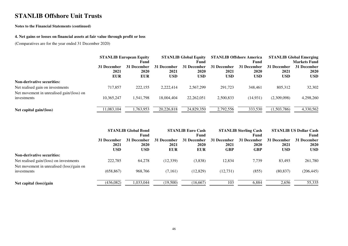#### **Notes to the Financial Statements (continued)**

#### **4. Net gains or losses on financial assets at fair value through profit or loss**

(Comparatives are for the year ended 31 December 2020)

|                                                          | <b>STANLIB European Equity</b><br>Fund |                                   | <b>STANLIB Global Equity</b><br>Fund |                                   |                                   | <b>STANLIB Offshore America</b><br>Fund | <b>STANLIB Global Emerging</b><br><b>Markets Fund</b> |                                          |
|----------------------------------------------------------|----------------------------------------|-----------------------------------|--------------------------------------|-----------------------------------|-----------------------------------|-----------------------------------------|-------------------------------------------------------|------------------------------------------|
|                                                          | 31 December<br>2021<br><b>EUR</b>      | 31 December<br>2020<br><b>EUR</b> | 31 December<br>2021<br><b>USD</b>    | 31 December<br>2020<br><b>USD</b> | 31 December<br>2021<br><b>USD</b> | 31 December<br>2020<br><b>USD</b>       | 31 December<br>2021<br><b>USD</b>                     | 31 December<br><b>2020</b><br><b>USD</b> |
| <b>Non-derivative securities:</b>                        |                                        |                                   |                                      |                                   |                                   |                                         |                                                       |                                          |
| Net realised gain on investments                         | 717,857                                | 222,155                           | 2.222.414                            | 2,567,299                         | 291,723                           | 348,461                                 | 805,312                                               | 32,302                                   |
| Net movement in unrealised gain/(loss) on<br>investments | 10.365.247                             | 1,541,798                         | 18,004,404                           | 22, 262, 051                      | 2,500,833                         | (14, 931)                               | (2,309,098)                                           | 4,298,260                                |
| Net capital gain/(loss)                                  | 1,083,104                              | ,763,953                          | 20,226,818                           | 24,829,350                        | 2,792,556                         | 333,530                                 | (1,503,786)                                           | 4,330,562                                |

|                                           | <b>STANLIB Global Bond</b> |             | <b>STANLIB Euro Cash</b> |             |             | <b>STANLIB Sterling Cash</b> | <b>STANLIB US Dollar Cash</b> |             |
|-------------------------------------------|----------------------------|-------------|--------------------------|-------------|-------------|------------------------------|-------------------------------|-------------|
|                                           |                            | Fund        |                          | Fund        |             | Fund                         | Fund                          |             |
|                                           | 31 December                | 31 December | 31 December              | 31 December | 31 December | 31 December                  | 31 December                   | 31 December |
|                                           | 2021                       | <b>2020</b> | 2021                     | 2020        | 2021        | <b>2020</b>                  | 2021                          | 2020        |
|                                           | <b>USD</b>                 | <b>USD</b>  | <b>EUR</b>               | <b>EUR</b>  | <b>GBP</b>  | <b>GBP</b>                   | <b>USD</b>                    | <b>USD</b>  |
| <b>Non-derivative securities:</b>         |                            |             |                          |             |             |                              |                               |             |
| Net realised gain/(loss) on investments   | 222,785                    | 64,278      | (12, 339)                | (3,838)     | 12,834      | 7,739                        | 83.493                        | 261,780     |
| Net movement in unrealised (loss)/gain on |                            |             |                          |             |             |                              |                               |             |
| investments                               | (658, 867)                 | 968.766     | (7,161)                  | (12,829)    | (12, 731)   | (855)                        | (80, 837)                     | (206, 445)  |
| Net capital (loss)/gain                   | (436,082)                  | 1,033,044   | (19,500)                 | (16, 667)   | 103         | 6,884                        | 2,656                         | 55,335      |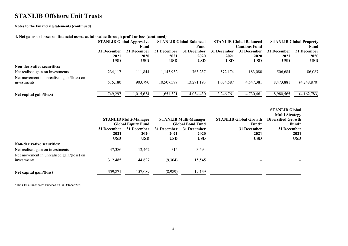#### **Notes to the Financial Statements (continued)**

#### **4. Net gains or losses on financial assets at fair value through profit or loss (continued)**

|                                                          |                                   | <b>STANLIB Global Aggressive</b><br>Fund |                                   | <b>STANLIB Global Balanced</b><br>Fund   |                                   | <b>STANLIB Global Balanced</b><br><b>Cautious Fund</b> | <b>STANLIB Global Property</b><br>Fund |                                   |  |
|----------------------------------------------------------|-----------------------------------|------------------------------------------|-----------------------------------|------------------------------------------|-----------------------------------|--------------------------------------------------------|----------------------------------------|-----------------------------------|--|
|                                                          | 31 December<br>2021<br><b>USD</b> | 31 December<br><b>2020</b><br><b>USD</b> | 31 December<br>2021<br><b>USD</b> | 31 December<br><b>2020</b><br><b>USD</b> | 31 December<br>2021<br><b>USD</b> | 31 December<br><b>2020</b><br><b>USD</b>               | 31 December<br>2021<br><b>USD</b>      | 31 December<br>2020<br><b>USD</b> |  |
| <b>Non-derivative securities:</b>                        |                                   |                                          |                                   |                                          |                                   |                                                        |                                        |                                   |  |
| Net realised gain on investments                         | 234,117                           | 111.844                                  | 1,143,932                         | 763,237                                  | 572,174                           | 183,080                                                | 506,684                                | 86,087                            |  |
| Net movement in unrealised gain/(loss) on<br>investments | 515,180                           | 903,790                                  | 10.507.389                        | 13,271,193                               | 1.674.587                         | 4,547,381                                              | 8,473,881                              | (4,248,870)                       |  |
| Net capital gain/ $(\text{loss})$                        | 749,297                           | 1,015,634                                | 11,651,321                        | 14,034,430                               | 2,246,761                         | 4,730,461                                              | 8,980,565                              | (4,162,783)                       |  |

**STANLIB Global** 

|                                                                                                                                   |                                   | <b>STANLIB Multi-Manager</b><br><b>Global Equity Fund</b> |                            | <b>STANLIB Multi-Manager</b><br><b>Global Bond Fund</b> | <b>STANLIB Global Growth</b><br>Fund* | <b>Multi-Strategy</b><br><b>Diversified Growth</b><br>Fund* |
|-----------------------------------------------------------------------------------------------------------------------------------|-----------------------------------|-----------------------------------------------------------|----------------------------|---------------------------------------------------------|---------------------------------------|-------------------------------------------------------------|
|                                                                                                                                   | 31 December<br>2021<br><b>USD</b> | 31 December<br>2020<br><b>USD</b>                         | 31 December<br>2021<br>USD | 31 December<br>2020<br><b>USD</b>                       | 31 December<br>2021<br><b>USD</b>     | 31 December<br>2021<br><b>USD</b>                           |
| <b>Non-derivative securities:</b><br>Net realised gain on investments<br>Net movement in unrealised gain/(loss) on<br>investments | 47.386<br>312,485                 | 12.462<br>144,627                                         | 315<br>(9,304)             | 3,594<br>15,545                                         |                                       |                                                             |
| Net capital gain/(loss)                                                                                                           | 359,871                           | 157,089                                                   | (8,989)                    | 19,139                                                  |                                       |                                                             |

\*The Class-Funds were launched on 08 October 2021.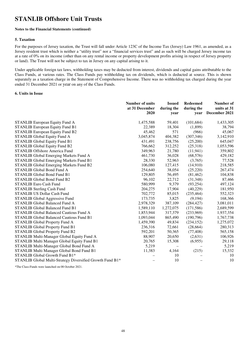#### **Notes to the Financial Statements (continued)**

#### **5. Taxation**

For the purposes of Jersey taxation, the Trust will fall under Article 123C of the Income Tax (Jersey) Law 1961, as amended, as a Jersey resident trust which is neither a "utility trust" nor a "financial services trust" and as such will be charged Jersey income tax at a rate of 0% on its income (other than on any rental income or property development profits arising in respect of Jersey property or land). The Trust will not be subject to tax in Jersey on any capital arising to it.

Under applicable foreign tax laws, withholding taxes may be deducted from interest, dividends and capital gains attributable to the Class Funds, at various rates. The Class Funds pay withholding tax on dividends, which is deducted at source. This is shown separately as a taxation charge in the Statement of Comprehensive Income. There was no withholding tax charged during the year ended 31 December 2021 or year on any of the Class Funds.

#### **6. Units in Issue**

|                                                           | Number of units<br>at 31 December<br>2020 | <b>Issued</b><br>during the<br>year | <b>Redeemed</b><br>during the<br>vear | Number of<br>units at 31<br>December 2021 |
|-----------------------------------------------------------|-------------------------------------------|-------------------------------------|---------------------------------------|-------------------------------------------|
| STANLIB European Equity Fund A                            | 1,475,588                                 | 59,401                              | (101, 684)                            | 1,433,305                                 |
| <b>STANLIB European Equity Fund B1</b>                    | 22,389                                    | 18,304                              | (1,899)                               | 38,794                                    |
| <b>STANLIB European Equity Fund B2</b>                    | 45,462                                    | 571                                 | (966)                                 | 45,067                                    |
| <b>STANLIB Global Equity Fund A</b>                       | 3,045,874                                 | 404,382                             | (307, 346)                            | 3,142,910                                 |
| <b>STANLIB Global Equity Fund B1</b>                      | 431,491                                   | 238,756                             | (25,200)                              | 645,047                                   |
| <b>STANLIB Global Equity Fund B2</b>                      | 766,662                                   | 312,252                             | (25,318)                              | 1,053,596                                 |
| <b>STANLIB Offshore America Fund</b>                      | 349,963                                   | 21,780                              | (11, 941)                             | 359,802                                   |
| STANLIB Global Emerging Markets Fund A                    | 461,730                                   | 36,028                              | (68, 576)                             | 429,182                                   |
| STANLIB Global Emerging Markets Fund B1                   | 28,330                                    | 52,963                              | (3,765)                               | 77,528                                    |
| STANLIB Global Emerging Markets Fund B2                   | 106,080                                   | 127,415                             | (14,910)                              | 218,585                                   |
| STANLIB Global Bond Fund A                                | 254,640                                   | 38,054                              | (25, 220)                             | 267,474                                   |
| STANLIB Global Bond Fund B1                               | 129,805                                   | 56,495                              | (81, 462)                             | 104,838                                   |
| <b>STANLIB Global Bond Fund B2</b>                        | 96,102                                    | 22,712                              | (31,348)                              | 87,466                                    |
| <b>STANLIB Euro Cash Fund</b>                             | 580,999                                   | 9,379                               | (93, 254)                             | 497,124                                   |
| <b>STANLIB Sterling Cash Fund</b>                         | 204,275                                   | 17,904                              | (40,229)                              | 181,950                                   |
| STANLIB US Dollar Cash Fund                               | 702,772                                   | 85,015                              | (235, 464)                            | 552,323                                   |
| <b>STANLIB Global Aggressive Fund</b>                     | 173,735                                   | 3,825                               | (9,194)                               | 168,366                                   |
| <b>STANLIB Global Balanced Fund A</b>                     | 2,978,329                                 | 387,109                             | (284, 427)                            | 3,081,011                                 |
| <b>STANLIB Global Balanced Fund B1</b>                    | 1,589,110                                 | 1,272,075                           | (171, 586)                            | 2,689,599                                 |
| <b>STANLIB Global Balanced Cautious Fund A</b>            | 1,853,944                                 | 317,379                             | (233,969)                             | 1,937,354                                 |
| <b>STANLIB Global Balanced Cautious Fund B1</b>           | 1,093,044                                 | 865,490                             | (190,796)                             | 1,767,738                                 |
| STANLIB Global Property Fund A                            | 1,459,390                                 | 49,834                              | (234, 152)                            | 1,275,072                                 |
| <b>STANLIB Global Property Fund B1</b>                    | 236,316                                   | 72,661                              | (28,664)                              | 280,313                                   |
| STANLIB Global Property Fund B2                           | 592,201                                   | 50,365                              | (77, 408)                             | 565,158                                   |
| STANLIB Multi-Manager Global Equity Fund A                | 88,907                                    | 20,650                              | (2,631)                               | 106,926                                   |
| STANLIB Multi Manager Global Equity Fund B1               | 20,765                                    | 15,308                              | (6,955)                               | 29,118                                    |
| STANLIB Multi-Manager Global Bond Fund A                  | 5,219                                     |                                     |                                       | 5,219                                     |
| STANLIB Multi Manager Global Bond Fund B1                 | 11,383                                    | 4,164                               | (215)                                 | 15,332                                    |
| STANLIB Global Growth Fund B1*                            |                                           | 10                                  |                                       | 10                                        |
| STANLIB Global Multi-Strategy Diversified Growth Fund B1* |                                           | 10                                  |                                       | 10                                        |

\*The Class-Funds were launched on 08 October 2021.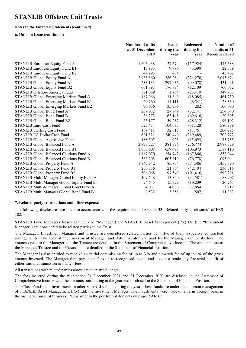#### **Notes to the Financial Statements (continued)**

#### **6. Units in Issue (continued)**

|                                                 | Number of units<br>at 31 December<br>2019 | <b>Issued</b><br>during the<br>year | <b>Redeemed</b><br>during the<br>vear | Number of<br>units at 31<br>December 2020 |
|-------------------------------------------------|-------------------------------------------|-------------------------------------|---------------------------------------|-------------------------------------------|
| STANLIB European Equity Fund A                  | 1,605,938                                 | 27,574                              | (157, 924)                            | 1,475,588                                 |
| <b>STANLIB European Equity Fund B1</b>          | 15,983                                    | 9,796                               | (3,390)                               | 22,389                                    |
| STANLIB European Equity Fund B2                 | 44,998                                    | 464                                 |                                       | 45,462                                    |
| <b>STANLIB Global Equity Fund A</b>             | 2,983,860                                 | 286,284                             | (224,270)                             | 3,045,874                                 |
| <b>STANLIB Global Equity Fund B1</b>            | 233,133                                   | 297,436                             | (99,078)                              | 431,491                                   |
| <b>STANLIB Global Equity Fund B2</b>            | 601,897                                   | 176,874                             | (12,109)                              | 766,662                                   |
| <b>STANLIB Offshore America Fund</b>            | 371,669                                   | 1,704                               | (23, 410)                             | 349,963                                   |
| STANLIB Global Emerging Markets Fund A          | 467,966                                   | 11,849                              | (18,085)                              | 461,730                                   |
| STANLIB Global Emerging Markets Fund B1         | 20,760                                    | 14,111                              | (6, 541)                              | 28,330                                    |
| STANLIB Global Emerging Markets Fund B2         | 70,656                                    | 35,706                              | (282)                                 | 106,080                                   |
| <b>STANLIB Global Bond Fund A</b>               | 259,032                                   | 27,749                              | (32, 141)                             | 254,640                                   |
| STANLIB Global Bond Fund B1                     | 36,273                                    | 163,148                             | (69, 616)                             | 129,805                                   |
| <b>STANLIB Global Bond Fund B2</b>              | 65,177                                    | 59,237                              | (28, 312)                             | 96,102                                    |
| <b>STANLIB Euro Cash Fund</b>                   | 527,434                                   | 104,693                             | (51, 128)                             | 580,999                                   |
| <b>STANLIB Sterling Cash Fund</b>               | 189,411                                   | 32,615                              | (17,751)                              | 204,275                                   |
| <b>STANLIB US Dollar Cash Fund</b>              | 681,821                                   | 340,440                             | (319, 489)                            | 702,772                                   |
| <b>STANLIB Global Aggressive Fund</b>           | 188,505                                   | 923                                 | (15,693)                              | 173,735                                   |
| <b>STANLIB Global Balanced Fund A</b>           | 2,873,727                                 | 381,376                             | (276, 774)                            | 2,978,329                                 |
| <b>STANLIB Global Balanced Fund B1</b>          | 1,033,608                                 | 659,475                             | (103, 973)                            | 1,589,110                                 |
| <b>STANLIB Global Balanced Cautious Fund A</b>  | 1,667,070                                 | 354,742                             | (167, 868)                            | 1,853,944                                 |
| <b>STANLIB Global Balanced Cautious Fund B1</b> | 566,203                                   | 603,619                             | (76, 778)                             | 1,093,044                                 |
| STANLIB Global Property Fund A                  | 1,747,942                                 | 85,834                              | (374, 386)                            | 1,459,390                                 |
| <b>STANLIB Global Property Fund B1</b>          | 256,856                                   | 21,864                              | (42, 404)                             | 236,316                                   |
| STANLIB Global Property Fund B2                 | 596,068                                   | 97,549                              | (101, 416)                            | 592,201                                   |
| STANLIB Multi-Manager Global Equity Fund A      | 109,648                                   | 13,840                              | (34,581)                              | 88,907                                    |
| STANLIB Multi Manager Global Equity Fund B1     | 24,645                                    | 15,329                              | (19,209)                              | 20,765                                    |
| STANLIB Multi-Manager Global Bond Fund A        | 4,037                                     | 4,036                               | (2,854)                               | 5,219                                     |
| STANLIB Multi Manager Global Bond Fund B1       | 8,532                                     | 3,358                               | (507)                                 | 11,383                                    |

#### **7. Related party transactions and other expenses**

 The following disclosures are made in accordance with the requirements of Section 33 "Related party disclosures" of FRS 102.

 STANLIB Fund Managers Jersey Limited (the "Manager") and STANLIB Asset Management (Pty) Ltd (the "Investment Manager") are considered to be related parties to the Trust.

 The Manager, Investment Manager and Trustee are considered related parties by virtue of their respective contractual arrangements. The fees of the Investment Manager and Administrator are paid by the Manager out of its fees. The amounts paid to the Manager and the Trustee are detailed in the Statement of Comprehensive Income. The amounts due to the Manager, Trustee and the Custodian are detailed in the Statement of Financial Position.

The Manager is also entitled to receive an initial commission fee of up to 3 % and a switch fee of up to 1% of the gross amount invested. The Manager then pays such fees on to recognised agents and does not retain any financial benefit of either initial commission or switch fees.

All transactions with related parties above are at an arm's length.

The fees incurred during the year ended 31 December 2021 and 31 December 2020 are disclosed in the Statement of Comprehensive Income with the amounts outstanding at the year end disclosed in the Statement of Financial Position.

The Class Funds held investments in other STANLIB funds during the year. These funds are under the common management of STANLIB Asset Management (Pty) Ltd, the Investment Manager. The investments were made on an arm's length basis in the ordinary course of business. Please refer to the portfolio statements on pages 59 to 65.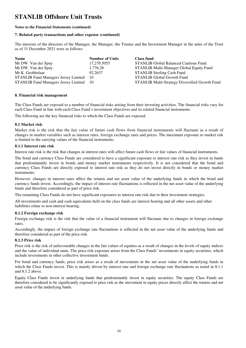#### **Notes to the Financial Statements (continued)**

#### **7. Related party transactions and other expense (continued)**

The interests of the directors of the Manager, the Manager, the Trustee and the Investment Manager in the units of the Trust as of 31 December 2021 were as follows:

| <b>Name</b>                                    | <b>Number of Units</b> | <b>Class fund</b>                              |
|------------------------------------------------|------------------------|------------------------------------------------|
| Mr DW. Van der Spuy                            | 17,270.5055            | <b>STANLIB Global Balanced Cautious Fund</b>   |
| Mr DW. Van der Spuy                            | 1,776.28               | STANLIB Multi-Manager Global Equity Fund       |
| Mr K. Grobbelaar                               | 92.2637                | <b>STANLIB Sterling Cash Fund</b>              |
| <b>STANLIB Fund Managers Jersey Limited</b> 10 |                        | <b>STANLIB Global Growth Fund</b>              |
| STANLIB Fund Managers Jersey Limited 10        |                        | STANLIB Multi-Strategy Diversified Growth Fund |

#### **8. Financial risk management**

The Class Funds are exposed to a number of financial risks arising from their investing activities. The financial risks vary for each Class Fund in line with each Class Fund's investment objectives and its related financial instruments.

The following are the key financial risks to which the Class Funds are exposed:

#### **8.1 Market risk**

Market risk is the risk that the fair value of future cash flows from financial instruments will fluctuate as a result of changes in market variables such as interest rates, foreign exchange rates and prices. The maximum exposure to market risk is limited to the carrying values of the financial instruments.

#### **8.1.1 Interest rate risk**

Interest rate risk is the risk that changes in interest rates will affect future cash flows or fair values of financial instruments.

The bond and currency Class Funds are considered to have a significant exposure to interest rate risk as they invest in funds that predominantly invest in bonds and money market instruments respectively. It is not considered that the bond and currency Class Funds are directly exposed to interest rate risk as they do not invest directly in bonds or money market instruments.

However, changes in interest rates affect the returns and net asset value of the underlying funds in which the bond and currency funds invest. Accordingly, the impact of interest rate fluctuations is reflected in the net asset value of the underlying funds and therefore considered as part of price risk.

The remaining Class Funds do not have significant exposures to interest rate risk due to their investment strategies.

All investments and cash and cash equivalents held on the class funds are interest bearing and all other assets and other liabilities relate to non-interest bearing.

#### **8.1.2 Foreign exchange risk**

Foreign exchange risk is the risk that the value of a financial instrument will fluctuate due to changes in foreign exchange rates.

Accordingly, the impact of foreign exchange rate fluctuations is reflected in the net asset value of the underlying funds and therefore considered as part of the price risk.

### **8.1.3 Price risk**

Price risk is the risk of unfavourable changes in the fair values of equities as a result of changes in the levels of equity indices and the value of individual units. The price risk exposure arises from the Class Funds' investments in equity securities, which include investments in other collective investment funds.

For bond and currency funds, price risk arises as a result of movements in the net asset value of the underlying funds in which the Class Funds invest. This is mainly driven by interest rate and foreign exchange rate fluctuations as noted in 8.1.1 and 8.1.2 above.

Equity Class Funds invest in underlying funds that predominantly invest in equity securities. The equity Class Funds are therefore considered to be significantly exposed to price risk as the movement in equity prices directly affect the returns and net asset value of the underlying funds.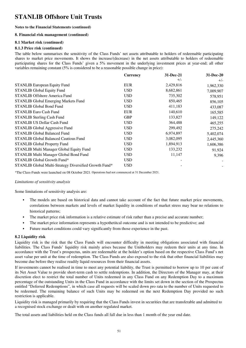#### **Notes to the Financial Statements (continued)**

#### **8. Financial risk management (continued)**

## **8.1 Market risk (continued)**

### **8.1.3 Price risk (continued)**

The table below summarises the sensitivity of the Class Funds' net assets attributable to holders of redeemable participating shares to market price movements. It shows the increase/(decrease) in the net assets attributable to holders of redeemable participating shares for the Class Funds' given a 5% movement in the underlying investment prices at year-end; all other variables remaining constant (5% is considered to be a reasonable possible change in price):

|                                                        | <b>Currency</b> | 31-Dec-21 | 31-Dec-20 |
|--------------------------------------------------------|-----------------|-----------|-----------|
|                                                        |                 | $+/-$     | $+/-$     |
| <b>STANLIB European Equity Fund</b>                    | <b>EUR</b>      | 2,429,816 | 1,962,330 |
| <b>STANLIB Global Equity Fund</b>                      | <b>USD</b>      | 8,682,861 | 7,009,907 |
| <b>STANLIB Offshore America Fund</b>                   | <b>USD</b>      | 735,302   | 578,951   |
| <b>STANLIB Global Emerging Markets Fund</b>            | <b>USD</b>      | 850,465   | 856,105   |
| <b>STANLIB Global Bond Fund</b>                        | <b>USD</b>      | 411,183   | 433,087   |
| <b>STANLIB Euro Cash Fund</b>                          | <b>EUR</b>      | 140,610   | 165,585   |
| <b>STANLIB Sterling Cash Fund</b>                      | <b>GBP</b>      | 133,827   | 149,122   |
| <b>STANLIB US Dollar Cash Fund</b>                     | <b>USD</b>      | 364,488   | 465,255   |
| STANLIB Global Aggressive Fund                         | <b>USD</b>      | 299,492   | 275,242   |
| <b>STANLIB Global Balanced Fund</b>                    | <b>USD</b>      | 6,974,897 | 5,402,074 |
| <b>STANLIB Global Balanced Cautious Fund</b>           | <b>USD</b>      | 3,082,095 | 2,445,360 |
| STANLIB Global Property Fund                           | <b>USD</b>      | 1,894,913 | 1,606,386 |
| STANLIB Multi Manager Global Equity Fund               | <b>USD</b>      | 133,232   | 91,924    |
| STANLIB Multi Manager Global Bond Fund                 | <b>USD</b>      | 11,147    | 9,396     |
| STANLIB Global Growth Fund*                            | <b>USD</b>      |           |           |
| STANLIB Global Multi-Strategy Diversified Growth Fund* | <b>USD</b>      |           |           |

\*The Class-Funds were launched on 08 October 2021. Operations had not commenced at 31 December 2021.

#### *Limitations of sensitivity analysis*

Some limitations of sensitivity analysis are:

- The models are based on historical data and cannot take account of the fact that future market price movements, correlations between markets and levels of market liquidity in conditions of market stress may bear no relations to historical patterns;
- The market price risk information is a relative estimate of risk rather than a precise and accurate number;
- The market price information represents a hypothetitcal outcome and is not intended to be predictive; and
- Future market conditions could vary significantly from those experience in the past.

#### **8.2 Liquidity risk**

Liquidity risk is the risk that the Class Funds will encounter difficulty in meeting obligations associated with financial liabilities. The Class Funds' liquidity risk mainly arises because the Unitholders may redeem their units at any time. In accordance with the Trust's prospectus, units are redeemable at the holder's option based on the respective Class Fund's net asset value per unit at the time of redemption. The Class Funds are also exposed to the risk that other financial liabilities may become due before they realise readily liquid resources from their financial assets.

If investments cannot be realised in time to meet any potential liability, the Trust is permitted to borrow up to 10 per cent of its Net Asset Value to provide short-term cash to settle redemptions. In addition, the Directors of the Manager may, at their discretion elect to restrict the total number of Units redeemed in any Class Fund on any Redemption Day to a maximum percentage of the outstanding Units in the Class Fund in accordance with the limits set down in the section of the Prospectus entitled "Deferred Redemptions", in which case all requests will be scaled down pro rata to the number of Units requested to be redeemed. The remaining balance of such Units may be redeemed on the next Redemption Day provided no such restriction is applicable.

Liquidity risk is managed primarily by requiring that the Class Funds invest in securities that are transferable and admitted to a recognised stock exchange or dealt with on another regulated market.

The total assets and liabilities held on the Class funds all fall due in less than 1 month of the year end date.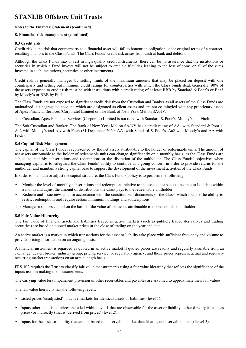#### **Notes to the Financial Statements (continued)**

#### **8. Financial risk management (continued)**

#### **8.3 Credit risk**

Credit risk is the risk that counterparty to a financial asset will fail to honour an obligation under original terms of a contract, resulting in a loss to the Class Funds. The Class Funds' credit risk arises from cash at bank and debtors.

Although the Class Funds may invest in high quality credit instruments, there can be no assurance that the institutions or securities in which a Fund invests will not be subject to credit difficulties leading to the loss of some or all of the sums invested in such institutions, securities or other instruments.

Credit risk is generally managed by setting limits of the maximum amounts that may be placed on deposit with one counterparty and setting out minimum credit ratings for counterparties with which the Class Funds deal. Generally, 90% of the assets exposed to credit risk must be with institutions with a credit rating of at least BBB by Standard & Poor's or Baa3 by Moody's or BBB by Fitch.

The Class Funds are not exposed to significant credit risk from the Custodian and Banker as all assets of the Class Funds are maintained in a segregated account, which are designated as client assets and are not co-mingled with any proprietary assets of Apex Financial Services (Corporate) Limited or The Bank of New York Mellon SA/NV.

The Custodian, Apex Financial Services (Corporate) Limited is not rated with Standard & Poor's, Moody's and Fitch.

The Sub-Custodian and Banker, The Bank of New York Mellon SA/NV has a credit rating of AA- with Standard & Poor's, Aa2 with Moody's and AA with Fitch (31 December 2020: AA- with Standard & Poor's, Aa2 with Moody's and AA with Fitch).

#### **8.4 Capital Risk Management**

The capital of the Class Funds is represented by the net assets attributable to the holder of redeemable units. The amount of net assets attributable to the holder of redeemable units can change significantly on a monthly basis, as the Class Funds are subject to monthly subscriptions and redemptions at the discretion of the unitholder. The Class Funds' objectives when managing capital is to safeguard the Class Funds' ability to continue as a going concern in order to provide returns for the unitholder and maintain a strong capital base to support the development of the investment activities of the Class Funds.

In order to maintain or adjust the capital structure, the Class Fund's policy is to perform the following:

- Monitor the level of monthly subscriptions and redemptions relative to the assets it expects to be able to liquidate within a month and adjust the amount of distributions the Class pays to the redeemable unitholder.
- Redeem and issue new units in accordance with the constitutional documents of the Class, which include the ability to restrict redemptions and require certain minimum holdings and subscriptions.

The Manager monitors capital on the basis of the value of net assets attributable to the redeemable unitholder.

#### **8.5 Fair Value Hierarchy**

The fair value of financial assets and liabilities traded in active markets (such as publicly traded derivatives and trading securities) are based on quoted market prices at the close of trading on the year end date.

An active market is a market in which transactions for the asset or liability take place with sufficient frequency and volume to provide pricing information on an ongoing basis.

A financial instrument is regarded as quoted in an active market if quoted prices are readily and regularly available from an exchange, dealer, broker, industry group, pricing service, or regulatory agency, and those prices represent actual and regularly occurring market transactions on an arm's length basis.

FRS 102 requires the Trust to classify fair value measurements using a fair value hierarchy that reflects the significance of the inputs used in making the measurements.

The carrying value less impairment provision of other receivables and payables are assumed to approximate their fair values.

The fair value hierarchy has the following levels:

- Listed prices (unadjusted) in active markets for identical assets or liabilities (level 1).
- Inputs other than listed prices included within level 1 that are observable for the asset or liability, either directly (that is, as prices) or indirectly (that is, derived from prices) (level 2).
- Inputs for the asset or liability that are not based on observable market data (that is, unobservable inputs) (level 3).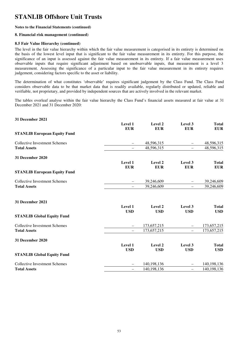#### **Notes to the Financial Statements (continued)**

#### **8. Financial risk management (continued)**

#### **8.5 Fair Value Hierarchy (continued)**

The level in the fair value hierarchy within which the fair value measurement is categorised in its entirety is determined on the basis of the lowest level input that is significant to the fair value measurement in its entirety. For this purpose, the significance of an input is assessed against the fair value measurement in its entirety. If a fair value measurement uses observable inputs that require significant adjustment based on unobservable inputs, that measurement is a level 3 measurement. Assessing the significance of a particular input to the fair value measurement in its entirety requires judgement, considering factors specific to the asset or liability.

The determination of what constitutes 'observable' requires significant judgement by the Class Fund. The Class Fund considers observable data to be that market data that is readily available, regularly distributed or updated, reliable and verifiable, not proprietary, and provided by independent sources that are actively involved in the relevant market.

The tables overleaf analyse within the fair value hierarchy the Class Fund's financial assets measured at fair value at 31 December 2021 and 31 December 2020:

| 31 December 2021                     |                          |                       |                          |                            |
|--------------------------------------|--------------------------|-----------------------|--------------------------|----------------------------|
|                                      | Level 1<br><b>EUR</b>    | Level 2<br><b>EUR</b> | Level 3<br><b>EUR</b>    | <b>Total</b><br><b>EUR</b> |
| <b>STANLIB European Equity Fund</b>  |                          |                       |                          |                            |
| <b>Collective Investment Schemes</b> | —                        | 48,596,315            | $\overline{\phantom{0}}$ | 48,596,315                 |
| <b>Total Assets</b>                  | -                        | 48,596,315            | $\equiv$                 | 48,596,315                 |
| 31 December 2020                     |                          |                       |                          |                            |
|                                      | Level 1<br><b>EUR</b>    | Level 2<br><b>EUR</b> | Level 3<br><b>EUR</b>    | <b>Total</b><br><b>EUR</b> |
| <b>STANLIB European Equity Fund</b>  |                          |                       |                          |                            |
| <b>Collective Investment Schemes</b> |                          | 39,246,609            |                          | 39,246,609                 |
| <b>Total Assets</b>                  | $\overline{\phantom{0}}$ | 39,246,609            | $\equiv$                 | 39,246,609                 |
| 31 December 2021                     |                          |                       |                          |                            |
|                                      | Level 1                  | Level 2               | Level 3                  | <b>Total</b>               |
| <b>STANLIB Global Equity Fund</b>    | <b>USD</b>               | <b>USD</b>            | <b>USD</b>               | <b>USD</b>                 |
| <b>Collective Investment Schemes</b> |                          | 173,657,215           |                          | 173,657,215                |
| <b>Total Assets</b>                  | $\overline{\phantom{0}}$ | 173,657,215           | $\equiv$                 | 173,657,215                |
| <b>31 December 2020</b>              |                          |                       |                          |                            |
|                                      | Level 1                  | Level 2               | Level 3                  | <b>Total</b>               |
| <b>STANLIB Global Equity Fund</b>    | <b>USD</b>               | <b>USD</b>            | <b>USD</b>               | <b>USD</b>                 |
| <b>Collective Investment Schemes</b> | $\overline{\phantom{0}}$ | 140,198,136           |                          | 140, 198, 136              |
| <b>Total Assets</b>                  | $\overline{\phantom{0}}$ | 140,198,136           | $\overline{\phantom{0}}$ | 140,198,136                |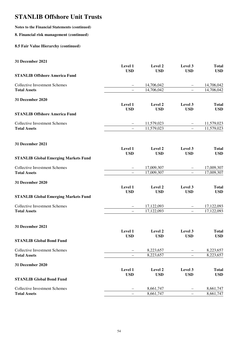## **Notes to the Financial Statements (continued)**

#### **8. Financial risk management (continued)**

### **8.5 Fair Value Hierarchy (continued)**

#### **31 December 2021**

|                                             | Level 1<br><b>USD</b>    | Level 2<br><b>USD</b> | Level 3<br><b>USD</b>    | <b>Total</b><br><b>USD</b> |
|---------------------------------------------|--------------------------|-----------------------|--------------------------|----------------------------|
| <b>STANLIB Offshore America Fund</b>        |                          |                       |                          |                            |
| <b>Collective Investment Schemes</b>        | -                        | 14,706,042            | -                        | 14,706,042                 |
| <b>Total Assets</b>                         |                          | 14,706,042            |                          | 14,706,042                 |
| 31 December 2020                            |                          |                       |                          |                            |
|                                             | Level 1                  | Level 2               | Level 3                  | <b>Total</b>               |
| <b>STANLIB Offshore America Fund</b>        | <b>USD</b>               | <b>USD</b>            | <b>USD</b>               | <b>USD</b>                 |
| <b>Collective Investment Schemes</b>        |                          | 11,579,023            |                          | 11,579,023                 |
| <b>Total Assets</b>                         |                          | 11,579,023            | L,                       | 11,579,023                 |
| 31 December 2021                            |                          |                       |                          |                            |
|                                             | Level 1                  | Level 2               | Level 3                  | <b>Total</b>               |
| <b>STANLIB Global Emerging Markets Fund</b> | <b>USD</b>               | <b>USD</b>            | <b>USD</b>               | <b>USD</b>                 |
| <b>Collective Investment Schemes</b>        |                          | 17,009,307            |                          | 17,009,307                 |
| <b>Total Assets</b>                         | $\overline{\phantom{0}}$ | 17,009,307            | $\equiv$                 | 17,009,307                 |
| 31 December 2020                            |                          |                       |                          |                            |
|                                             | Level 1                  | Level 2               | Level 3                  | <b>Total</b>               |
| <b>STANLIB Global Emerging Markets Fund</b> | <b>USD</b>               | <b>USD</b>            | <b>USD</b>               | <b>USD</b>                 |
| <b>Collective Investment Schemes</b>        |                          | 17,122,093            |                          | 17,122,093                 |
| <b>Total Assets</b>                         |                          | 17,122,093            | $\overline{\phantom{0}}$ | 17,122,093                 |
| 31 December 2021                            |                          |                       |                          |                            |
|                                             | Level 1                  | Level 2               | Level 3                  | <b>Total</b>               |
| <b>STANLIB Global Bond Fund</b>             | <b>USD</b>               | <b>USD</b>            | <b>USD</b>               | <b>USD</b>                 |
| <b>Collective Investment Schemes</b>        |                          | 8,223,657             |                          | 8,223,657                  |
| <b>Total Assets</b>                         |                          | 8,223,657             |                          | 8,223,657                  |
| 31 December 2020                            |                          |                       |                          |                            |
|                                             | Level 1<br><b>USD</b>    | Level 2<br><b>USD</b> | Level 3<br><b>USD</b>    | <b>Total</b><br><b>USD</b> |
| <b>STANLIB Global Bond Fund</b>             |                          |                       |                          |                            |
| <b>Collective Investment Schemes</b>        |                          | 8,661,747             |                          | 8,661,747                  |
| <b>Total Assets</b>                         |                          | 8,661,747             |                          | 8,661,747                  |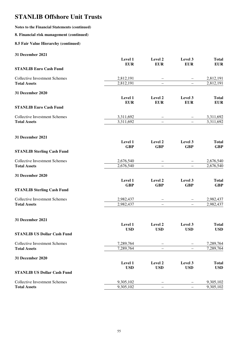### **Notes to the Financial Statements (continued)**

#### **8. Financial risk management (continued)**

### **8.5 Fair Value Hierarchy (continued)**

#### **31 December 2021**

|                                      | Level 1    | Level 2                  | Level 3                  | <b>Total</b> |
|--------------------------------------|------------|--------------------------|--------------------------|--------------|
|                                      | <b>EUR</b> | <b>EUR</b>               | <b>EUR</b>               | <b>EUR</b>   |
| <b>STANLIB Euro Cash Fund</b>        |            |                          |                          |              |
| <b>Collective Investment Schemes</b> | 2,812,191  |                          |                          | 2,812,191    |
| <b>Total Assets</b>                  | 2,812,191  | $\overline{\phantom{0}}$ | $\overline{\phantom{0}}$ | 2,812,191    |
|                                      |            |                          |                          |              |
| 31 December 2020                     |            |                          |                          |              |
|                                      | Level 1    | Level 2                  | Level 3                  | <b>Total</b> |
|                                      | <b>EUR</b> | <b>EUR</b>               | <b>EUR</b>               | <b>EUR</b>   |
| <b>STANLIB Euro Cash Fund</b>        |            |                          |                          |              |
| <b>Collective Investment Schemes</b> | 3,311,692  |                          |                          | 3,311,692    |
| <b>Total Assets</b>                  | 3,311,692  |                          |                          | 3,311,692    |
|                                      |            |                          |                          |              |
| 31 December 2021                     |            |                          |                          |              |
|                                      | Level 1    | Level 2                  | Level 3                  | <b>Total</b> |
|                                      | <b>GBP</b> | <b>GBP</b>               | <b>GBP</b>               | <b>GBP</b>   |
| <b>STANLIB Sterling Cash Fund</b>    |            |                          |                          |              |
| <b>Collective Investment Schemes</b> | 2,676,540  |                          |                          | 2,676,540    |
| <b>Total Assets</b>                  | 2,676,540  | $\overline{\phantom{0}}$ | $\equiv$                 | 2,676,540    |
|                                      |            |                          |                          |              |
| 31 December 2020                     |            |                          |                          |              |
|                                      | Level 1    | Level 2                  | Level 3                  | <b>Total</b> |
|                                      | <b>GBP</b> | <b>GBP</b>               | <b>GBP</b>               | <b>GBP</b>   |
| <b>STANLIB Sterling Cash Fund</b>    |            |                          |                          |              |
| <b>Collective Investment Schemes</b> | 2,982,437  |                          |                          | 2,982,437    |
| <b>Total Assets</b>                  | 2,982,437  |                          | $\overline{\phantom{0}}$ | 2,982,437    |
|                                      |            |                          |                          |              |
| 31 December 2021                     |            |                          |                          |              |
|                                      | Level 1    | Level 2                  | Level 3                  | <b>Total</b> |
|                                      | <b>USD</b> | <b>USD</b>               | <b>USD</b>               | <b>USD</b>   |
| <b>STANLIB US Dollar Cash Fund</b>   |            |                          |                          |              |
| <b>Collective Investment Schemes</b> | 7,289,764  |                          |                          | 7,289,764    |
| <b>Total Assets</b>                  | 7,289,764  |                          |                          | 7,289,764    |
| 31 December 2020                     |            |                          |                          |              |
|                                      | Level 1    | Level 2                  | Level 3                  | <b>Total</b> |
|                                      | <b>USD</b> | <b>USD</b>               | <b>USD</b>               | <b>USD</b>   |
| <b>STANLIB US Dollar Cash Fund</b>   |            |                          |                          |              |
| <b>Collective Investment Schemes</b> | 9,305,102  |                          |                          | 9,305,102    |
| <b>Total Assets</b>                  | 9,305,102  |                          |                          | 9,305,102    |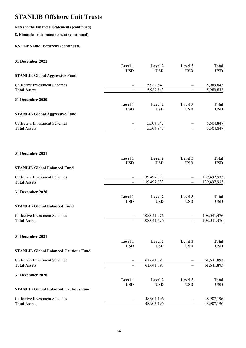## **Notes to the Financial Statements (continued)**

#### **8. Financial risk management (continued)**

### **8.5 Fair Value Hierarchy (continued)**

#### **31 December 2021**

|                                       | Level 1<br><b>USD</b> | Level 2<br><b>USD</b> | Level 3<br><b>USD</b> | <b>Total</b><br><b>USD</b> |
|---------------------------------------|-----------------------|-----------------------|-----------------------|----------------------------|
| <b>STANLIB Global Aggressive Fund</b> |                       |                       |                       |                            |
| Collective Investment Schemes         | $\qquad \qquad -$     | 5,989,843             |                       | 5,989,843                  |
| <b>Total Assets</b>                   |                       | 5,989,843             |                       | 5,989,843                  |
| 31 December 2020                      |                       |                       |                       |                            |
|                                       | Level 1               | Level 2               | Level 3               | <b>Total</b>               |
|                                       | <b>USD</b>            | <b>USD</b>            | <b>USD</b>            | <b>USD</b>                 |
| <b>STANLIB Global Aggressive Fund</b> |                       |                       |                       |                            |
| <b>Collective Investment Schemes</b>  |                       | 5,504,847             |                       | 5,504,847                  |
| <b>Total Assets</b>                   |                       | 5,504,847             |                       | 5,504,847                  |
|                                       |                       |                       |                       |                            |

| 31 December 2021                             |                          |             |                          |              |
|----------------------------------------------|--------------------------|-------------|--------------------------|--------------|
|                                              | Level 1                  | Level 2     | Level 3                  | <b>Total</b> |
|                                              | <b>USD</b>               | <b>USD</b>  | <b>USD</b>               | <b>USD</b>   |
| <b>STANLIB Global Balanced Fund</b>          |                          |             |                          |              |
| <b>Collective Investment Schemes</b>         | $\overline{\phantom{0}}$ | 139,497,933 | -                        | 139,497,933  |
| <b>Total Assets</b>                          | $\overline{\phantom{0}}$ | 139,497,933 |                          | 139,497,933  |
| 31 December 2020                             |                          |             |                          |              |
|                                              | Level 1                  | Level 2     | Level 3                  | <b>Total</b> |
|                                              | <b>USD</b>               | <b>USD</b>  | <b>USD</b>               | <b>USD</b>   |
| <b>STANLIB Global Balanced Fund</b>          |                          |             |                          |              |
| <b>Collective Investment Schemes</b>         | $\qquad \qquad -$        | 108,041,476 |                          | 108,041,476  |
| <b>Total Assets</b>                          | $\overline{\phantom{0}}$ | 108,041,476 | $\overline{\phantom{0}}$ | 108,041,476  |
| 31 December 2021                             |                          |             |                          |              |
|                                              | Level 1                  | Level 2     | Level 3                  | <b>Total</b> |
|                                              | <b>USD</b>               | <b>USD</b>  | <b>USD</b>               | <b>USD</b>   |
| <b>STANLIB Global Balanced Cautious Fund</b> |                          |             |                          |              |
| <b>Collective Investment Schemes</b>         | -                        | 61,641,893  |                          | 61,641,893   |
| <b>Total Assets</b>                          | $\overline{\phantom{0}}$ | 61,641,893  | —                        | 61,641,893   |

## **31 December 2020**

|                                              | Level 1<br><b>USD</b> | Level 2<br>USD | Level 3<br><b>USD</b>    | Total<br><b>USD</b> |
|----------------------------------------------|-----------------------|----------------|--------------------------|---------------------|
| <b>STANLIB Global Balanced Cautious Fund</b> |                       |                |                          |                     |
| Collective Investment Schemes                |                       | 48.907.196     | -                        | 48,907,196          |
| <b>Total Assets</b>                          | —                     | 48.907.196     | $\overline{\phantom{0}}$ | 48,907,196          |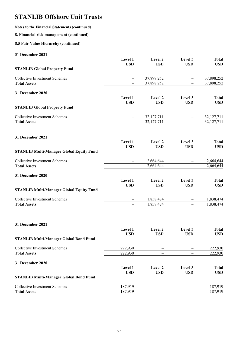## **Notes to the Financial Statements (continued)**

#### **8. Financial risk management (continued)**

### **8.5 Fair Value Hierarchy (continued)**

| 31 December 2021                                |                          |            |                          |              |
|-------------------------------------------------|--------------------------|------------|--------------------------|--------------|
|                                                 | Level 1                  | Level 2    | Level 3                  | <b>Total</b> |
| <b>STANLIB Global Property Fund</b>             | <b>USD</b>               | <b>USD</b> | <b>USD</b>               | <b>USD</b>   |
|                                                 |                          |            |                          |              |
| <b>Collective Investment Schemes</b>            |                          | 37,898,252 |                          | 37,898,252   |
| <b>Total Assets</b>                             |                          | 37,898,252 |                          | 37,898,252   |
| 31 December 2020                                |                          |            |                          |              |
|                                                 | Level 1                  | Level 2    | Level 3                  | <b>Total</b> |
|                                                 | <b>USD</b>               | <b>USD</b> | <b>USD</b>               | <b>USD</b>   |
| <b>STANLIB Global Property Fund</b>             |                          |            |                          |              |
| <b>Collective Investment Schemes</b>            |                          | 32,127,711 |                          | 32,127,711   |
| <b>Total Assets</b>                             | $\equiv$                 | 32,127,711 | $\equiv$                 | 32,127,711   |
| 31 December 2021                                |                          |            |                          |              |
|                                                 | Level 1                  | Level 2    | Level 3                  | <b>Total</b> |
|                                                 | <b>USD</b>               | <b>USD</b> | <b>USD</b>               | <b>USD</b>   |
| <b>STANLIB Multi-Manager Global Equity Fund</b> |                          |            |                          |              |
| <b>Collective Investment Schemes</b>            | —                        | 2,664,644  |                          | 2,664,644    |
| <b>Total Assets</b>                             | $-$                      | 2,664,644  | $\overline{\phantom{0}}$ | 2,664,644    |
| 31 December 2020                                |                          |            |                          |              |
|                                                 | Level 1                  | Level 2    | Level 3                  | <b>Total</b> |
|                                                 | <b>USD</b>               | <b>USD</b> | <b>USD</b>               | <b>USD</b>   |
| <b>STANLIB Multi-Manager Global Equity Fund</b> |                          |            |                          |              |
| <b>Collective Investment Schemes</b>            | $\overline{\phantom{0}}$ | 1,838,474  |                          | 1,838,474    |
| <b>Total Assets</b>                             | $\overline{\phantom{0}}$ | 1,838,474  | $\qquad \qquad -$        | 1,838,474    |

| 31 December 2021                              |                       |                       |                       |                            |
|-----------------------------------------------|-----------------------|-----------------------|-----------------------|----------------------------|
|                                               | Level 1<br><b>USD</b> | Level 2<br><b>USD</b> | Level 3<br><b>USD</b> | <b>Total</b><br><b>USD</b> |
| <b>STANLIB Multi-Manager Global Bond Fund</b> |                       |                       |                       |                            |
| Collective Investment Schemes                 | 222,930               |                       |                       | 222,930                    |
| <b>Total Assets</b>                           | 222,930               |                       |                       | 222,930                    |
| 31 December 2020                              |                       |                       |                       |                            |
|                                               | Level 1               | Level 2               | Level 3               | <b>Total</b>               |
|                                               | <b>USD</b>            | <b>USD</b>            | <b>USD</b>            | <b>USD</b>                 |
| <b>STANLIB Multi-Manager Global Bond Fund</b> |                       |                       |                       |                            |
| Collective Investment Schemes                 | 187,919               |                       |                       | 187,919                    |
| <b>Total Assets</b>                           | 187.919               |                       |                       | 187.919                    |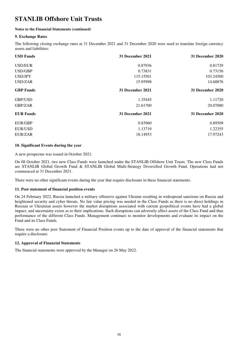#### **Notes to the Financial Statements (continued)**

#### **9. Exchange Rates**

The following closing exchange rates at 31 December 2021 and 31 December 2020 were used to translate foreign currency assets and liabilities:

| <b>USD Funds</b> | 31 December 2021 | 31 December 2020 |
|------------------|------------------|------------------|
| <b>USD/EUR</b>   | 0.87936          | 0.81729          |
| USD/GBP          | 0.73831          | 0.73156          |
| USD/JPY          | 115.15501        | 103.24500        |
| USD/ZAR          | 15.95998         | 14.68876         |
| <b>GBP</b> Funds | 31 December 2021 | 31 December 2020 |
| GBP/USD          | 1.35445          | 1.11720          |
| GBP/ZAR          | 21.61700         | 20.07880         |
| <b>EUR Funds</b> | 31 December 2021 | 31 December 2020 |
| EUR/GBP          | 0.83960          | 0.89509          |
| <b>EUR/USD</b>   | 1.13719          | 1.22355          |
| EUR/ZAR          | 18.14953         | 17.97243         |

#### **10. Significant Events during the year**

A new prospectus was issued in October 2021.

On 08 October 2021, two new Class Funds were launched under the STANLIB Offshore Unit Trusts. The new Class Funds are STANLIB Global Growth Fund & STANLIB Global Multi-Strategy Diversified Growth Fund. Operations had not commenced at 31 December 2021.

There were no other significant events during the year that require disclosure in these financial statements.

#### **11. Post statement of financial position events**

On 24 February 2022, Russia launched a military offensive against Ukraine resulting in widespread sanctions on Russia and heightened security and cyber threats. No fair value pricing was needed in the Class Funds as there is no direct holdings in Russian or Ukrainian assets however the market disruptions associated with current geopolitical events have had a global impact, and uncertainty exists as to their implications. Such disruptions can adversely affect assets of the Class Fund and thus performance of the different Class Funds. Management continues to monitor developments and evaluate its impact on the Fund and its Class Funds.

There were no other post Statement of Financial Position events up to the date of approval of the financial statements that require a disclosure.

#### **12. Approval of Financial Statements**

The financial statements were approved by the Manager on 26 May 2022.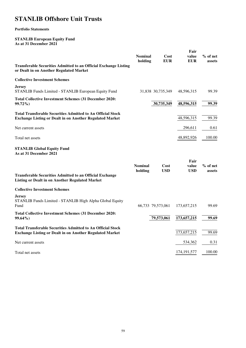#### **Portfolio Statements**

**STANLIB European Equity Fund As at 31 December 2021** 

| <b>Transferable Securities Admitted to an Official Exchange Listing</b><br>or Dealt in on Another Regulated Market                    | <b>Nominal</b><br>holding | Cost<br><b>EUR</b> | Fair<br>value<br><b>EUR</b> | $%$ of net<br>assets |
|---------------------------------------------------------------------------------------------------------------------------------------|---------------------------|--------------------|-----------------------------|----------------------|
| <b>Collective Investment Schemes</b>                                                                                                  |                           |                    |                             |                      |
| <b>Jersey</b><br>STANLIB Funds Limited - STANLIB European Equity Fund                                                                 |                           | 31,838 30,735,349  | 48,596,315                  | 99.39                |
| <b>Total Collective Investment Schemes (31 December 2020:</b><br>99.72%)                                                              |                           | 30,735,349         | 48,596,315                  | 99.39                |
| <b>Total Transferable Securities Admitted to An Official Stock</b><br><b>Exchange Listing or Dealt in on Another Regulated Market</b> |                           |                    | 48,596,315                  | 99.39                |
| Net current assets                                                                                                                    |                           |                    | 296,611                     | 0.61                 |
| Total net assets                                                                                                                      |                           |                    | 48,892,926                  | 100.00               |
| <b>STANLIB Global Equity Fund</b><br>As at 31 December 2021                                                                           |                           |                    |                             |                      |
| <b>Transferable Securities Admitted to an Official Exchange</b><br><b>Listing or Dealt in on Another Regulated Market</b>             | <b>Nominal</b><br>holding | Cost<br><b>USD</b> | Fair<br>value<br><b>USD</b> | $%$ of net<br>assets |
| <b>Collective Investment Schemes</b>                                                                                                  |                           |                    |                             |                      |
| Jersey<br>STANLIB Funds Limited - STANLIB High Alpha Global Equity<br>Fund                                                            |                           | 66,733 79,573,061  | 173,657,215                 | 99.69                |
| <b>Total Collective Investment Schemes (31 December 2020:</b><br>99.64%)                                                              |                           | 79,573,061         | 173,657,215                 | 99.69                |
| <b>Total Transferable Securities Admitted to An Official Stock</b><br><b>Exchange Listing or Dealt in on Another Regulated Market</b> |                           |                    | 173,657,215                 | 99.69                |
| Net current assets                                                                                                                    |                           |                    | 534,362                     | 0.31                 |
| Total net assets                                                                                                                      |                           |                    | 174, 191, 577               | 100.00               |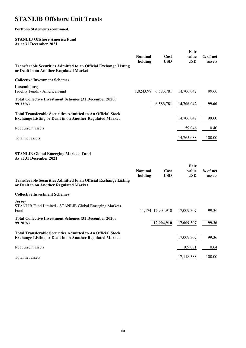### **Portfolio Statements (continued)**

### **STANLIB Offshore America Fund As at 31 December 2021**

|                                                                                                                                       | <b>Nominal</b><br>holding | Cost<br><b>USD</b> | Fair<br>value<br><b>USD</b> | $%$ of net<br>assets |
|---------------------------------------------------------------------------------------------------------------------------------------|---------------------------|--------------------|-----------------------------|----------------------|
| <b>Transferable Securities Admitted to an Official Exchange Listing</b><br>or Dealt in on Another Regulated Market                    |                           |                    |                             |                      |
| <b>Collective Investment Schemes</b>                                                                                                  |                           |                    |                             |                      |
| Luxembourg<br>Fidelity Funds - America Fund                                                                                           | 1,024,098                 | 6,583,781          | 14,706,042                  | 99.60                |
| <b>Total Collective Investment Schemes (31 December 2020:</b><br>99.33%)                                                              |                           | 6,583,781          | 14,706,042                  | 99.60                |
| <b>Total Transferable Securities Admitted to An Official Stock</b><br><b>Exchange Listing or Dealt in on Another Regulated Market</b> |                           |                    | 14,706,042                  | 99.60                |
| Net current assets                                                                                                                    |                           |                    | 59,046                      | 0.40                 |
| Total net assets                                                                                                                      |                           |                    | 14,765,088                  | 100.00               |
| <b>STANLIB Global Emerging Markets Fund</b><br>As at 31 December 2021                                                                 |                           |                    |                             |                      |
|                                                                                                                                       | <b>Nominal</b><br>holding | Cost<br><b>USD</b> | Fair<br>value<br><b>USD</b> | $%$ of net<br>assets |
| <b>Transferable Securities Admitted to an Official Exchange Listing</b><br>or Dealt in on Another Regulated Market                    |                           |                    |                             |                      |
| <b>Collective Investment Schemes</b>                                                                                                  |                           |                    |                             |                      |
| <b>Jersey</b><br>STANLIB Fund Limited - STANLIB Global Emerging Markets<br>Fund                                                       |                           | 11,174 12,904,910  | 17,009,307                  | 99.36                |
| <b>Total Collective Investment Schemes (31 December 2020:</b><br>99.20%)                                                              |                           | 12,904,910         | 17,009,307                  | 99.36                |
| <b>Total Transferable Securities Admitted to An Official Stock</b><br><b>Exchange Listing or Dealt in on Another Regulated Market</b> |                           |                    | 17,009,307                  | 99.36                |
| Net current assets                                                                                                                    |                           |                    | 109,081                     | 0.64                 |
| Total net assets                                                                                                                      |                           |                    | 17,118,388                  | 100.00               |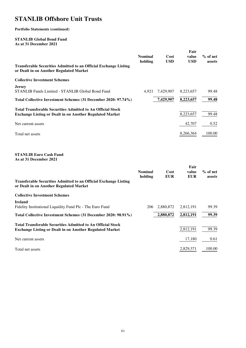### **Portfolio Statements (continued)**

### **STANLIB Global Bond Fund As at 31 December 2021**

| <b>Transferable Securities Admitted to an Official Exchange Listing</b><br>or Dealt in on Another Regulated Market                    | <b>Nominal</b><br>holding | Cost<br><b>USD</b> | Fair<br>value<br><b>USD</b> | $%$ of net<br>assets |
|---------------------------------------------------------------------------------------------------------------------------------------|---------------------------|--------------------|-----------------------------|----------------------|
| <b>Collective Investment Schemes</b>                                                                                                  |                           |                    |                             |                      |
| <b>Jersey</b><br>STANLIB Funds Limited - STANLIB Global Bond Fund                                                                     | 4.921                     | 7,429,907          | 8,223,657                   | 99.48                |
| Total Collective Investment Schemes (31 December 2020: 97.74%)                                                                        |                           | 7,429,907          | 8,223,657                   | 99.48                |
| <b>Total Transferable Securities Admitted to An Official Stock</b><br><b>Exchange Listing or Dealt in on Another Regulated Market</b> |                           |                    | 8,223,657                   | 99.48                |
| Net current assets                                                                                                                    |                           |                    | 42,707                      | 0.52                 |
| Total net assets                                                                                                                      |                           |                    | 8,266,364                   | 100.00               |
| <b>STANLIB Euro Cash Fund</b><br>As at 31 December 2021                                                                               |                           |                    | Fair                        |                      |
| <b>Transferable Securities Admitted to an Official Exchange Listing</b><br>or Dealt in on Another Regulated Market                    | Nominal<br>holding        | Cost<br><b>EUR</b> | value<br><b>EUR</b>         | $%$ of net<br>assets |
| <b>Collective Investment Schemes</b>                                                                                                  |                           |                    |                             |                      |
| <b>Ireland</b><br>Fidelity Institutional Liquidity Fund Plc - The Euro Fund                                                           | 206                       | 2,880,872          | 2,812,191                   | 99.39                |
| Total Collective Investment Schemes (31 December 2020: 98.91%)                                                                        |                           | 2,880,872          | 2,812,191                   | 99.39                |
| <b>Total Transferable Securities Admitted to An Official Stock</b><br><b>Exchange Listing or Dealt in on Another Regulated Market</b> |                           |                    | 2,812,191                   | 99.39                |
| Net current assets                                                                                                                    |                           |                    | 17,180                      | 0.61                 |
| Total net assets                                                                                                                      |                           |                    | 2,829,371                   | 100.00               |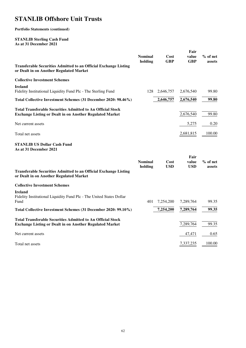**Portfolio Statements (continued)** 

#### **STANLIB Sterling Cash Fund As at 31 December 2021**

| <b>Transferable Securities Admitted to an Official Exchange Listing</b><br>or Dealt in on Another Regulated Market                    | <b>Nominal</b><br>holding | Cost<br><b>GBP</b> | Fair<br>value<br><b>GBP</b> | % of net<br>assets |
|---------------------------------------------------------------------------------------------------------------------------------------|---------------------------|--------------------|-----------------------------|--------------------|
| <b>Collective Investment Schemes</b>                                                                                                  |                           |                    |                             |                    |
| <b>Ireland</b><br>Fidelity Institutional Liquidity Fund Plc - The Sterling Fund                                                       | 128                       | 2,646,757          | 2,676,540                   | 99.80              |
| Total Collective Investment Schemes (31 December 2020: 98.46%)                                                                        |                           | 2,646,757          | 2,676,540                   | 99.80              |
| <b>Total Transferable Securities Admitted to An Official Stock</b><br><b>Exchange Listing or Dealt in on Another Regulated Market</b> |                           |                    | 2,676,540                   | 99.80              |
| Net current assets                                                                                                                    |                           |                    | 5,275                       | 0.20               |
| Total net assets                                                                                                                      |                           |                    | 2,681,815                   | 100.00             |
| <b>STANLIB US Dollar Cash Fund</b><br>As at 31 December 2021                                                                          |                           |                    |                             |                    |
| <b>Transferable Securities Admitted to an Official Exchange Listing</b><br>or Dealt in on Another Regulated Market                    | <b>Nominal</b><br>holding | Cost<br><b>USD</b> | Fair<br>value<br><b>USD</b> | % of net<br>assets |
| <b>Collective Investment Schemes</b>                                                                                                  |                           |                    |                             |                    |
| <b>Ireland</b><br>Fidelity Institutional Liquidity Fund Plc - The United States Dollar<br>Fund                                        | 401                       | 7,254,200          | 7,289,764                   | 99.35              |
| Total Collective Investment Schemes (31 December 2020: 99.10%)                                                                        |                           | 7,254,200          | 7,289,764                   | 99.35              |
| <b>Total Transferable Securities Admitted to An Official Stock</b><br><b>Exchange Listing or Dealt in on Another Regulated Market</b> |                           |                    | 7,289,764                   | 99.35              |
| Net current assets                                                                                                                    |                           |                    | 47,471                      | 0.65               |
| Total net assets                                                                                                                      |                           |                    | 7,337,235                   | 100.00             |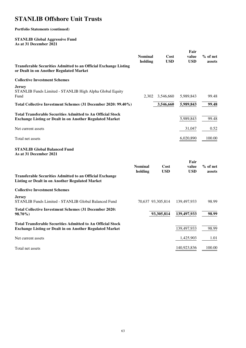**Portfolio Statements (continued)** 

#### **STANLIB Global Aggressive Fund As at 31 December 2021**

|                           |                                                                | value                                                                                                         | $%$ of net<br>assets       |
|---------------------------|----------------------------------------------------------------|---------------------------------------------------------------------------------------------------------------|----------------------------|
|                           |                                                                |                                                                                                               |                            |
|                           |                                                                |                                                                                                               |                            |
|                           |                                                                | 5,989,843                                                                                                     | 99.48                      |
|                           |                                                                | 5,989,843                                                                                                     | 99.48                      |
|                           |                                                                | 5,989,843                                                                                                     | 99.48                      |
|                           |                                                                | 31,047                                                                                                        | 0.52                       |
|                           |                                                                | 6,020,890                                                                                                     | 100.00                     |
|                           |                                                                |                                                                                                               |                            |
| <b>Nominal</b><br>holding | Cost<br><b>USD</b>                                             | Fair<br>value<br><b>USD</b>                                                                                   | % of net<br>assets         |
|                           |                                                                |                                                                                                               |                            |
|                           |                                                                | 139,497,933                                                                                                   | 98.99                      |
|                           |                                                                | 139,497,933                                                                                                   | 98.99                      |
|                           |                                                                | 139,497,933                                                                                                   | 98.99                      |
|                           |                                                                | 1,425,903                                                                                                     | 1.01                       |
|                           |                                                                | 140,923,836                                                                                                   | 100.00                     |
|                           | Total Collective Investment Schemes (31 December 2020: 99.40%) | <b>Nominal</b><br>holding<br><b>USD</b><br>2,302<br>3,546,660<br>3,546,660<br>70,637 93,305,814<br>93,305,814 | Fair<br>Cost<br><b>USD</b> |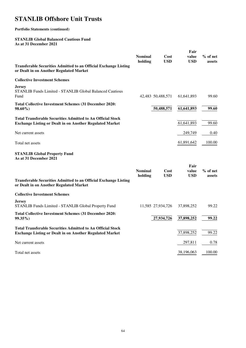### **Portfolio Statements (continued)**

#### **STANLIB Global Balanced Cautious Fund As at 31 December 2021**

|                                                                                                                                       |                           |                    | Fair                        |                      |
|---------------------------------------------------------------------------------------------------------------------------------------|---------------------------|--------------------|-----------------------------|----------------------|
|                                                                                                                                       | <b>Nominal</b><br>holding | Cost<br><b>USD</b> | value<br><b>USD</b>         | $%$ of net<br>assets |
| <b>Transferable Securities Admitted to an Official Exchange Listing</b><br>or Dealt in on Another Regulated Market                    |                           |                    |                             |                      |
| <b>Collective Investment Schemes</b>                                                                                                  |                           |                    |                             |                      |
| <b>Jersey</b><br>STANLIB Funds Limited - STANLIB Global Balanced Cautious<br>Fund                                                     |                           | 42,483 50,488,571  | 61,641,893                  | 99.60                |
| <b>Total Collective Investment Schemes (31 December 2020:</b><br>98.60%)                                                              |                           | 50,488,571         | 61,641,893                  | 99.60                |
| <b>Total Transferable Securities Admitted to An Official Stock</b><br><b>Exchange Listing or Dealt in on Another Regulated Market</b> |                           |                    | 61,641,893                  | 99.60                |
| Net current assets                                                                                                                    |                           |                    | 249,749                     | 0.40                 |
| Total net assets                                                                                                                      |                           |                    | 61,891,642                  | 100.00               |
| <b>STANLIB Global Property Fund</b><br>As at 31 December 2021                                                                         |                           |                    |                             |                      |
| <b>Transferable Securities Admitted to an Official Exchange Listing</b><br>or Dealt in on Another Regulated Market                    | <b>Nominal</b><br>holding | Cost<br><b>USD</b> | Fair<br>value<br><b>USD</b> | $%$ of net<br>assets |
| <b>Collective Investment Schemes</b>                                                                                                  |                           |                    |                             |                      |
| <b>Jersey</b><br>STANLIB Funds Limited - STANLIB Global Property Fund                                                                 |                           | 11,585 27,934,726  | 37,898,252                  | 99.22                |
| <b>Total Collective Investment Schemes (31 December 2020:</b><br>99.35%)                                                              |                           | 27,934,726         | 37,898,252                  | 99.22                |
| <b>Total Transferable Securities Admitted to An Official Stock</b><br><b>Exchange Listing or Dealt in on Another Regulated Market</b> |                           |                    | 37,898,252                  | 99.22                |
| Net current assets                                                                                                                    |                           |                    | 297,811                     | 0.78                 |
| Total net assets                                                                                                                      |                           |                    | 38,196,063                  | 100.00               |
|                                                                                                                                       |                           |                    |                             |                      |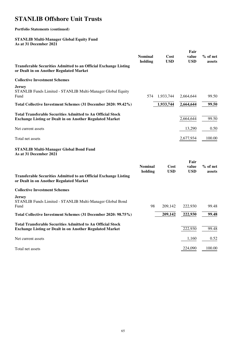### **Portfolio Statements (continued)**

#### **STANLIB Multi-Manager Global Equity Fund As at 31 December 2021**

|                                                                                                                                       | Fair                      |                    |                     |                    |
|---------------------------------------------------------------------------------------------------------------------------------------|---------------------------|--------------------|---------------------|--------------------|
|                                                                                                                                       | <b>Nominal</b><br>holding | Cost<br><b>USD</b> | value<br><b>USD</b> | % of net<br>assets |
| <b>Transferable Securities Admitted to an Official Exchange Listing</b><br>or Dealt in on Another Regulated Market                    |                           |                    |                     |                    |
| <b>Collective Investment Schemes</b>                                                                                                  |                           |                    |                     |                    |
| Jersey<br>STANLIB Funds Limited - STANLIB Multi-Manager Global Equity<br>Fund                                                         | 574                       | 1,933,744          | 2,664,644           | 99.50              |
| Total Collective Investment Schemes (31 December 2020: 99.42%)                                                                        |                           | 1,933,744          | 2,664,644           | 99.50              |
| <b>Total Transferable Securities Admitted to An Official Stock</b><br><b>Exchange Listing or Dealt in on Another Regulated Market</b> |                           |                    | 2,664,644           | 99.50              |
| Net current assets                                                                                                                    |                           |                    | 13,290              | 0.50               |
| Total net assets                                                                                                                      |                           |                    | 2,677,934           | 100.00             |
| <b>STANLIB Multi-Manager Global Bond Fund</b><br>As at 31 December 2021                                                               |                           |                    |                     |                    |
|                                                                                                                                       | <b>Nominal</b>            | Cost               | Fair<br>value       | % of net           |
| <b>Transferable Securities Admitted to an Official Exchange Listing</b><br>or Dealt in on Another Regulated Market                    | holding                   | <b>USD</b>         | <b>USD</b>          | assets             |
| <b>Collective Investment Schemes</b>                                                                                                  |                           |                    |                     |                    |
| <b>Jersey</b><br>STANLIB Funds Limited - STANLIB Multi-Manager Global Bond<br>Fund                                                    | 98                        | 209,142            | 222,930             | 99.48              |
| Total Collective Investment Schemes (31 December 2020: 98.75%)                                                                        |                           | 209,142            | 222,930             | 99.48              |
| <b>Total Transferable Securities Admitted to An Official Stock</b><br><b>Exchange Listing or Dealt in on Another Regulated Market</b> |                           |                    | 222,930             | 99.48              |
| Net current assets                                                                                                                    |                           |                    | 1,160               | 0.52               |
| Total net assets                                                                                                                      |                           |                    | 224,090             | 100.00             |
|                                                                                                                                       |                           |                    |                     |                    |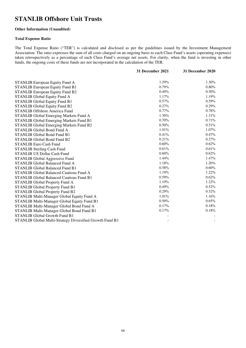#### **Other Information (Unaudited)**

#### **Total Expense Ratio**

The Total Expense Ratio ("TER") is calculated and disclosed as per the guidelines issued by the Investment Management Association. The ratio expresses the sum of all costs charged on an ongoing basis to each Class Fund's assets (operating expenses) taken retrospectively as a percentage of each Class Fund's average net assets. For clarity, when the fund is investing in other funds, the ongoing costs of these funds are not incorporated in the calculation of the TER.

|                                                          | 31 December 2021 | 31 December 2020 |
|----------------------------------------------------------|------------------|------------------|
| <b>STANLIB European Equity Fund A</b>                    | 1.29%            | 1.30%            |
| <b>STANLIB European Equity Fund B1</b>                   | 0.79%            | 0.80%            |
| <b>STANLIB European Equity Fund B2</b>                   | 0.49%            | 0.50%            |
| STANLIB Global Equity Fund A                             | 1.17%            | 1.19%            |
| STANLIB Global Equity Fund B1                            | 0.57%            | 0.59%            |
| <b>STANLIB Global Equity Fund B2</b>                     | 0.27%            | 0.29%            |
| <b>STANLIB Offshore America Fund</b>                     | $0.77\%$         | 0.78%            |
| STANLIB Global Emerging Markets Fund A                   | 1.30%            | 1.31%            |
| STANLIB Global Emerging Markets Fund B1                  | 0.70%            | 0.71%            |
| <b>STANLIB Global Emerging Markets Fund B2</b>           | 0.50%            | 0.51%            |
| <b>STANLIB Global Bond Fund A</b>                        | 1.01%            | 1.07%            |
| <b>STANLIB Global Bond Fund B1</b>                       | 0.41%            | 0.47%            |
| <b>STANLIB Global Bond Fund B2</b>                       | 0.21%            | 0.27%            |
| <b>STANLIB Euro Cash Fund</b>                            | 0.60%            | 0.62%            |
| <b>STANLIB Sterling Cash Fund</b>                        | 0.61%            | 0.61%            |
| <b>STANLIB US Dollar Cash Fund</b>                       | 0.60%            | 0.62%            |
| STANLIB Global Aggressive Fund                           | 1.44%            | 1.47%            |
| <b>STANLIB Global Balanced Fund A</b>                    | 1.18%            | 1.20%            |
| <b>STANLIB Global Balanced Fund B1</b>                   | 0.58%            | 0.60%            |
| <b>STANLIB Global Balanced Cautious Fund A</b>           | 1.19%            | 1.22%            |
| <b>STANLIB Global Balanced Cautious Fund B1</b>          | 0.59%            | 0.62%            |
| STANLIB Global Property Fund A                           | 1.19%            | 1.22%            |
| <b>STANLIB Global Property Fund B1</b>                   | 0.49%            | 0.52%            |
| STANLIB Global Property Fund B2                          | 0.29%            | 0.32%            |
| STANLIB Multi-Manager Global Equity Fund A               | 1.01%            | 1.16%            |
| STANLIB Multi-Manager Global Equity Fund B1              | 0.50%            | 0.65%            |
| STANLIB Multi-Manager Global Bond Fund A                 | 0.17%            | 0.18%            |
| STANLIB Multi-Manager Global Bond Fund B1                | 0.17%            | 0.18%            |
| <b>STANLIB Global Growth Fund B1</b>                     |                  |                  |
| STANLIB Global Multi-Strategy Diversified Growth Fund B1 |                  |                  |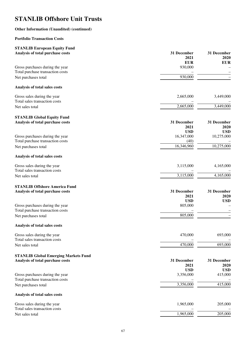### **Other Information (Unaudited) (continued)**

### **Portfolio Transaction Costs**

| <b>STANLIB European Equity Fund</b><br>Analysis of total purchase costs | 31 December | 31 December |
|-------------------------------------------------------------------------|-------------|-------------|
|                                                                         | 2021        | 2020        |
|                                                                         | <b>EUR</b>  | <b>EUR</b>  |
| Gross purchases during the year                                         | 930,000     |             |
| Total purchase transaction costs                                        |             |             |
| Net purchases total                                                     | 930,000     |             |
| Analysis of total sales costs                                           |             |             |
| Gross sales during the year                                             | 2,665,000   | 3,449,000   |
| Total sales transaction costs                                           |             |             |
| Net sales total                                                         | 2,665,000   | 3,449,000   |
| <b>STANLIB Global Equity Fund</b>                                       |             |             |
| Analysis of total purchase costs                                        | 31 December | 31 December |
|                                                                         | 2021        | 2020        |
|                                                                         | <b>USD</b>  | <b>USD</b>  |
| Gross purchases during the year                                         | 16,347,000  | 10,275,000  |
| Total purchase transaction costs                                        | (40)        |             |
| Net purchases total                                                     | 16,346,960  | 10,275,000  |
| Analysis of total sales costs                                           |             |             |
| Gross sales during the year                                             | 3,115,000   | 4,165,000   |
| Total sales transaction costs                                           |             |             |
| Net sales total                                                         | 3,115,000   | 4,165,000   |
| <b>STANLIB Offshore America Fund</b>                                    |             |             |
| Analysis of total purchase costs                                        | 31 December | 31 December |
|                                                                         | 2021        | 2020        |
|                                                                         | <b>USD</b>  | <b>USD</b>  |
| Gross purchases during the year                                         | 805,000     |             |
| Total purchase transaction costs                                        |             |             |
| Net purchases total                                                     | 805,000     |             |
| Analysis of total sales costs                                           |             |             |
| Gross sales during the year                                             | 470,000     | 693,000     |
| Total sales transaction costs                                           |             |             |
| Net sales total                                                         | 470,000     | 693,000     |
| <b>STANLIB Global Emerging Markets Fund</b>                             |             |             |
| Analysis of total purchase costs                                        | 31 December | 31 December |
|                                                                         | 2021        | 2020        |
|                                                                         | <b>USD</b>  | <b>USD</b>  |
| Gross purchases during the year                                         | 3,356,000   | 415,000     |
| Total purchase transaction costs                                        |             |             |
| Net purchases total                                                     | 3,356,000   | 415,000     |
| Analysis of total sales costs                                           |             |             |
| Gross sales during the year                                             | 1,965,000   | 205,000     |
| Total sales transaction costs                                           |             |             |
| Net sales total                                                         | 1,965,000   | 205,000     |
|                                                                         |             |             |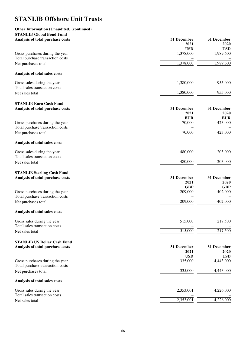#### **Other Information (Unaudited) (continued) STANLIB Clobal B.**

| STANLIB GIODAI BONG FUNG<br>Analysis of total purchase costs           | 31 December<br>2021     | 31 December<br>2020     |
|------------------------------------------------------------------------|-------------------------|-------------------------|
| Gross purchases during the year                                        | <b>USD</b><br>1,378,000 | <b>USD</b><br>1,989,600 |
| Total purchase transaction costs<br>Net purchases total                | 1,378,000               | 1,989,600               |
| Analysis of total sales costs                                          |                         |                         |
| Gross sales during the year<br>Total sales transaction costs           | 1,380,000               | 955,000                 |
| Net sales total                                                        | 1,380,000               | 955,000                 |
| <b>STANLIB Euro Cash Fund</b><br>Analysis of total purchase costs      | 31 December<br>2021     | 31 December<br>2020     |
| Gross purchases during the year                                        | <b>EUR</b><br>70,000    | <b>EUR</b><br>423,000   |
| Total purchase transaction costs<br>Net purchases total                | 70,000                  | 423,000                 |
| Analysis of total sales costs                                          |                         |                         |
| Gross sales during the year<br>Total sales transaction costs           | 480,000                 | 203,000                 |
| Net sales total                                                        | 480,000                 | 203,000                 |
| <b>STANLIB Sterling Cash Fund</b><br>Analysis of total purchase costs  | 31 December             | 31 December             |
|                                                                        | 2021<br><b>GBP</b>      | 2020<br><b>GBP</b>      |
| Gross purchases during the year<br>Total purchase transaction costs    | 209,000                 | 402,000                 |
| Net purchases total                                                    | 209,000                 | 402,000                 |
| Analysis of total sales costs                                          |                         |                         |
| Gross sales during the year<br>Total sales transaction costs           | 515,000                 | 217,500                 |
| Net sales total                                                        | 515,000                 | 217,500                 |
| <b>STANLIB US Dollar Cash Fund</b><br>Analysis of total purchase costs | 31 December<br>2021     | 31 December<br>2020     |
| Gross purchases during the year<br>Total purchase transaction costs    | <b>USD</b><br>335,000   | <b>USD</b><br>4,443,000 |
| Net purchases total                                                    | 335,000                 | 4,443,000               |
| Analysis of total sales costs                                          |                         |                         |
| Gross sales during the year<br>Total sales transaction costs           | 2,353,001               | 4,226,000               |
| Net sales total                                                        | 2,353,001               | 4,226,000               |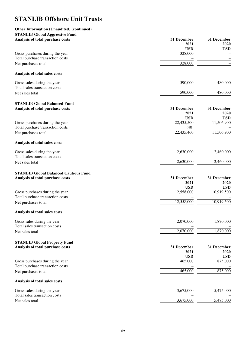#### **Other Information (Unaudited) (continued) STANLIB Global Aggressive Fund**

| STANLIB GIODAI Aggressive Fund<br>Analysis of total purchase costs | 31 December<br>2021 | 31 December<br>2020 |
|--------------------------------------------------------------------|---------------------|---------------------|
|                                                                    | <b>USD</b>          | <b>USD</b>          |
| Gross purchases during the year                                    | 328,000             |                     |
| Total purchase transaction costs                                   | 328,000             |                     |
| Net purchases total                                                |                     |                     |
| Analysis of total sales costs                                      |                     |                     |
| Gross sales during the year                                        | 590,000             | 480,000             |
| Total sales transaction costs                                      |                     |                     |
| Net sales total                                                    | 590,000             | 480,000             |
| <b>STANLIB Global Balanced Fund</b>                                |                     |                     |
| Analysis of total purchase costs                                   | 31 December         | 31 December         |
|                                                                    | 2021                | 2020                |
|                                                                    | <b>USD</b>          | <b>USD</b>          |
| Gross purchases during the year                                    | 22,435,500          | 11,506,900          |
| Total purchase transaction costs                                   | (40)                |                     |
| Net purchases total                                                | 22,435,460          | 11,506,900          |
| Analysis of total sales costs                                      |                     |                     |
| Gross sales during the year                                        | 2,630,000           | 2,460,000           |
| Total sales transaction costs                                      |                     |                     |
| Net sales total                                                    | 2,630,000           | 2,460,000           |
| <b>STANLIB Global Balanced Cautious Fund</b>                       |                     |                     |
| Analysis of total purchase costs                                   | 31 December         | 31 December         |
|                                                                    | 2021                | 2020                |
|                                                                    | <b>USD</b>          | <b>USD</b>          |
| Gross purchases during the year                                    | 12,558,000          | 10,919,500          |
| Total purchase transaction costs                                   |                     |                     |
| Net purchases total                                                | 12,558,000          | 10,919,500          |
| Analysis of total sales costs                                      |                     |                     |
|                                                                    |                     |                     |
| Gross sales during the year                                        | 2,070,000           | 1,870,000           |
| Total sales transaction costs                                      | 2,070,000           | 1,870,000           |
| Net sales total                                                    |                     |                     |
| <b>STANLIB Global Property Fund</b>                                |                     |                     |
| Analysis of total purchase costs                                   | 31 December         | 31 December         |
|                                                                    | 2021                | 2020                |
|                                                                    | <b>USD</b>          | <b>USD</b>          |
| Gross purchases during the year                                    | 465,000             | 875,000             |
| Total purchase transaction costs                                   |                     |                     |
| Net purchases total                                                | 465,000             | 875,000             |
| Analysis of total sales costs                                      |                     |                     |
| Gross sales during the year                                        | 3,675,000           | 5,475,000           |
| Total sales transaction costs                                      |                     |                     |
| Net sales total                                                    | 3,675,000           | 5,475,000           |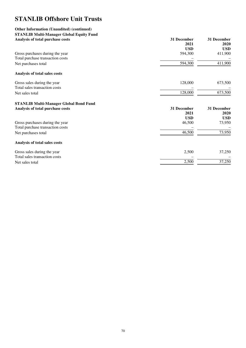## **Other Information (Unaudited) (continued) STANLIB Multi-Manager Global Equity Fund**

| Analysis of total purchase costs              | 31 December           | 31 December           |
|-----------------------------------------------|-----------------------|-----------------------|
|                                               | 2021                  | 2020                  |
| Gross purchases during the year               | <b>USD</b><br>594,300 | <b>USD</b><br>411,900 |
| Total purchase transaction costs              |                       |                       |
| Net purchases total                           | 594,300               | 411,900               |
| Analysis of total sales costs                 |                       |                       |
| Gross sales during the year                   | 128,000               | 673,500               |
| Total sales transaction costs                 |                       |                       |
| Net sales total                               | 128,000               | 673,500               |
| <b>STANLIB Multi-Manager Global Bond Fund</b> |                       |                       |
| Analysis of total purchase costs              | 31 December           | 31 December           |
|                                               | 2021                  | 2020                  |
|                                               | <b>USD</b>            | <b>USD</b>            |
| Gross purchases during the year               | 46,500                | 73,950                |
| Total purchase transaction costs              |                       |                       |
| Net purchases total                           | 46,500                | 73,950                |
| Analysis of total sales costs                 |                       |                       |
| Gross sales during the year                   | 2,500                 | 37,250                |
| Total sales transaction costs                 |                       |                       |
| Net sales total                               | 2,500                 | 37,250                |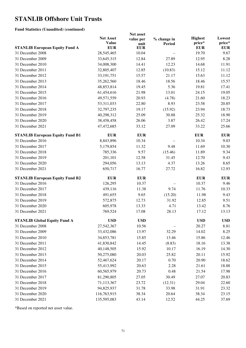#### **Fund Statistics (Unaudited) (continued)**

|                                                           | Net asset                  |                    |                          |                      |                      |
|-----------------------------------------------------------|----------------------------|--------------------|--------------------------|----------------------|----------------------|
|                                                           | <b>Net Asset</b>           | value per          | % change in              | <b>Highest</b>       | Lowest               |
|                                                           | <b>Value</b><br><b>EUR</b> | unit<br><b>EUR</b> | <b>Period</b>            | price*<br><b>EUR</b> | price*<br><b>EUR</b> |
| <b>STANLIB European Equity Fund A</b><br>31 December 2008 |                            | 10.04              |                          | 19.70                | 9.67                 |
|                                                           | 28,545,465                 |                    | $\overline{\phantom{0}}$ |                      |                      |
| 31 December 2009                                          | 33,645,315                 | 12.84              | 27.89                    | 12.95                | 8.28                 |
| 31 December 2010                                          | 34,008,300                 | 14.41              | 12.23                    | 14.68                | 11.91                |
| 31 December 2011                                          | 32,805,407                 | 12.85              | (10.83)                  | 15.12                | 11.12                |
| 31 December 2012                                          | 33, 191, 751               | 15.57              | 21.17                    | 15.63                | 11.12                |
| 31 December 2013                                          | 35,262,560                 | 18.46              | 18.56                    | 18.46                | 15.57                |
| 31 December 2014                                          | 48,853,814                 | 19.45              | 5.36                     | 19.81                | 17.41                |
| 31 December 2015                                          | 61,454,616                 | 21.98              | 13.01                    | 24.15                | 19.05                |
| 31 December 2016                                          | 49,571,559                 | 20.93              | (4.78)                   | 21.60                | 18.23                |
| 31 December 2017                                          | 53,311,033                 | 22.80              | 8.93                     | 23.58                | 20.85                |
| 31 December 2018                                          | 32,797,235                 | 19.17              | (15.92)                  | 23.94                | 18.73                |
| 31 December 2019                                          | 40,298,312                 | 25.09              | 30.88                    | 25.32                | 18.90                |
| 31 December 2020                                          | 38,458,458                 | 26.06              | 3.87                     | 26.42                | 17.24                |
| 31 December 2021                                          | 47,472,685                 | 33.12              | 27.09                    | 33.22                | 25.66                |
| <b>STANLIB European Equity Fund B1</b>                    | <b>EUR</b>                 | <b>EUR</b>         |                          | <b>EUR</b>           | <b>EUR</b>           |
| 31 December 2016                                          | 8,843,896                  | 10.34              |                          | 10.34                | 9.03                 |
| 31 December 2017                                          | 5,179,854                  | 11.32              | 9.48                     | 11.69                | 10.30                |
| 31 December 2018                                          | 785,336                    | 9.57               | (15.46)                  | 11.89                | 9.34                 |
| 31 December 2019                                          | 201,101                    | 12.58              | 31.45                    | 12.70                | 9.43                 |
| 31 December 2020                                          | 294,056                    | 13.13              | 4.37                     | 13.26                | 8.65                 |
| 31 December 2021                                          | 650,717                    | 16.77              | 27.72                    | 16.82                | 12.93                |
| <b>STANLIB European Equity Fund B2</b>                    | <b>EUR</b>                 | <b>EUR</b>         |                          | <b>EUR</b>           | <b>EUR</b>           |
| 31 December 2016                                          | 126,295                    | 10.37              |                          | 10.37                | 9.46                 |
| 31 December 2017                                          | 439,116                    | 11.38              | 9.74                     | 11.76                | 10.33                |
| 31 December 2018                                          | 491,655                    | 9.65               | (15.20)                  | 11.98                | 9.43                 |
| 31 December 2019                                          | 572,875                    | 12.73              | 31.92                    | 12.85                | 9.51                 |
| 31 December 2020                                          | 605,978                    | 13.33              | 4.71                     | 13.42                | 8.76                 |
| 31 December 2021                                          | 769,524                    | 17.08              | 28.13                    | 17.12                | 13.13                |
| <b>STANLIB Global Equity Fund A</b>                       | <b>USD</b>                 | <b>USD</b>         |                          | <b>USD</b>           | <b>USD</b>           |
| 31 December 2008                                          | 27,542,367                 | 10.56              |                          | 20.27                | 8.81                 |
| 31 December 2009                                          | 33,432,086                 | 13.97              | 32.29                    | 14.02                | 8.25                 |
| 31 December 2010                                          | 34,853,781                 | 15.85              | 13.46                    | 15.86                | 12.46                |
| 31 December 2011                                          | 41,830,842                 | 14.45              | (8.83)                   | 18.16                | 13.38                |
| 31 December 2012                                          | 40,148,505                 | 15.92              | 10.17                    | 16.19                | 14.30                |
| 31 December 2013                                          | 50,275,080                 | 20.03              | 25.82                    | 20.11                | 15.92                |
| 31 December 2014                                          | 52,467,624                 | 20.17              | 0.70                     | 20.90                | 18.62                |
| 31 December 2015                                          |                            |                    | 2.28                     |                      |                      |
|                                                           | 55,413,992                 | 20.63              |                          | 21.61                | 18.88                |
| 31 December 2016                                          | 60,565,979                 | 20.73              | 0.48                     | 21.54                | 17.98                |
| 31 December 2017                                          | 81,290,805                 | 27.05              | 30.49                    | 27.07                | 20.83                |
| 31 December 2018                                          | 71,113,367                 | 23.72              | (12.31)                  | 29.04                | 22.60                |
| 31 December 2019                                          | 94,825,937                 | 31.78              | 33.98                    | 31.91                | 23.32                |
| 31 December 2020                                          | 116,763,915                | 38.34              | 20.64                    | 38.34                | 23.15                |
| 31 December 2021                                          | 135,595,083                | 43.14              | 12.52                    | 44.25                | 37.69                |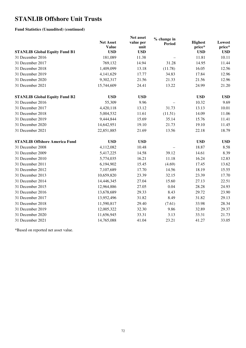#### **Fund Statistics (Unaudited) (continued)**

| <b>STANLIB Global Equity Fund B1</b> | <b>Net Asset</b><br><b>Value</b><br><b>USD</b> | Net asset<br>value per<br>unit<br><b>USD</b> | % change in<br><b>Period</b> | <b>Highest</b><br>price*<br><b>USD</b> | Lowest<br>price*<br><b>USD</b> |
|--------------------------------------|------------------------------------------------|----------------------------------------------|------------------------------|----------------------------------------|--------------------------------|
| 31 December 2016                     | 181,089                                        | 11.38                                        |                              | 11.81                                  | 10.11                          |
| 31 December 2017                     | 769,132                                        | 14.94                                        | 31.28                        | 14.95                                  | 11.44                          |
| 31 December 2018                     | 1,409,099                                      | 13.18                                        | (11.78)                      | 16.05                                  | 12.56                          |
| 31 December 2019                     | 4,141,629                                      | 17.77                                        | 34.83                        | 17.84                                  | 12.96                          |
| 31 December 2020                     | 9,302,317                                      | 21.56                                        | 21.33                        | 21.56                                  | 12.96                          |
| 31 December 2021                     | 15,744,609                                     | 24.41                                        | 13.22                        | 24.99                                  | 21.20                          |
| <b>STANLIB Global Equity Fund B2</b> | <b>USD</b>                                     | <b>USD</b>                                   |                              | <b>USD</b>                             | <b>USD</b>                     |
| 31 December 2016                     | 55,309                                         | 9.96                                         |                              | 10.32                                  | 9.69                           |
| 31 December 2017                     | 4,420,118                                      | 13.12                                        | 31.73                        | 13.13                                  | 10.01                          |
| 31 December 2018                     | 5,004,532                                      | 11.61                                        | (11.51)                      | 14.09                                  | 11.06                          |
| 31 December 2019                     | 9,444,844                                      | 15.69                                        | 35.14                        | 15.76                                  | 11.41                          |
| 31 December 2020                     | 14,642,951                                     | 19.10                                        | 21.73                        | 19.10                                  | 11.45                          |
| 31 December 2021                     | 22,851,885                                     | 21.69                                        | 13.56                        | 22.18                                  | 18.79                          |
| <b>STANLIB Offshore America Fund</b> | <b>USD</b>                                     | <b>USD</b>                                   |                              | <b>USD</b>                             | <b>USD</b>                     |
| 31 December 2008                     | 4,112,082                                      | 10.48                                        |                              | 18.87                                  | 8.58                           |
| 31 December 2009                     | 5,417,225                                      | 14.58                                        | 39.12                        | 14.61                                  | 8.39                           |
| 31 December 2010                     | 5,774,035                                      | 16.21                                        | 11.18                        | 16.24                                  | 12.83                          |
| 31 December 2011                     | 6,194,902                                      | 15.45                                        | (4.69)                       | 17.45                                  | 13.62                          |
| 31 December 2012                     | 7,107,689                                      | 17.70                                        | 14.56                        | 18.19                                  | 15.55                          |
| 31 December 2013                     | 10,659,820                                     | 23.39                                        | 32.15                        | 23.39                                  | 17.70                          |
| 31 December 2014                     | 14,446,345                                     | 27.04                                        | 15.60                        | 27.13                                  | 22.51                          |
| 31 December 2015                     | 12,964,886                                     | 27.05                                        | 0.04                         | 28.28                                  | 24.93                          |
| 31 December 2016                     | 13,678,689                                     | 29.33                                        | 8.43                         | 29.72                                  | 23.90                          |
| 31 December 2017                     | 13,952,496                                     | 31.82                                        | 8.49                         | 31.82                                  | 29.13                          |
| 31 December 2018                     | 11,590,817                                     | 29.40                                        | (7.61)                       | 33.98                                  | 28.34                          |
| 31 December 2019                     | 12,005,322                                     | 32.30                                        | 9.86                         | 32.89                                  | 29.37                          |
| 31 December 2020                     | 11,656,945                                     | 33.31                                        | 3.13                         | 33.31                                  | 21.73                          |
| 31 December 2021                     | 14,765,088                                     | 41.04                                        | 23.21                        | 41.27                                  | 33.05                          |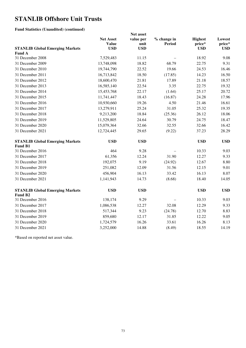#### **Fund Statistics (Unaudited) (continued)**

|                                        | Net asset        |            |               |                |            |
|----------------------------------------|------------------|------------|---------------|----------------|------------|
|                                        | <b>Net Asset</b> | value per  | % change in   | <b>Highest</b> | Lowest     |
|                                        | <b>Value</b>     | unit       | <b>Period</b> | price*         | price*     |
| <b>STANLIB Global Emerging Markets</b> | <b>USD</b>       | <b>USD</b> |               | <b>USD</b>     | <b>USD</b> |
| <b>Fund A</b><br>31 December 2008      | 7,529,483        | 11.15      |               | 18.92          | 9.08       |
| 31 December 2009                       |                  | 18.82      |               | 22.75          | 9.31       |
|                                        | 13,748,098       |            | 68.79         |                |            |
| 31 December 2010                       | 19,744,790       | 22.52      | 19.66         | 24.53          | 16.46      |
| 31 December 2011                       | 16,713,842       | 18.50      | (17.85)       | 14.23          | 16.50      |
| 31 December 2012                       | 18,600,470       | 21.81      | 17.89         | 21.18          | 18.57      |
| 31 December 2013                       | 16,585,140       | 22.54      | 3.35          | 22.75          | 19.32      |
| 31 December 2014                       | 15,453,768       | 22.17      | (1.64)        | 25.17          | 20.72      |
| 31 December 2015                       | 11,741,447       | 18.43      | (16.87)       | 24.28          | 17.96      |
| 31 December 2016                       | 10,930,660       | 19.26      | 4.50          | 21.46          | 16.61      |
| 31 December 2017                       | 13,279,911       | 25.24      | 31.05         | 25.32          | 19.35      |
| 31 December 2018                       | 9,213,200        | 18.84      | (25.36)       | 26.12          | 18.06      |
| 31 December 2019                       | 11,529,805       | 24.64      | 30.79         | 24.75          | 18.47      |
| 31 December 2020                       | 15,079,364       | 32.66      | 32.55         | 32.66          | 16.42      |
| 31 December 2021                       | 12,724,445       | 29.65      | (9.22)        | 37.23          | 28.29      |
| <b>STANLIB Global Emerging Markets</b> | <b>USD</b>       | <b>USD</b> |               | <b>USD</b>     | <b>USD</b> |
| <b>Fund B1</b>                         |                  |            |               |                |            |
| 31 December 2016                       | 464              | 9.28       |               | 10.33          | 9.03       |
| 31 December 2017                       | 61,356           | 12.24      | 31.90         | 12.27          | 9.33       |
| 31 December 2018                       | 192,075          | 9.19       | (24.92)       | 12.67          | 8.80       |
| 31 December 2019                       | 251,082          | 12.09      | 31.56         | 12.15          | 9.01       |
| 31 December 2020                       | 456,904          | 16.13      | 33.42         | 16.13          | 8.07       |
| 31 December 2021                       | 1,141,943        | 14.73      | (8.68)        | 18.40          | 14.05      |
| <b>STANLIB Global Emerging Markets</b> | <b>USD</b>       | <b>USD</b> |               | <b>USD</b>     | <b>USD</b> |
| Fund B <sub>2</sub>                    |                  |            |               |                |            |
| 31 December 2016                       | 138,174          | 9.29       |               | 10.33          | 9.03       |
| 31 December 2017                       | 1,086,538        | 12.27      | 32.08         | 12.29          | 9.33       |
| 31 December 2018                       | 517,344          | 9.23       | (24.78)       | 12.70          | 8.83       |
| 31 December 2019                       | 859,680          | 12.17      | 31.85         | 12.22          | 9.05       |
| 31 December 2020                       | 1,724,579        | 16.26      | 33.61         | 16.26          | 8.13       |
| 31 December 2021                       | 3,252,000        | 14.88      | (8.49)        | 18.55          | 14.19      |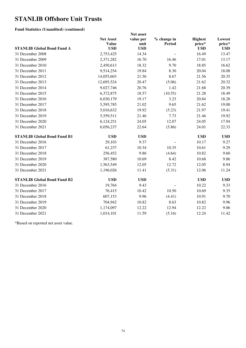#### **Fund Statistics (Unaudited) (continued)**

|                                    | <b>Net Asset</b> | value per  | % change in   | <b>Highest</b> | Lowest     |
|------------------------------------|------------------|------------|---------------|----------------|------------|
|                                    | <b>Value</b>     | unit       | <b>Period</b> | price*         | price*     |
| <b>STANLIB Global Bond Fund A</b>  | <b>USD</b>       | <b>USD</b> |               | <b>USD</b>     | <b>USD</b> |
| 31 December 2008                   | 2,753,425        | 14.34      |               | 16.49          | 13.47      |
| 31 December 2009                   | 2,371,282        | 16.70      | 16.46         | 17.01          | 13.17      |
| 31 December 2010                   | 2,450,613        | 18.32      | 9.70          | 18.85          | 16.62      |
| 31 December 2011                   | 9,514,254        | 19.84      | 8.30          | 20.04          | 18.08      |
| 31 December 2012                   | 14,055,603       | 21.56      | 8.67          | 21.56          | 20.35      |
| 31 December 2013                   | 12,695,524       | 20.47      | (5.06)        | 21.62          | 20.32      |
| 31 December 2014                   | 9,027,746        | 20.76      | 1.42          | 21.68          | 20.39      |
| 31 December 2015                   | 6,372,875        | 18.57      | (10.55)       | 21.28          | 18.49      |
| 31 December 2016                   | 6,030,179        | 19.17      | 3.23          | 20.84          | 18.28      |
| 31 December 2017                   | 5,595,785        | 21.02      | 9.65          | 21.62          | 19.00      |
| 31 December 2018                   | 5,016,632        | 19.92      | (5.23)        | 21.97          | 19.41      |
| 31 December 2019                   | 5,559,511        | 21.46      | 7.73          | 21.46          | 19.92      |
| 31 December 2020                   | 6,124,251        | 24.05      | 12.07         | 24.05          | 17.94      |
| 31 December 2021                   | 6,056,237        | 22.64      | (5.86)        | 24.01          | 22.33      |
| <b>STANLIB Global Bond Fund B1</b> | <b>USD</b>       | <b>USD</b> |               | <b>USD</b>     | <b>USD</b> |
| 31 December 2016                   | 29,103           | 9.37       |               | 10.17          | 9.27       |
| 31 December 2017                   | 61,237           | 10.34      | 10.35         | 10.61          | 9.29       |
| 31 December 2018                   | 256,452          | 9.86       | (4.64)        | 10.82          | 9.60       |
| 31 December 2019                   | 387,580          | 10.69      | 8.42          | 10.68          | 9.86       |
| 31 December 2020                   | 1,563,549        | 12.05      | 12.72         | 12.05          | 8.94       |
| 31 December 2021                   | 1,196,026        | 11.41      | (5.31)        | 12.06          | 11.24      |
| <b>STANLIB Global Bond Fund B2</b> | <b>USD</b>       | <b>USD</b> |               | <b>USD</b>     | <b>USD</b> |
| 31 December 2016                   | 19,764           | 9.43       |               | 10.22          | 9.33       |
| 31 December 2017                   | 76,415           | 10.42      | 10.50         | 10.69          | 9.35       |
| 31 December 2018                   | 607,153          | 9.96       | (4.41)        | 10.91          | 9.70       |
| 31 December 2019                   | 704,942          | 10.82      | 8.63          | 10.82          | 9.96       |
| 31 December 2020                   | 1,174,097        | 12.22      | 12.94         | 12.22          | 9.06       |
| 31 December 2021                   | 1,014,101        | 11.59      | (5.16)        | 12.24          | 11.42      |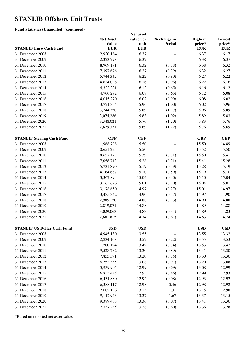#### **Fund Statistics (Unaudited) (continued)**

|                                                       | Net asset                        |                   |                       |                          |                  |  |
|-------------------------------------------------------|----------------------------------|-------------------|-----------------------|--------------------------|------------------|--|
|                                                       | <b>Net Asset</b><br><b>Value</b> | value per<br>unit | % change in<br>Period | <b>Highest</b><br>price* | Lowest<br>price* |  |
| <b>STANLIB Euro Cash Fund</b>                         | <b>EUR</b>                       | <b>EUR</b>        |                       | <b>EUR</b>               | <b>EUR</b>       |  |
| 31 December 2008                                      | 12,920,184                       | 6.37              |                       | 6.37                     | 6.17             |  |
| 31 December 2009                                      | 12,323,798                       | 6.37              |                       | 6.38                     | 6.37             |  |
| 31 December 2010                                      | 8,969,191                        | 6.32              | (0.78)                | 6.38                     | 6.32             |  |
| 31 December 2011                                      | 7,397,676                        | 6.27              | (0.79)                | 6.32                     | 6.27             |  |
| 31 December 2012                                      | 5,744,342                        | 6.22              | (0.80)                | 6.27                     | 6.22             |  |
| 31 December 2013                                      | 4,624,026                        | 6.16              | (0.96)                | 6.22                     | 6.16             |  |
| 31 December 2014                                      | 4,322,221                        | 6.12              | (0.65)                | 6.16                     | 6.12             |  |
| 31 December 2015                                      | 4,700,272                        | 6.08              | (0.65)                | 6.12                     | 6.08             |  |
| 31 December 2016                                      | 4,015,270                        | 6.02              | (0.99)                | 6.08                     | 6.02             |  |
| 31 December 2017                                      | 3,721,364                        | 5.96              | (1.00)                | 6.02                     | 5.96             |  |
| 31 December 2018                                      | 3,244,728                        | 5.89              | (1.17)                | 5.96                     | 5.89             |  |
| 31 December 2019                                      | 3,074,286                        | 5.83              | (1.02)                | 5.89                     | 5.83             |  |
| 31 December 2020                                      | 3,348,021                        | 5.76              | (1.20)                | 5.83                     | 5.76             |  |
| 31 December 2021                                      | 2,829,371                        | 5.69              | (1.22)                | 5.76                     | 5.69             |  |
|                                                       | <b>GBP</b>                       | <b>GBP</b>        |                       | <b>GBP</b>               | <b>GBP</b>       |  |
| <b>STANLIB Sterling Cash Fund</b><br>31 December 2008 |                                  | 15.50             |                       |                          |                  |  |
|                                                       | 11,968,798                       |                   |                       | 15.50                    | 14.89            |  |
| 31 December 2009                                      | 10,651,255                       | 15.50             |                       | 15.52                    | 15.50            |  |
| 31 December 2010                                      | 8,657,173                        | 15.39             | (0.71)                | 15.50                    | 15.41            |  |
| 31 December 2011                                      | 7,058,743                        | 15.28             | (0.71)                | 15.41                    | 15.28            |  |
| 31 December 2012                                      | 5,731,890                        | 15.19             | (0.59)                | 15.28                    | 15.19            |  |
| 31 December 2013                                      | 4,164,667                        | 15.10             | (0.59)                | 15.19                    | 15.10            |  |
| 31 December 2014                                      | 3,367,894                        | 15.04             | (0.40)                | 15.10                    | 15.04            |  |
| 31 December 2015                                      | 3,163,626                        | 15.01             | (0.20)                | 15.04                    | 15.01            |  |
| 31 December 2016                                      | 3,178,650                        | 14.97             | (0.27)                | 15.01                    | 14.97            |  |
| 31 December 2017                                      | 3,435,342                        | 14.90             | (0.47)                | 14.97                    | 14.90            |  |
| 31 December 2018                                      | 2,985,120                        | 14.88             | (0.13)                | 14.90                    | 14.88            |  |
| 31 December 2019                                      | 2,819,071                        | 14.88             |                       | 14.89                    | 14.88            |  |
| 31 December 2020                                      | 3,029,063                        | 14.83             | (0.34)                | 14.89                    | 14.83            |  |
| 31 December 2021                                      | 2,681,815                        | 14.74             | (0.61)                | 14.83                    | 14.74            |  |
| <b>STANLIB US Dollar Cash Fund</b>                    | <b>USD</b>                       | <b>USD</b>        |                       | <b>USD</b>               | <b>USD</b>       |  |
| 31 December 2008                                      | 14,945,130                       | 13.55             |                       | 13.55                    | 13.32            |  |
| 31 December 2009                                      | 12,834,108                       | 13.52             | (0.22)                | 13.55                    | 13.53            |  |
| 31 December 2010                                      | 11,280,194                       | 13.42             | (0.74)                | 13.53                    | 13.42            |  |
| 31 December 2011                                      | 9,528,782                        | 13.30             | (0.89)                | 13.41                    | 13.30            |  |
| 31 December 2012                                      | 7,855,391                        | 13.20             | (0.75)                | 13.30                    | 13.30            |  |
| 31 December 2013                                      | 6,752,335                        | 13.08             | (0.91)                | 13.20                    | 13.08            |  |
| 31 December 2014                                      | 5,939,905                        | 12.99             | (0.69)                | 13.08                    | 12.99            |  |
| 31 December 2015                                      | 6,835,445                        | 12.93             | (0.46)                | 12.99                    | 12.93            |  |
| 31 December 2016                                      | 6,431,880                        | 12.92             | (0.08)                | 12.93                    | 12.92            |  |
| 31 December 2017                                      | 6,388,117                        | 12.98             | 0.46                  | 12.98                    | 12.92            |  |
| 31 December 2018                                      | 7,002,196                        | 13.15             | 1.31                  | 13.15                    | 12.98            |  |
| 31 December 2019                                      | 9,112,943                        | 13.37             | 1.67                  | 13.37                    | 13.15            |  |
| 31 December 2020                                      | 9,389,403                        | 13.36             | (0.07)                | 13.41                    | 13.36            |  |
| 31 December 2021                                      | 7,337,235                        | 13.28             | (0.60)                | 13.36                    | 13.28            |  |
|                                                       |                                  |                   |                       |                          |                  |  |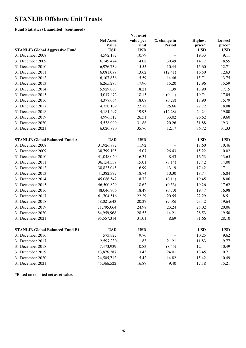#### **Fund Statistics (Unaudited) (continued)**

|                                        | <b>Net Asset</b> | Net asset<br>value per | % change in | <b>Highest</b> | Lowest     |
|----------------------------------------|------------------|------------------------|-------------|----------------|------------|
|                                        | <b>Value</b>     | unit                   | Period      | price*         | price*     |
| <b>STANLIB Global Aggressive Fund</b>  | <b>USD</b>       | <b>USD</b>             |             | <b>USD</b>     | <b>USD</b> |
| 31 December 2008                       | 4,592,187        | 10.79                  |             | 19.33          | 9.11       |
| 31 December 2009                       | 6,149,474        | 14.08                  | 30.49       | 14.17          | 8.55       |
| 31 December 2010                       | 6,976,739        | 15.55                  | 10.44       | 15.60          | 12.71      |
| 31 December 2011                       | 6,081,079        | 13.62                  | (12.41)     | 16.50          | 12.63      |
| 31 December 2012                       | 6,107,836        | 15.59                  | 14.46       | 15.71          | 13.75      |
| 31 December 2013                       | 6,265,285        | 17.96                  | 15.20       | 17.96          | 15.59      |
| 31 December 2014                       | 5,929,003        | 18.21                  | 1.39        | 18.90          | 17.15      |
| 31 December 2015                       | 5,017,472        | 18.13                  | (0.44)      | 19.74          | 17.04      |
| 31 December 2016                       | 4,378,064        | 18.08                  | (0.28)      | 18.90          | 15.79      |
| 31 December 2017                       | 4,750,109        | 22.72                  | 25.66       | 22.72          | 18.08      |
| 31 December 2018                       | 4,181,497        | 19.93                  | (12.28)     | 24.24          | 19.00      |
| 31 December 2019                       | 4,996,517        | 26.51                  | 33.02       | 26.62          | 19.60      |
| 31 December 2020                       | 5,538,099        | 31.88                  | 20.26       | 31.88          | 19.31      |
| 31 December 2021                       | 6,020,890        | 35.76                  | 12.17       | 36.72          | 31.33      |
| <b>STANLIB Global Balanced Fund A</b>  | <b>USD</b>       |                        |             | <b>USD</b>     |            |
|                                        |                  | <b>USD</b>             |             |                | <b>USD</b> |
| 31 December 2008                       | 31,926,882       | 11.92                  |             | 18.60          | 10.46      |
| 31 December 2009                       | 38,799,195       | 15.07                  | 26.43       | 15.22          | 10.02      |
| 31 December 2010                       | 41,048,020       | 16.34                  | 8.43        | 16.53          | 13.65      |
| 31 December 2011                       | 36,154,339       | 15.01                  | (8.14)      | 17.42          | 14.00      |
| 31 December 2012                       | 38,823,045       | 16.99                  | 13.19       | 17.42          | 17.11      |
| 31 December 2013                       | 41,382,377       | 18.74                  | 10.30       | 18.74          | 16.84      |
| 31 December 2014                       | 45,086,542       | 18.72                  | (0.11)      | 19.45          | 18.06      |
| 31 December 2015                       | 46,500,829       | 18.62                  | (0.53)      | 19.26          | 17.62      |
| 31 December 2016                       | 48,046,706       | 18.49                  | (0.70)      | 19.47          | 16.98      |
| 31 December 2017                       | 61,704,516       | 22.29                  | 20.55       | 22.29          | 18.51      |
| 31 December 2018                       | 58,021,643       | 20.27                  | (9.06)      | 23.42          | 19.64      |
| 31 December 2019                       | 71,795,064       | 24.98                  | 23.24       | 25.02          | 20.06      |
| 31 December 2020                       | 84,959,968       | 28.53                  | 14.21       | 28.53          | 19.50      |
| 31 December 2021                       | 95,557,314       | 31.01                  | 8.69        | 31.66          | 28.10      |
| <b>STANLIB Global Balanced Fund B1</b> | <b>USD</b>       | <b>USD</b>             |             | <b>USD</b>     | <b>USD</b> |
| 31 December 2016                       | 573,327          | 9.76                   |             | 10.25          | 9.62       |
| 31 December 2017                       | 2,597,230        | 11.83                  | 21.21       | 11.83          | 9.77       |
| 31 December 2018                       | 7,473,939        | 10.83                  | (8.45)      | 12.44          | 10.49      |
| 31 December 2019                       | 13,876,287       | 13.43                  | 24.01       | 13.45          | 10.71      |
| 31 December 2020                       | 24,505,712       | 15.42                  | 14.82       | 15.42          | 10.49      |
| 31 December 2021                       | 45,366,522       | 16.87                  | 9.40        | 17.18          | 15.21      |
|                                        |                  |                        |             |                |            |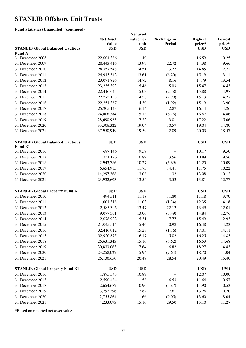#### **Fund Statistics (Unaudited) (continued)**

|                                                           | Net asset                        |                   |                              |                          |                  |  |
|-----------------------------------------------------------|----------------------------------|-------------------|------------------------------|--------------------------|------------------|--|
|                                                           | <b>Net Asset</b><br><b>Value</b> | value per<br>unit | % change in<br><b>Period</b> | <b>Highest</b><br>price* | Lowest<br>price* |  |
| <b>STANLIB Global Balanced Cautious</b><br><b>Fund A</b>  | <b>USD</b>                       | <b>USD</b>        |                              | <b>USD</b>               | <b>USD</b>       |  |
| 31 December 2008                                          | 22,004,386                       | 11.40             |                              | 16.59                    | 10.25            |  |
| 31 December 2009                                          | 28,443,416                       | 13.99             | 22.72                        | 14.38                    | 9.66             |  |
| 31 December 2010                                          | 28,357,548                       | 14.51             | 3.72                         | 14.85                    | 12.71            |  |
| 31 December 2011                                          | 24,913,542                       | 13.61             | (6.20)                       | 15.19                    | 13.11            |  |
| 31 December 2012                                          | 23,071,826                       | 14.72             | 8.16                         | 14.79                    | 13.54            |  |
| 31 December 2013                                          | 23, 235, 393                     | 15.46             | 5.03                         | 15.47                    | 14.43            |  |
| 31 December 2014                                          | 22,416,645                       | 15.03             | (2.78)                       | 15.88                    | 14.97            |  |
| 31 December 2015                                          | 22,275,193                       | 14.58             | (2.99)                       | 15.13                    | 14.27            |  |
| 31 December 2016                                          | 22, 251, 367                     | 14.30             | (1.92)                       | 15.19                    | 13.90            |  |
| 31 December 2017                                          | 25, 205, 143                     | 16.14             | 12.87                        | 16.14                    | 14.26            |  |
| 31 December 2018                                          | 24,006,384                       | 15.13             | (6.26)                       | 16.67                    | 14.86            |  |
| 31 December 2019                                          | 28,698,925                       | 17.22             | 13.81                        | 17.22                    | 15.06            |  |
| 31 December 2020                                          | 35,306,322                       | 19.04             | 10.57                        | 19.04                    | 14.80            |  |
| 31 December 2021                                          | 37,958,949                       | 19.59             | 2.89                         | 20.03                    | 18.57            |  |
|                                                           |                                  |                   |                              |                          |                  |  |
| <b>STANLIB Global Balanced Cautious</b><br><b>Fund B1</b> | <b>USD</b>                       | <b>USD</b>        |                              | <b>USD</b>               | <b>USD</b>       |  |
| 31 December 2016                                          | 687,146                          | 9.59              |                              | 10.17                    | 9.50             |  |
| 31 December 2017                                          | 1,751,196                        | 10.89             | 13.56                        | 10.89                    | 9.56             |  |
| 31 December 2018                                          | 2,943,786                        | 10.27             | (5.69)                       | 11.25                    | 10.09            |  |
| 31 December 2019                                          | 6,654,915                        | 11.75             | 14.41                        | 11.75                    | 10.22            |  |
| 31 December 2020                                          | 14,297,368                       | 13.08             | 11.32                        | 13.08                    | 10.12            |  |
| 31 December 2021                                          | 23,932,693                       | 13.54             | 3.52                         | 13.81                    | 12.77            |  |
| <b>STANLIB Global Property Fund A</b>                     | <b>USD</b>                       | <b>USD</b>        |                              | <b>USD</b>               | <b>USD</b>       |  |
| 31 December 2010                                          | 494,511                          | 11.18             | 11.80                        | 11.18                    | 3.70             |  |
| 31 December 2011                                          | 1,001,318                        | 11.03             | (1.34)                       | 12.35                    | 4.18             |  |
| 31 December 2012                                          | 2,585,306                        | 13.47             | 22.12                        | 13.49                    | 12.01            |  |
| 31 December 2013                                          | 9,077,301                        | 13.00             | (3.49)                       | 14.84                    | 12.76            |  |
| 31 December 2014                                          | 12,078,922                       | 15.31             | 17.77                        | 15.49                    | 12.93            |  |
| 31 December 2015                                          | 21,045,514                       | 15.46             | 0.98                         | 16.48                    | 14.23            |  |
| 31 December 2016                                          | 32,416,012                       | 15.28             | (1.16)                       | 17.01                    | 14.11            |  |
| 31 December 2017                                          | 32,920,875                       | 16.17             | 5.82                         | 16.25                    | 14.83            |  |
| 31 December 2018                                          | 26,631,343                       | 15.10             | (6.62)                       | 16.53                    | 14.68            |  |
| 31 December 2019                                          | 30,833,063                       | 17.64             | 16.82                        | 18.27                    | 14.83            |  |
| 31 December 2020                                          | 23,258,027                       | 15.94             | (9.64)                       | 18.70                    | 11.04            |  |
| 31 December 2021                                          | 26,130,650                       | 20.49             | 28.54                        | 20.49                    | 15.40            |  |
|                                                           |                                  |                   |                              |                          |                  |  |
| <b>STANLIB Global Property Fund B1</b>                    | <b>USD</b>                       | <b>USD</b>        |                              | <b>USD</b>               | <b>USD</b>       |  |
| 31 December 2016                                          | 1,895,543                        | 10.87             |                              | 12.07                    | 10.00            |  |
| 31 December 2017                                          | 2,590,484                        | 11.58             | 6.53                         | 11.64                    | 10.57            |  |
| 31 December 2018                                          | 2,654,682                        | 10.90             | (5.87)                       | 11.90                    | 10.53            |  |
| 31 December 2019                                          | 3,292,296                        | 12.82             | 17.61                        | 13.26                    | 10.70            |  |
| 31 December 2020                                          | 2,755,864                        | 11.66             | (9.05)                       | 13.60                    | 8.04             |  |
| 31 December 2021                                          | 4,233,093                        | 15.10             | 29.50                        | 15.10                    | 11.27            |  |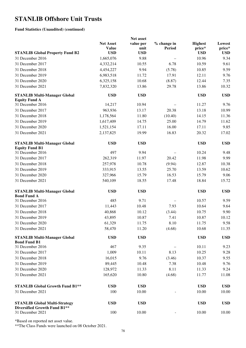**Fund Statistics (Unaudited) (continued)** 

|                                                                      | Net asset                        |                   |                       |                          |                  |
|----------------------------------------------------------------------|----------------------------------|-------------------|-----------------------|--------------------------|------------------|
|                                                                      | <b>Net Asset</b><br><b>Value</b> | value per<br>unit | % change in<br>Period | <b>Highest</b><br>price* | Lowest<br>price* |
| <b>STANLIB Global Property Fund B2</b>                               | <b>USD</b>                       | <b>USD</b>        |                       | <b>USD</b>               | <b>USD</b>       |
| 31 December 2016                                                     | 1,665,076                        | 9.88              |                       | 10.96                    | 9.34             |
| 31 December 2017                                                     | 4,332,214                        | 10.55             | 6.78                  | 10.59                    | 9.61             |
| 31 December 2018                                                     | 4,454,227                        | 9.94              | (5.78)                | 10.85                    | 9.59             |
| 31 December 2019                                                     | 6,983,518                        | 11.72             | 17.91                 | 12.11                    | 9.76             |
| 31 December 2020                                                     | 6,325,158                        | 10.68             | (8.87)                | 12.44                    | 7.35             |
| 31 December 2021                                                     | 7,832,320                        | 13.86             | 29.78                 | 13.86                    | 10.32            |
| <b>STANLIB Multi-Manager Global</b><br><b>Equity Fund A</b>          | <b>USD</b>                       | <b>USD</b>        |                       | <b>USD</b>               | <b>USD</b>       |
| 31 December 2016                                                     | 14,217                           | 10.94             |                       | 11.27                    | 9.76             |
| 31 December 2017                                                     | 963,936                          | 13.17             | 20.38                 | 13.18                    | 10.99            |
| 31 December 2018                                                     | 1,178,564                        | 11.80             | (10.40)               | 14.15                    | 11.36            |
| 31 December 2019                                                     | 1,617,409                        | 14.75             | 25.00                 | 14.79                    | 11.62            |
| 31 December 2020                                                     | 1,521,154                        | 17.11             | 16.00                 | 17.11                    | 9.85             |
| 31 December 2021                                                     | 2,137,825                        | 19.99             | 16.83                 | 20.32                    | 17.02            |
| <b>STANLIB Multi-Manager Global</b><br><b>Equity Fund B1</b>         | <b>USD</b>                       | <b>USD</b>        |                       | <b>USD</b>               | <b>USD</b>       |
| 31 December 2016                                                     | 497                              | 9.94              |                       | 10.24                    | 9.48             |
| 31 December 2017                                                     | 262,319                          | 11.97             | 20.42                 | 11.98                    | 9.99             |
| 31 December 2018                                                     | 257,978                          | 10.78             | (9.94)                | 12.87                    | 10.38            |
| 31 December 2019                                                     | 333,915                          | 13.55             | 25.70                 | 13.59                    | 10.62            |
| 31 December 2020                                                     | 327,966                          | 15.79             | 16.53                 | 15.79                    | 9.06             |
| 31 December 2021                                                     | 540,109                          | 18.55             | 17.48                 | 18.84                    | 15.72            |
| <b>STANLIB Multi-Manager Global</b><br><b>Bond Fund A</b>            | <b>USD</b>                       | <b>USD</b>        |                       | <b>USD</b>               | <b>USD</b>       |
| 31 December 2016                                                     | 485                              | 9.71              |                       | 10.57                    | 9.59             |
| 31 December 2017                                                     | 11,443                           | 10.48             | 7.93                  | 10.64                    | 9.64             |
| 31 December 2018                                                     | 40,868                           | 10.12             | (3.44)                | 10.75                    | 9.90             |
| 31 December 2019                                                     | 43,895                           | 10.87             | 7.41                  | 10.87                    | 10.12            |
| 31 December 2020                                                     | 61,329                           | 11.75             | 8.10                  | 11.75                    | 9.58             |
| 31 December 2021                                                     | 58,470                           | 11.20             | (4.68)                | 10.68                    | 11.35            |
| <b>STANLIB Multi-Manager Global</b><br><b>Bond Fund B1</b>           | <b>USD</b>                       | <b>USD</b>        |                       | <b>USD</b>               | <b>USD</b>       |
| 31 December 2016                                                     | 467                              | 9.35              |                       | 10.11                    | 9.23             |
| 31 December 2017                                                     | 1,009                            | 10.11             | 8.13                  | 10.25                    | 9.28             |
| 31 December 2018                                                     | 16,015                           | 9.76              | (3.46)                | 10.37                    | 9.55             |
| 31 December 2019                                                     | 89,445                           | 10.48             | 7.38                  | 10.48                    | 9.76             |
| 31 December 2020                                                     | 128,972                          | 11.33             | 8.11                  | 11.33                    | 9.24             |
| 31 December 2021                                                     | 165,620                          | 10.80             | (4.68)                | 11.77                    | 11.08            |
| <b>STANLIB Global Growth Fund B1**</b>                               | <b>USD</b>                       | <b>USD</b>        |                       | <b>USD</b>               | <b>USD</b>       |
| 31 December 2021                                                     | 100                              | 10.00             |                       | 10.00                    | 10.00            |
| <b>STANLIB Global Multi-Strategy</b><br>Diversified Growth Fund B1** | <b>USD</b>                       | <b>USD</b>        |                       | <b>USD</b>               | <b>USD</b>       |
| 31 December 2021                                                     | 100                              | 10.00             |                       | 10.00                    | 10.00            |

\*Based on reported net asset value.

\*\*The Class Funds were launched on 08 October 2021.